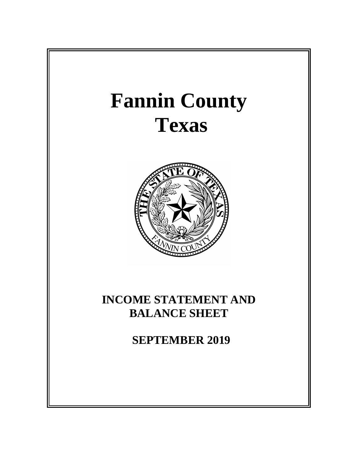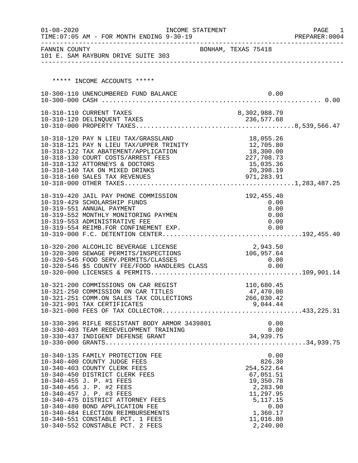| $01 - 08 - 2020$ | INCOME STATEMENT<br>TIME: 07:05 AM - FOR MONTH ENDING 9-30-19                                                                                                                                                                                                                                                                                                                                                |                     |                                                                                                                                            | PAGE 1<br>PREPARER: 0004 |
|------------------|--------------------------------------------------------------------------------------------------------------------------------------------------------------------------------------------------------------------------------------------------------------------------------------------------------------------------------------------------------------------------------------------------------------|---------------------|--------------------------------------------------------------------------------------------------------------------------------------------|--------------------------|
|                  | FANNIN COUNTY<br>101 E. SAM RAYBURN DRIVE SUITE 303                                                                                                                                                                                                                                                                                                                                                          | BONHAM, TEXAS 75418 |                                                                                                                                            |                          |
|                  | ***** INCOME ACCOUNTS *****                                                                                                                                                                                                                                                                                                                                                                                  |                     |                                                                                                                                            |                          |
|                  | 10-300-110 UNENCUMBERED FUND BALANCE                                                                                                                                                                                                                                                                                                                                                                         |                     | 0.00                                                                                                                                       |                          |
|                  | 10-310-110 CURRENT TAXES                                                                                                                                                                                                                                                                                                                                                                                     |                     | 8,302,988.79                                                                                                                               |                          |
|                  | 10-318-120 PAY N LIEU TAX/GRASSLAND<br>10-318-120 PAY N LIEU TAX/GRASSLAND<br>10-318-121 PAY N LIEU TAX/UPPER TRINITY<br>10-318-122 TAX ABATEMENT/APPLICATION<br>10-318-130 COURT COSTS/ARREST FEES<br>10-318-132 ATTORNEYS & DOCTORS<br>10-318-140 TAX ON MIXED DRINKS                                                                                                                                      |                     | 18,055.26<br>18,055.26<br>12,705.80<br>18,300.00<br>227,708.73<br>15,035.36<br>20,398.19                                                   |                          |
|                  | 10-319-420 JAIL PAY PHONE COMMISSION<br>10-319-429 SCHOLARSHIP FUNDS<br>10-319-551 ANNUAL PAYMENT<br>10-319-552 MONTHLY MONITORING PAYMEN<br>10-319-553 ADMINISTRATIVE FEE                                                                                                                                                                                                                                   |                     | 192,455.40<br>0.00<br>0.00<br>0.00<br>0.00                                                                                                 |                          |
|                  | 10-320-200 ALCOHLIC BEVERAGE LICENSE<br>10-320-300 SEWAGE PERMITS/INSPECTIONS<br>10-320-545 FOOD SERV.PERMITS/CLASSES 0.00<br>10-320-546 \$5 COUNTY FEE/FOOD HANDLERS CLASS 0.00                                                                                                                                                                                                                             |                     | 2,943.50<br>106,957.64                                                                                                                     |                          |
|                  | 10-321-200 COMMISSIONS ON CAR REGIST<br>10-321-250 COMMISSION ON CAR TITLES<br>10-321-251 COMM.ON SALES TAX COLLECTIONS<br>10-321-901 TAX CERTIFICATES                                                                                                                                                                                                                                                       | $\mathbf{T}$        | 110,680.45<br>47,470.00<br>266,030.42<br>9,044.44                                                                                          |                          |
|                  |                                                                                                                                                                                                                                                                                                                                                                                                              |                     |                                                                                                                                            |                          |
|                  | 10-340-135 FAMILY PROTECTION FEE<br>10-340-400 COUNTY JUDGE FEES<br>10-340-403 COUNTY CLERK FEES<br>10-340-450 DISTRICT CLERK FEES<br>10-340-455 J. P. #1 FEES<br>10-340-456 J. P. #2 FEES<br>10-340-457 J. P. #3 FEES<br>10-340-475 DISTRICT ATTORNEY FEES<br>10-340-480 BOND APPLICATION FEE<br>10-340-484 ELECTION REIMBURSEMENTS<br>10-340-551 CONSTABLE PCT. 1 FEES<br>10-340-552 CONSTABLE PCT. 2 FEES |                     | 0.00<br>826.30<br>254,522.64<br>67,051.51<br>19,350.78<br>2,283.90<br>11,297.95<br>5, 117. 15<br>0.00<br>1,360.17<br>11,016.80<br>2,240.00 |                          |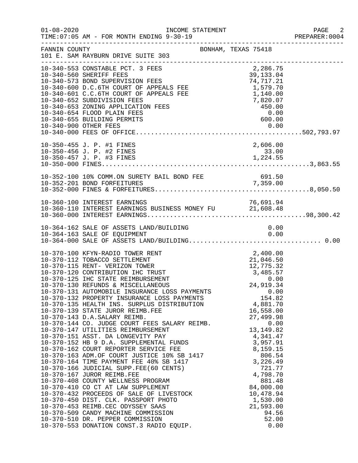| $01 - 08 - 2020$ | INCOME STATEMENT<br>TIME: 07:05 AM - FOR MONTH ENDING 9-30-19                                                                                                                                                                                                                                                                                                                                                                                                                                                                                                                                                                                                                                                                                                                                                                                                                                                                                                                                                                                                                                                                                                                                  |                     |                                                                                                                                                                                                                                                                                                                         | PAGE 2<br>PREPARER: 0004 |
|------------------|------------------------------------------------------------------------------------------------------------------------------------------------------------------------------------------------------------------------------------------------------------------------------------------------------------------------------------------------------------------------------------------------------------------------------------------------------------------------------------------------------------------------------------------------------------------------------------------------------------------------------------------------------------------------------------------------------------------------------------------------------------------------------------------------------------------------------------------------------------------------------------------------------------------------------------------------------------------------------------------------------------------------------------------------------------------------------------------------------------------------------------------------------------------------------------------------|---------------------|-------------------------------------------------------------------------------------------------------------------------------------------------------------------------------------------------------------------------------------------------------------------------------------------------------------------------|--------------------------|
| FANNIN COUNTY    | 101 E. SAM RAYBURN DRIVE SUITE 303<br>-------------------------------                                                                                                                                                                                                                                                                                                                                                                                                                                                                                                                                                                                                                                                                                                                                                                                                                                                                                                                                                                                                                                                                                                                          | BONHAM, TEXAS 75418 |                                                                                                                                                                                                                                                                                                                         |                          |
|                  | 10-340-553 CONSTABLE PCT. 3 FEES<br>10-340-560 SHERIFF FEES<br>10-340-573 BOND SUPERVISION FEES<br>10-340-600 D.C.6TH COURT OF APPEALS FEE 1,579.70<br>1,140.00<br>1,140.00<br>7,820.07<br>10-340-653 ZONING APPLICATION FEES<br>10-340-654 FLOOD PLAIN FEES<br>10-340-655 BUILDING PERMITS                                                                                                                                                                                                                                                                                                                                                                                                                                                                                                                                                                                                                                                                                                                                                                                                                                                                                                    |                     | 2,286.75<br>$7,820.07$<br>$450.00$<br>$0.00$<br>$600.00$                                                                                                                                                                                                                                                                |                          |
|                  | 10-350-455 J. P. #1 FINES<br>10-350-456 J. P. #2 FINES                                                                                                                                                                                                                                                                                                                                                                                                                                                                                                                                                                                                                                                                                                                                                                                                                                                                                                                                                                                                                                                                                                                                         |                     | 2,606.00<br>33.00                                                                                                                                                                                                                                                                                                       |                          |
|                  | 10-352-100 10% COMM.ON SURETY BAIL BOND FEE<br>10-352-201 BOND FORFEITURES                                                                                                                                                                                                                                                                                                                                                                                                                                                                                                                                                                                                                                                                                                                                                                                                                                                                                                                                                                                                                                                                                                                     |                     | BAIL BOND FEE 691.50                                                                                                                                                                                                                                                                                                    |                          |
|                  | 10-360-110 INTEREST EARNINGS BUSINESS MONEY FU<br>10-360-000 INTEREST EARNINGS BUSINESS MONEY FU<br>10-360-000 INTEREST EARNINGS                                                                                                                                                                                                                                                                                                                                                                                                                                                                                                                                                                                                                                                                                                                                                                                                                                                                                                                                                                                                                                                               |                     |                                                                                                                                                                                                                                                                                                                         |                          |
|                  | 10-364-162 SALE OF ASSETS LAND/BUILDING<br>10-364-163 SALE OF EQUIPMENT                                                                                                                                                                                                                                                                                                                                                                                                                                                                                                                                                                                                                                                                                                                                                                                                                                                                                                                                                                                                                                                                                                                        |                     | 0.00<br>0.00                                                                                                                                                                                                                                                                                                            |                          |
|                  | 10-370-100 KFYN-RADIO TOWER RENT<br>10-370-112 TOBACCO SETTLEMENT<br>10-370-115 RENT- VERIZON TOWER<br>10-370-120 CONTRIBUTION IHC TRUST<br>10-370-125 IHC STATE REIMBURSEMENT<br>10-370-130 REFUNDS & MISCELLANEOUS<br>10-370-131 AUTOMOBILE INSURANCE LOSS PAYMENTS<br>10-370-132 PROPERTY INSURANCE LOSS PAYMENTS<br>10-370-135 HEALTH INS. SURPLUS DISTRIBUTION<br>10-370-139 STATE JUROR REIMB.FEE<br>10-370-143 D.A.SALARY REIMB.<br>10-370-144 CO. JUDGE COURT FEES SALARY REIMB.<br>10-370-147 UTILITIES REIMBURSEMENT<br>10-370-151 ASST. DA LONGEVITY PAY<br>10-370-152 HB 9 D.A. SUPPLEMENTAL FUNDS<br>10-370-162 COURT REPORTER SERVICE FEE<br>10-370-162 COURT REPORTER SERVICE FEE<br>10-370-163 ADM.OF COURT JUSTICE 10% SB 1417<br>10-370-164 TIME PAYMENT FEE 40% SB 1417<br>10-370-166 JUDICIAL SUPP.FEE(60 CENTS)<br>10-370-167 JUROR REIMB.FEE<br>10-370-408 COUNTY WELLNESS PROGRAM<br>10-370-410 CO CT AT LAW SUPPLEMENT<br>10-370-432 PROCEEDS OF SALE OF LIVESTOCK<br>10-370-450 DIST. CLK. PASSPORT PHOTO<br>10-370-453 REIMB.CEC ODYSSEY SAAS<br>10-370-509 CANDY MACHINE COMMISSION<br>10-370-510 DR. PEPPER COMMISSION<br>10-370-553 DONATION CONST.3 RADIO EQUIP. |                     | 2,400.00<br>12,775.32<br>3,485.57<br>3,485.57<br>0.00<br>24,919.34<br>0.00<br>154.8?<br>4,881.70<br>16,558.00<br>27,499.98<br>0.00<br>13, 149.82<br>4,341.47<br>3,957.91<br>8,159.15<br>806.54<br>3,226.49<br>721.77<br>4,798.70<br>881.48<br>84,000.00<br>10,478.94<br>1,530.00<br>21,593.00<br>94.56<br>52.00<br>0.00 |                          |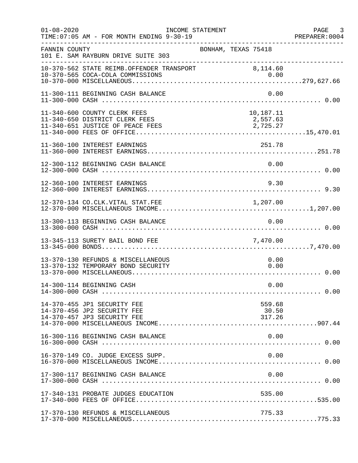| $01 - 08 - 2020$ | TIME: 07:05 AM - FOR MONTH ENDING 9-30-19                                                          | INCOME STATEMENT |                                   | PAGE<br>$\overline{\phantom{a}}$ 3<br>PREPARER: 0004 |
|------------------|----------------------------------------------------------------------------------------------------|------------------|-----------------------------------|------------------------------------------------------|
| FANNIN COUNTY    | 101 E. SAM RAYBURN DRIVE SUITE 303                                                                 |                  | BONHAM, TEXAS 75418               |                                                      |
|                  | 10-370-562 STATE REIMB.OFFENDER TRANSPORT 8,114.60                                                 |                  |                                   |                                                      |
|                  | 11-300-111 BEGINNING CASH BALANCE                                                                  |                  | 0.00                              |                                                      |
|                  | 11-340-600 COUNTY CLERK FEES<br>11-340-650 DISTRICT CLERK FEES<br>11-340-651 JUSTICE OF PEACE FEES |                  | 10,187.11<br>2,557.63<br>2,725.27 |                                                      |
|                  | 11-360-100 INTEREST EARNINGS                                                                       |                  | 251.78                            |                                                      |
|                  | 12-300-112 BEGINNING CASH BALANCE                                                                  |                  | 0.00                              |                                                      |
|                  | 12-360-100 INTEREST EARNINGS                                                                       |                  | 9.30                              |                                                      |
|                  | 12-370-134 CO.CLK.VITAL STAT.FEE                                                                   |                  | 1, 207.00                         |                                                      |
|                  | 13-300-113 BEGINNING CASH BALANCE                                                                  |                  | 0.00                              |                                                      |
|                  | 13-345-113 SURETY BAIL BOND FEE                                                                    |                  | 7,470.00                          |                                                      |
|                  | 13-370-130 REFUNDS & MISCELLANEOUS<br>13-370-132 TEMPORARY BOND SECURITY                           |                  | 0.00<br>0.00                      |                                                      |
|                  | 14-300-114 BEGINNING CASH                                                                          |                  | 0.00                              |                                                      |
|                  | 14-370-455 JP1 SECURITY FEE<br>14-370-456 JP2 SECURITY FEE<br>14-370-457 JP3 SECURITY FEE          |                  | 559.68<br>30.50<br>317.26         |                                                      |
|                  | 16-300-116 BEGINNING CASH BALANCE                                                                  |                  | 0.00                              |                                                      |
|                  | 16-370-149 CO. JUDGE EXCESS SUPP.                                                                  |                  | 0.00                              |                                                      |
|                  | 17-300-117 BEGINNING CASH BALANCE                                                                  |                  | 0.00                              |                                                      |
|                  | 17-340-131 PROBATE JUDGES EDUCATION                                                                |                  | 535.00                            |                                                      |
|                  | 17-370-130 REFUNDS & MISCELLANEOUS                                                                 |                  | 775.33                            |                                                      |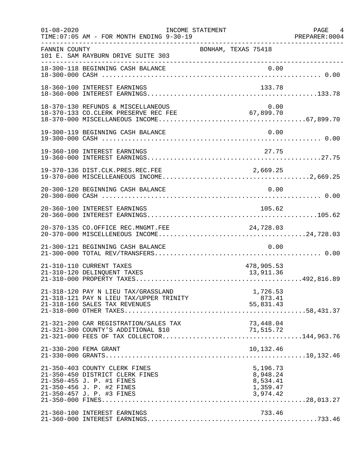| $01 - 08 - 2020$ | TIME: 07:05 AM - FOR MONTH ENDING 9-30-19                                                                                  | INCOME STATEMENT                             | PAGE 4<br>PREPARER: 0004 |
|------------------|----------------------------------------------------------------------------------------------------------------------------|----------------------------------------------|--------------------------|
| FANNIN COUNTY    | 101 E. SAM RAYBURN DRIVE SUITE 303<br>----------------------------------                                                   | BONHAM, TEXAS 75418                          |                          |
|                  | 18-300-118 BEGINNING CASH BALANCE                                                                                          | 0.00                                         |                          |
|                  | 18-360-100 INTEREST EARNINGS                                                                                               | 133.78                                       |                          |
|                  | 18-370-130 REFUNDS & MISCELLANEOUS<br>18-370-133 CO.CLERK PRESERVE REC FEE 67,899.70                                       | 0.00                                         |                          |
|                  | 19-300-119 BEGINNING CASH BALANCE                                                                                          | 0.00                                         |                          |
|                  | 19-360-100 INTEREST EARNINGS                                                                                               | 27.75                                        |                          |
|                  |                                                                                                                            |                                              |                          |
|                  | 20-300-120 BEGINNING CASH BALANCE                                                                                          | 0.00                                         |                          |
|                  | 20-360-100 INTEREST EARNINGS                                                                                               | 105.62                                       |                          |
|                  | 20-370-135 CO.OFFICE REC.MNGMT.FEE                                                                                         | 24,728.03                                    |                          |
|                  | 21-300-121 BEGINNING CASH BALANCE                                                                                          | 0.00                                         |                          |
|                  | 21-310-110 CURRENT TAXES<br>21-310-120 DELINQUENT TAXES                                                                    | 478,905.53<br>13,911.36                      |                          |
|                  | 21-318-120 PAY N LIEU TAX/GRASSLAND<br>21-318-121 PAY N LIEU TAX/UPPER TRINITY<br>21-318-160 SALES TAX REVENUES            | 1,726.53<br>873.41<br>55,831.43              |                          |
|                  |                                                                                                                            |                                              |                          |
|                  | 21-330-200 FEMA GRANT                                                                                                      | 10,132.46                                    |                          |
|                  | 21-350-403 COUNTY CLERK FINES<br>21-350-450 DISTRICT CLERK FINES<br>21-350-455 J. P. #1 FINES<br>21-350-456 J. P. #2 FINES | 5,196.73<br>8,948.24<br>8,534.41<br>1,359.47 |                          |
|                  | 21-360-100 INTEREST EARNINGS                                                                                               | 733.46                                       |                          |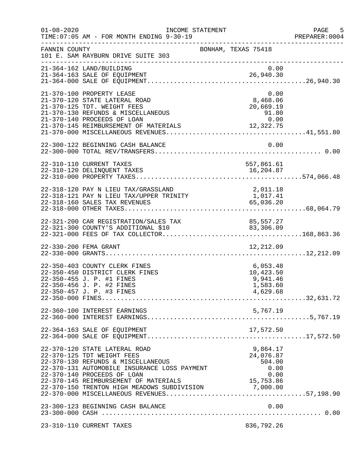| $01 - 08 - 2020$ | INCOME STATEMENT<br>TIME: 07:05 AM - FOR MONTH ENDING 9-30-19                                                                                                                                                             |                                                                | PAGE 5<br>PREPARER:0004 |
|------------------|---------------------------------------------------------------------------------------------------------------------------------------------------------------------------------------------------------------------------|----------------------------------------------------------------|-------------------------|
| FANNIN COUNTY    | 101 E. SAM RAYBURN DRIVE SUITE 303                                                                                                                                                                                        | ------------------------------------<br>BONHAM, TEXAS 75418    |                         |
|                  | 21-364-162 LAND/BUILDING                                                                                                                                                                                                  | 0.00                                                           |                         |
|                  | 21-370-100 PROPERTY LEASE<br>21-370-120 STATE LATERAL ROAD<br>21-370-125 TDT. WEIGHT FEES                                                                                                                                 | 0.00<br>8,468.06<br>20,669.19                                  |                         |
|                  | 22-300-122 BEGINNING CASH BALANCE                                                                                                                                                                                         | 0.00                                                           |                         |
|                  | 22-310-110 CURRENT TAXES<br>22-310-120 DELINQUENT TAXES                                                                                                                                                                   | 557,861.61<br>16, 204.87                                       |                         |
|                  | 22-318-120 PAY N LIEU TAX/GRASSLAND<br>22-318-121 PAY N LIEU TAX/UPPER TRINITY<br>22-318-160 SALES TAX REVENUES                                                                                                           | 2,011.18<br>1,017.41<br>65,036.20                              |                         |
|                  | 122-321-200 CAR REGISTRATION/SALES TAX 85,306.09                                                                                                                                                                          |                                                                |                         |
|                  | 22-330-200 FEMA GRANT                                                                                                                                                                                                     | 12,212.09                                                      |                         |
|                  | 22-350-403 COUNTY CLERK FINES<br>22-350-450 DISTRICT CLERK FINES<br>22-350-455 J. P. #1 FINES<br>22-350-456 J. P. #2 FINES<br>22-350-457 J. P. #3 FINES                                                                   | 6,053.48<br>10,423.50<br>9,941.46<br>1,583.60<br>4,629.68      |                         |
|                  | 22-360-100 INTEREST EARNINGS                                                                                                                                                                                              | 5,767.19                                                       |                         |
|                  | 22-364-163 SALE OF EQUIPMENT                                                                                                                                                                                              |                                                                |                         |
|                  | 22-370-120 STATE LATERAL ROAD<br>22-370-125 TDT WEIGHT FEES<br>22-370-130 REFUNDS & MISCELLANEOUS<br>22-370-131 AUTOMOBILE INSURANCE LOSS PAYMENT<br>22-370-140 PROCEEDS OF LOAN<br>22-370-145 REIMBURSEMENT OF MATERIALS | 9,864.17<br>24,076.87<br>504.00<br>0.00<br>$0.00$<br>15,753.86 |                         |
|                  | 23-300-123 BEGINNING CASH BALANCE                                                                                                                                                                                         | 0.00                                                           |                         |
|                  | 23-310-110 CURRENT TAXES                                                                                                                                                                                                  | 836,792.26                                                     |                         |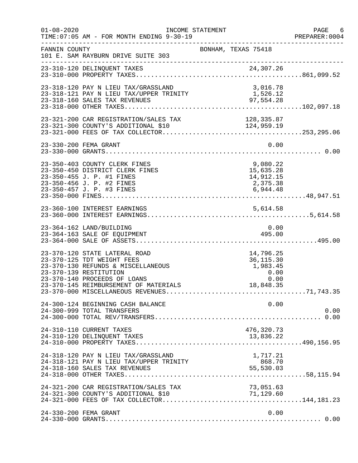| $01 - 08 - 2020$ | TIME: 07:05 AM - FOR MONTH ENDING 9-30-19                                                                                                                                                            | INCOME STATEMENT                                                   | PAGE 6<br>PREPARER: 0004 |
|------------------|------------------------------------------------------------------------------------------------------------------------------------------------------------------------------------------------------|--------------------------------------------------------------------|--------------------------|
| FANNIN COUNTY    | 101 E. SAM RAYBURN DRIVE SUITE 303                                                                                                                                                                   | BONHAM, TEXAS 75418                                                |                          |
|                  | 23-310-120 DELINQUENT TAXES                                                                                                                                                                          |                                                                    |                          |
|                  | 23-318-120 PAY N LIEU TAX/GRASSLAND                                                                                                                                                                  | 3,016.78                                                           |                          |
|                  |                                                                                                                                                                                                      |                                                                    |                          |
|                  | 23-330-200 FEMA GRANT                                                                                                                                                                                | 0.00                                                               |                          |
|                  | 23-350-403 COUNTY CLERK FINES<br>23-350-450 DISTRICT CLERK FINES<br>23-350-455 J. P. #1 FINES<br>23-350-456 J. P. #2 FINES                                                                           | 9,080.22<br>15,635.28<br>14,912.15<br>2,375.38                     |                          |
|                  |                                                                                                                                                                                                      |                                                                    |                          |
|                  | 23-364-162 LAND/BUILDING<br>23-364-163 SALE OF EQUIPMENT                                                                                                                                             | 0.00<br>495.00                                                     |                          |
|                  | 23-370-120 STATE LATERAL ROAD<br>23-370-125 TDT WEIGHT FEES<br>23-370-130 REFUNDS & MISCELLANEOUS<br>23-370-139 RESTITUTION<br>23-370-140 PROCEEDS OF LOANS<br>23-370-145 REIMBURSEMENT OF MATERIALS | 14,796.25<br>36, 115.30<br>1,983.45<br>$0.00$ $0.00$ $18,848$ $35$ |                          |
|                  | 24-300-124 BEGINNING CASH BALANCE<br>24-300-999 TOTAL TRANSFERS                                                                                                                                      | 0.00                                                               | 0.00                     |
|                  | 24-310-110 CURRENT TAXES<br>24-310-120 DELINQUENT TAXES                                                                                                                                              | 476,320.73<br>13,836.22                                            |                          |
|                  | 24-318-120 PAY N LIEU TAX/GRASSLAND<br>24-318-121 PAY N LIEU TAX/UPPER TRINITY<br>24-318-160 SALES TAX REVENUES                                                                                      | 1,717.21<br>868.70<br>55,530.03                                    |                          |
|                  | 24-321-200 CAR REGISTRATION/SALES TAX                                                                                                                                                                | 73,051.63<br>71,129.60                                             |                          |
|                  | 24-330-200 FEMA GRANT                                                                                                                                                                                | 0.00                                                               |                          |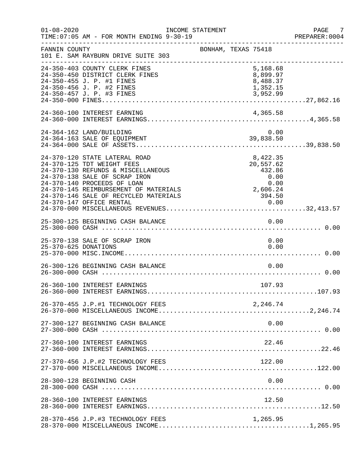| $01 - 08 - 2020$     | INCOME STATEMENT<br>TIME: 07:05 AM - FOR MONTH ENDING 9-30-19                                                                                                                                                                                                                   |                     |                                                                               | PAGE 7<br>PREPARER: 0004 |
|----------------------|---------------------------------------------------------------------------------------------------------------------------------------------------------------------------------------------------------------------------------------------------------------------------------|---------------------|-------------------------------------------------------------------------------|--------------------------|
| FANNIN COUNTY        | 101 E. SAM RAYBURN DRIVE SUITE 303                                                                                                                                                                                                                                              | BONHAM, TEXAS 75418 |                                                                               |                          |
|                      | 24-350-403 COUNTY CLERK FINES<br>24-350-450 DISTRICT CLERK FINES<br>24-350-455 J. P. #1 FINES<br>24-350-456 J. P. #2 FINES<br>24-350-457 J. P. #3 FINES                                                                                                                         |                     | 5,168.68<br>8,899.97<br>8,488.37<br>1,352.15<br>3,952.99                      |                          |
|                      | 24-360-100 INTEREST EARNING                                                                                                                                                                                                                                                     |                     | 4,365.58                                                                      |                          |
|                      | 24-364-162 LAND/BUILDING                                                                                                                                                                                                                                                        |                     | 0.00                                                                          |                          |
|                      | 24-370-120 STATE LATERAL ROAD<br>24-370-125 TDT WEIGHT FEES<br>24-370-130 REFUNDS & MISCELLANEOUS<br>24-370-138 SALE OF SCRAP IRON<br>24-370-140 PROCEEDS OF LOAN<br>24-370-145 REIMBURSEMENT OF MATERIALS<br>24-370-146 SALE OF RECYCLED MATERIALS<br>24-370-147 OFFICE RENTAL |                     | 8,422.35<br>20,557.62<br>432.86<br>0.00<br>0.00<br>2,606.24<br>394.50<br>0.00 |                          |
|                      | 25-300-125 BEGINNING CASH BALANCE                                                                                                                                                                                                                                               |                     | 0.00                                                                          |                          |
| 25-370-625 DONATIONS | 25-370-138 SALE OF SCRAP IRON                                                                                                                                                                                                                                                   |                     | 0.00<br>0.00                                                                  |                          |
|                      | 26-300-126 BEGINNING CASH BALANCE                                                                                                                                                                                                                                               |                     | 0.00                                                                          |                          |
|                      | 26-360-100 INTEREST EARNINGS                                                                                                                                                                                                                                                    |                     | 107.93                                                                        |                          |
|                      |                                                                                                                                                                                                                                                                                 |                     |                                                                               |                          |
|                      | 27-300-127 BEGINNING CASH BALANCE                                                                                                                                                                                                                                               |                     | 0.00                                                                          |                          |
|                      | 27-360-100 INTEREST EARNINGS                                                                                                                                                                                                                                                    |                     | 22.46                                                                         |                          |
|                      | 27-370-456 J.P.#2 TECHNOLOGY FEES                                                                                                                                                                                                                                               |                     | 122.00                                                                        |                          |
|                      | 28-300-128 BEGINNING CASH                                                                                                                                                                                                                                                       |                     | 0.00                                                                          |                          |
|                      | 28-360-100 INTEREST EARNINGS                                                                                                                                                                                                                                                    |                     | 12.50                                                                         |                          |
|                      | 28-370-456 J.P.#3 TECHNOLOGY FEES                                                                                                                                                                                                                                               |                     | 1,265.95                                                                      |                          |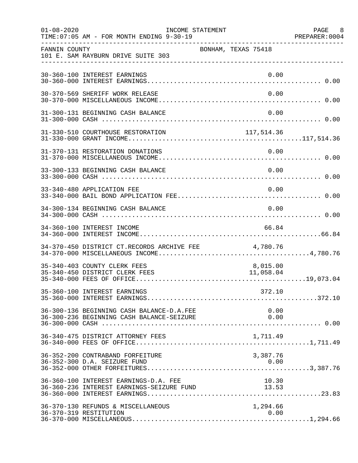| $01 - 08 - 2020$ | TIME: 07:05 AM - FOR MONTH ENDING 9-30-19                                              | INCOME STATEMENT    |                                | PAGE 8<br>PREPARER: 0004 |
|------------------|----------------------------------------------------------------------------------------|---------------------|--------------------------------|--------------------------|
| FANNIN COUNTY    | 101 E. SAM RAYBURN DRIVE SUITE 303                                                     | BONHAM, TEXAS 75418 |                                |                          |
|                  | 30-360-100 INTEREST EARNINGS                                                           |                     | 0.00                           |                          |
|                  | 30-370-569 SHERIFF WORK RELEASE                                                        |                     | 0.00                           |                          |
|                  | 31-300-131 BEGINNING CASH BALANCE                                                      |                     | 0.00                           |                          |
|                  |                                                                                        |                     |                                |                          |
|                  | 31-370-131 RESTORATION DONATIONS                                                       |                     | 0.00                           |                          |
|                  | 33-300-133 BEGINNING CASH BALANCE                                                      |                     | 0.00                           |                          |
|                  | 33-340-480 APPLICATION FEE                                                             |                     | 0.00                           |                          |
|                  | 34-300-134 BEGINNING CASH BALANCE                                                      |                     | 0.00                           |                          |
|                  | 34-360-100 INTEREST INCOME                                                             |                     | 66.84                          |                          |
|                  | 34-370-450 DISTRICT CT.RECORDS ARCHIVE FEE 4,780.76                                    |                     |                                |                          |
|                  | 35-340-403 COUNTY CLERK FEES<br>35-340-450 DISTRICT CLERK FEES                         |                     | 8,015.00<br>11,058.04          |                          |
|                  | 35-360-100 INTEREST EARNINGS                                                           |                     | 372.10                         |                          |
|                  | 36-300-136 BEGINNING CASH BALANCE-D.A.FEE<br>36-300-236 BEGINNING CASH BALANCE-SEIZURE |                     | 0.00<br>0.00                   |                          |
|                  | 36-340-475 DISTRICT ATTORNEY FEES                                                      |                     | 1,711.49                       |                          |
|                  | 36-352-200 CONTRABAND FORFEITURE<br>36-352-300 D.A. SEIZURE FUND                       |                     | 3,387.76<br>0.00               |                          |
|                  | 36-360-100 INTEREST EARNINGS-D.A. FEE<br>36-360-236 INTEREST EARNINGS-SEIZURE FUND     |                     | 10.30<br>$\frac{10.58}{13.53}$ |                          |
|                  | 36-370-130 REFUNDS & MISCELLANEOUS<br>36-370-319 RESTITUTION                           |                     | 1,294.66<br>0.00               |                          |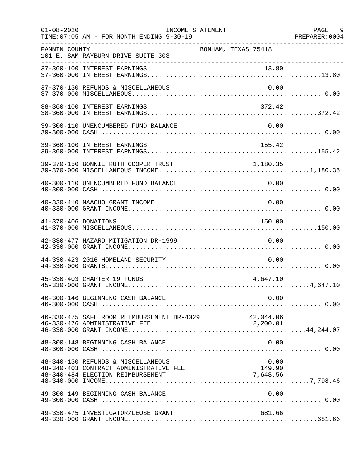| $01 - 08 - 2020$     | TIME: 07:05 AM - FOR MONTH ENDING 9-30-19                                                                         | INCOME STATEMENT           | PAGE 9 |
|----------------------|-------------------------------------------------------------------------------------------------------------------|----------------------------|--------|
| FANNIN COUNTY        | ______________________________________<br>101 E. SAM RAYBURN DRIVE SUITE 303                                      | BONHAM, TEXAS 75418        |        |
|                      |                                                                                                                   |                            |        |
|                      | 37-370-130 REFUNDS & MISCELLANEOUS                                                                                | 0.00                       |        |
|                      | 38-360-100 INTEREST EARNINGS                                                                                      | 372.42                     |        |
|                      | 39-300-110 UNENCUMBERED FUND BALANCE                                                                              | 0.00                       |        |
|                      | 39-360-100 INTEREST EARNINGS                                                                                      | 155.42                     |        |
|                      | 39-370-150 BONNIE RUTH COOPER TRUST                                                                               | 1,180.35                   |        |
|                      | 40-300-110 UNENCUMBERED FUND BALANCE                                                                              | 0.00                       |        |
|                      | 40-330-410 NAACHO GRANT INCOME                                                                                    | 0.00                       |        |
| 41-370-406 DONATIONS |                                                                                                                   | 150.00                     |        |
|                      | 42-330-477 HAZARD MITIGATION DR-1999                                                                              | 0.00                       |        |
|                      | 44-330-423 2016 HOMELAND SECURITY                                                                                 | 0.00                       |        |
|                      | 45-330-403 CHAPTER 19 FUNDS                                                                                       | 4,647.10                   |        |
|                      |                                                                                                                   |                            |        |
|                      | 46-330-475 SAFE ROOM REIMBURSEMENT DR-4029 42,044.06                                                              |                            |        |
|                      | 48-300-148 BEGINNING CASH BALANCE                                                                                 | 0.00                       |        |
|                      | 48-340-130 REFUNDS & MISCELLANEOUS<br>48-340-403 CONTRACT ADMINISTRATIVE FEE<br>48-340-484 ELECTION REIMBURSEMENT | 0.00<br>149.90<br>7,648.56 |        |
|                      | 49-300-149 BEGINNING CASH BALANCE                                                                                 | 0.00                       |        |
|                      | 49-330-475 INVESTIGATOR/LEOSE GRANT                                                                               | 681.66                     |        |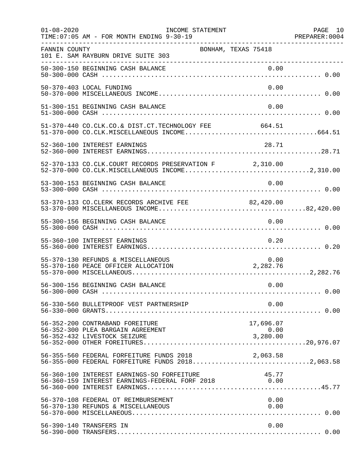| $01 - 08 - 2020$ | INCOME STATEMENT<br>TIME: 07:05 AM - FOR MONTH ENDING 9-30-19                                           |                               | PAGE 10<br>PREPARER:0004 |
|------------------|---------------------------------------------------------------------------------------------------------|-------------------------------|--------------------------|
| FANNIN COUNTY    | 101 E. SAM RAYBURN DRIVE SUITE 303                                                                      | BONHAM, TEXAS 75418           |                          |
|                  | 50-300-150 BEGINNING CASH BALANCE                                                                       | 0.00                          |                          |
|                  | 50-370-403 LOCAL FUNDING                                                                                | 0.00                          |                          |
|                  | 51-300-151 BEGINNING CASH BALANCE                                                                       | 0.00                          |                          |
|                  | 51-370-440 CO.CLK.CO.& DIST.CT.TECHNOLOGY FEE 664.51                                                    |                               |                          |
|                  | 52-360-100 INTEREST EARNINGS                                                                            | 28.71                         |                          |
|                  | 52-370-133 CO.CLK.COURT RECORDS PRESERVATION F 2,310.00                                                 |                               |                          |
|                  | 53-300-153 BEGINNING CASH BALANCE                                                                       | 0.00                          |                          |
|                  | 53-370-133 CO.CLERK RECORDS ARCHIVE FEE 82,420.00                                                       |                               |                          |
|                  | 55-300-156 BEGINNING CASH BALANCE                                                                       | 0.00                          |                          |
|                  | 55-360-100 INTEREST EARNINGS                                                                            | 0.20                          |                          |
|                  | 55-370-130 REFUNDS & MISCELLANEOUS<br>55-370-160 PEACE OFFICER ALLOCATION                               | 0.00<br>2,282.76              |                          |
|                  | 56-300-156 BEGINNING CASH BALANCE                                                                       | 0.00                          |                          |
|                  | 56-330-560 BULLETPROOF VEST PARTNERSHIP                                                                 | 0.00                          |                          |
|                  | 56-352-200 CONTRABAND FOREITURE<br>56-352-300 PLEA BARGAIN AGREEMENT<br>56-352-432 LIVESTOCK SEIZURE    | 17,696.07<br>0.00<br>3,280.00 |                          |
|                  | 56-355-560 FEDERAL FORFEITURE FUNDS 2018 2018<br>56-355-000 FEDERAL FORFEITURE FUNDS 20182,063.58       |                               |                          |
|                  | 56-360-100 INTEREST EARNINGS-SO FORFEITURE 45.77<br>56-360-159 INTEREST EARNINGS-FEDERAL FORF 2018 6.00 |                               |                          |
|                  | 56-370-108 FEDERAL OT REIMBURSEMENT<br>56-370-130 REFUNDS & MISCELLANEOUS                               | 0.00<br>0.00                  |                          |
|                  | 56-390-140 TRANSFERS IN                                                                                 | 0.00                          |                          |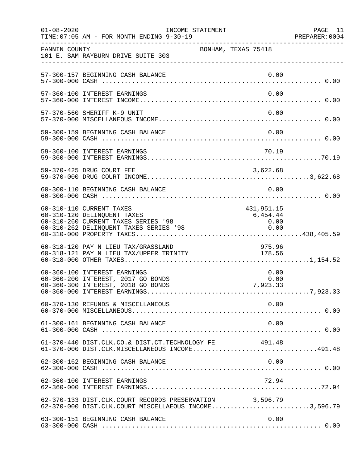| $01 - 08 - 2020$ | INCOME STATEMENT<br>TIME: 07:05 AM - FOR MONTH ENDING 9-30-19                                                                            |                                        | PAGE 11<br>PREPARER:0004 |
|------------------|------------------------------------------------------------------------------------------------------------------------------------------|----------------------------------------|--------------------------|
| FANNIN COUNTY    | 101 E. SAM RAYBURN DRIVE SUITE 303                                                                                                       | BONHAM, TEXAS 75418                    |                          |
|                  | 57-300-157 BEGINNING CASH BALANCE                                                                                                        | 0.00                                   |                          |
|                  | 57-360-100 INTEREST EARNINGS                                                                                                             | 0.00                                   |                          |
|                  | 57-370-560 SHERIFF K-9 UNIT                                                                                                              | 0.00                                   |                          |
|                  | 59-300-159 BEGINNING CASH BALANCE                                                                                                        | 0.00                                   |                          |
|                  | 59-360-100 INTEREST EARNINGS                                                                                                             | 70.19                                  |                          |
|                  |                                                                                                                                          |                                        |                          |
|                  | 60-300-110 BEGINNING CASH BALANCE                                                                                                        | 0.00                                   |                          |
|                  | 60-310-110 CURRENT TAXES<br>60-310-120 DELINQUENT TAXES<br>60-310-260 CURRENT TAXES SERIES '98<br>60-310-262 DELINQUENT TAXES SERIES '98 | 431,951.15<br>6,454.44<br>0.00<br>0.00 |                          |
|                  | 60-318-120 PAY N LIEU TAX/GRASSLAND<br>00-310-120 FAI N DIEU IAA/GRASSDAND<br>60-318-121 PAY N LIEU TAX/UPPER TRINITY 178.56             | 975.96                                 |                          |
|                  | 60-360-100 INTEREST EARNINGS<br>60-360-200 INTEREST, 2017 GO BONDS<br>60-360-300 INTEREST, 2018 GO BONDS                                 | 0.00<br>0.00<br>7,923.33               |                          |
|                  | 60-370-130 REFUNDS & MISCELLANEOUS                                                                                                       | 0.00                                   |                          |
|                  | 61-300-161 BEGINNING CASH BALANCE                                                                                                        | 0.00                                   |                          |
|                  | 61-370-440 DIST.CLK.CO.& DIST.CT.TECHNOLOGY FE<br>61-370-000 DIST.CLK.MISCELLANEOUS INCOME491.48                                         | 491.48                                 |                          |
|                  | 62-300-162 BEGINNING CASH BALANCE                                                                                                        | 0.00                                   |                          |
|                  | 62-360-100 INTEREST EARNINGS                                                                                                             | 72.94                                  |                          |
|                  | 62-370-133 DIST.CLK.COURT RECORDS PRESERVATION 3,596.79<br>62-370-000 DIST.CLK.COURT MISCELLAEOUS INCOME3,596.79                         |                                        |                          |
|                  | 63-300-151 BEGINNING CASH BALANCE                                                                                                        | 0.00                                   |                          |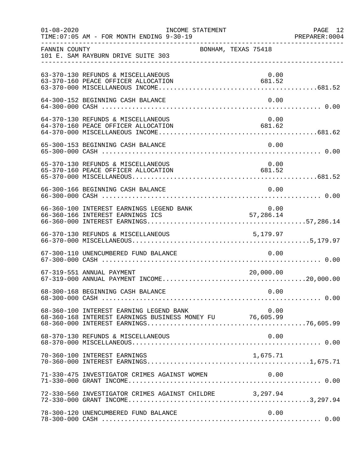| $01 - 08 - 2020$ |                                                                                                     | INCOME STATEMENT |                     | PAGE 12 |
|------------------|-----------------------------------------------------------------------------------------------------|------------------|---------------------|---------|
| FANNIN COUNTY    | 101 E. SAM RAYBURN DRIVE SUITE 303                                                                  |                  | BONHAM, TEXAS 75418 |         |
|                  | 63-370-130 REFUNDS & MISCELLANEOUS<br>63-370-160 PEACE OFFICER ALLOCATION                           |                  | 0.00<br>681.52      |         |
|                  | 64-300-152 BEGINNING CASH BALANCE                                                                   |                  | 0.00                |         |
|                  | 64-370-130 REFUNDS & MISCELLANEOUS<br>64-370-160 PEACE OFFICER ALLOCATION                           |                  | 0.00<br>681.62      |         |
|                  | 65-300-153 BEGINNING CASH BALANCE                                                                   |                  | 0.00                |         |
|                  | 65-370-130 REFUNDS & MISCELLANEOUS<br>65-370-160 PEACE OFFICER ALLOCATION                           |                  | 0.00<br>681.52      |         |
|                  | 66-300-166 BEGINNING CASH BALANCE                                                                   |                  | 0.00                |         |
|                  | 66-360-100 INTEREST EARNINGS LEGEND BANK 0.00<br>66-360-166 INTEREST EARNINGS ICS 57,286.14         |                  |                     |         |
|                  |                                                                                                     |                  |                     |         |
|                  | 67-300-110 UNENCUMBERED FUND BALANCE                                                                |                  | 0.00                |         |
|                  | 67-319-551 ANNUAL PAYMENT                                                                           |                  | 20,000.00           |         |
|                  | 68-300-168 BEGINNING CASH BALANCE                                                                   |                  | 0.00                |         |
|                  | 68-360-100 INTEREST EARNING LEGEND BANK<br>68-360-168 INTEREST EARNINGS BUSINESS MONEY FU 76,605.99 |                  | 0.00                |         |
|                  | 68-370-130 REFUNDS & MISCELLANEOUS                                                                  |                  | 0.00                |         |
|                  | 70-360-100 INTEREST EARNINGS                                                                        |                  | 1,675.71            |         |
|                  |                                                                                                     |                  |                     |         |
|                  | 72-330-560 INVESTIGATOR CRIMES AGAINST CHILDRE 3,297.94                                             |                  |                     |         |
|                  | 78-300-120 UNENCUMBERED FUND BALANCE                                                                |                  | 0.00                |         |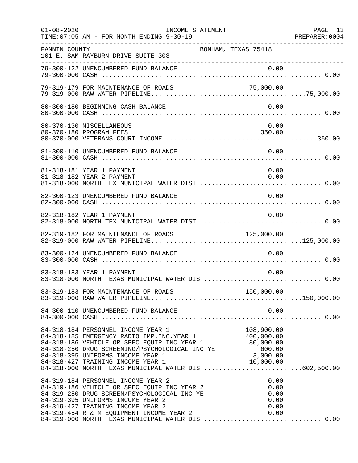| $01 - 08 - 2020$ | INCOME STATEMENT<br>TIME: 07:05 AM - FOR MONTH ENDING 9-30-19                                                                                                                                                                                                                                                                                              |                                              | PAGE 13<br>PREPARER: 0004 |
|------------------|------------------------------------------------------------------------------------------------------------------------------------------------------------------------------------------------------------------------------------------------------------------------------------------------------------------------------------------------------------|----------------------------------------------|---------------------------|
| FANNIN COUNTY    | 101 E. SAM RAYBURN DRIVE SUITE 303                                                                                                                                                                                                                                                                                                                         | BONHAM, TEXAS 75418                          |                           |
|                  |                                                                                                                                                                                                                                                                                                                                                            |                                              |                           |
|                  | 79-319-179 FOR MAINTENANCE OF ROADS                                                                                                                                                                                                                                                                                                                        | 75,000.00                                    |                           |
|                  | 80-300-180 BEGINNING CASH BALANCE                                                                                                                                                                                                                                                                                                                          | 0.00                                         |                           |
|                  | 80-370-130 MISCELLANEOUS<br>80-370-180 PROGRAM FEES                                                                                                                                                                                                                                                                                                        | 0.00<br>350.00                               |                           |
|                  | 81-300-110 UNENCUMBERED FUND BALANCE                                                                                                                                                                                                                                                                                                                       | 0.00                                         |                           |
|                  | 81-318-181 YEAR 1 PAYMENT<br>81-318-182 YEAR 2 PAYMENT                                                                                                                                                                                                                                                                                                     | 0.00<br>0.00                                 |                           |
|                  | 82-300-123 UNENCUMBERED FUND BALANCE                                                                                                                                                                                                                                                                                                                       | 0.00                                         |                           |
|                  | 82-318-182 YEAR 1 PAYMENT                                                                                                                                                                                                                                                                                                                                  | 0.00                                         |                           |
|                  | 82-319-182 FOR MAINTENANCE OF ROADS                                                                                                                                                                                                                                                                                                                        | 125,000.00                                   |                           |
|                  | 83-300-124 UNENCUMBERED FUND BALANCE                                                                                                                                                                                                                                                                                                                       | 0.00                                         |                           |
|                  | 83-318-183 YEAR 1 PAYMENT<br>83-318-000 NORTH TEXAS MUNICIPAL WATER DIST 0.00                                                                                                                                                                                                                                                                              | 0.00                                         |                           |
|                  |                                                                                                                                                                                                                                                                                                                                                            |                                              |                           |
|                  | 84-300-110 UNENCUMBERED FUND BALANCE                                                                                                                                                                                                                                                                                                                       | 0.00                                         |                           |
|                  | 84-318-184 PERSONNEL INCOME YEAR 1<br>84-318-185 EMERGENCY RADIO IMP. INC. YEAR 1 400,000.00<br>84-318-186 VEHICLE OR SPEC EQUIP INC YEAR 1 80,000.00<br>84-318-250 DRUG SCREENING/PSYCHOLOGICAL INC YE 600.00<br>84-318-395 UNIFORMS INCOME YEAR 1 3,000.00<br>84-318-427 TRAINING INCOME YEAR 1<br>84-318-000 NORTH TEXAS MUNICIPAL WATER DIST602,500.00 | 108,900.00<br>10,000.00                      |                           |
|                  | 84-319-184 PERSONNEL INCOME YEAR 2<br>84-319-186 VEHICLE OR SPEC EQUIP INC YEAR 2<br>84-319-250 DRUG SCREEN/PSYCHOLOGICAL INC YE<br>84-319-395 UNIFORMS INCOME YEAR 2<br>84-319-427 TRAINING INCOME YEAR 2<br>84-319-454 R & M EQUIPMENT INCOME YEAR 2                                                                                                     | 0.00<br>0.00<br>0.00<br>0.00<br>0.00<br>0.00 |                           |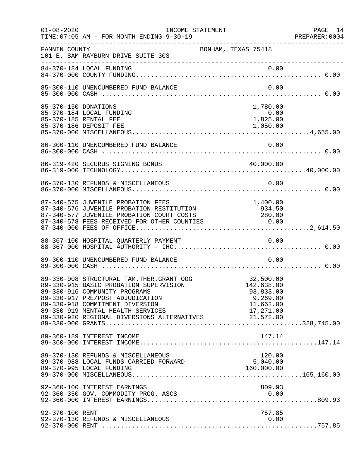| $01 - 08 - 2020$     | INCOME STATEMENT<br>TIME: 07:05 AM - FOR MONTH ENDING 9-30-19                                                                                                                                                                                                                                        |                                                               | PAGE 14 |
|----------------------|------------------------------------------------------------------------------------------------------------------------------------------------------------------------------------------------------------------------------------------------------------------------------------------------------|---------------------------------------------------------------|---------|
| FANNIN COUNTY        | 101 E. SAM RAYBURN DRIVE SUITE 303                                                                                                                                                                                                                                                                   | BONHAM, TEXAS 75418                                           |         |
|                      | 84-370-184 LOCAL FUNDING                                                                                                                                                                                                                                                                             |                                                               |         |
|                      | 85-300-110 UNENCUMBERED FUND BALANCE                                                                                                                                                                                                                                                                 | 0.00                                                          |         |
| 85-370-150 DONATIONS | 85-370-184 LOCAL FUNDING<br>85-370-185 RENTAL FEE                                                                                                                                                                                                                                                    | 1,780.00<br>0.00<br>1,825.00                                  |         |
|                      | 86-300-110 UNENCUMBERED FUND BALANCE                                                                                                                                                                                                                                                                 | 0.00                                                          |         |
|                      | 86-319-420 SECURUS SIGNING BONUS                                                                                                                                                                                                                                                                     | 40,000.00                                                     |         |
|                      | 86-370-130 REFUNDS & MISCELLANEOUS                                                                                                                                                                                                                                                                   | 0.00                                                          |         |
|                      | 87-340-575 JUVENILE PROBATION FEES<br>87-340-576 JUVENILE PROBATION RESTITUTION<br>87-340-577 JUVENILE PROBATION COURT COSTS 280.00<br>87-340-578 FEES RECEIVED FOR OTHER COUNTIES 0.00                                                                                                              | 1,400.00<br>934.50                                            |         |
|                      | 88-367-100 HOSPITAL QUARTERLY PAYMENT                                                                                                                                                                                                                                                                | 0.00                                                          |         |
|                      | 89-300-110 UNENCUMBERED FUND BALANCE                                                                                                                                                                                                                                                                 | 0.00                                                          |         |
|                      | 89-330-908 STRUCTURAL FAM. THER. GRANT OOG<br>89-330-915 BASIC PROBATION SUPERVISION<br>89-330-916 COMMUNITY PROGRAMS<br>89-330-917 PRE/POST ADJUDICATION<br>89-330-918 COMMITMENT DIVERSION<br>89-330-919 MENTAL HEALTH SERVICES 17,271.00<br>89-330-920 REGIONAL DIVERSIONS ALTERNATIVES 21,572.00 | 32,500.00<br>142,638.00<br>93,833.00<br>9,269.00<br>11,662.00 |         |
|                      | 89-360-189 INTEREST INCOME                                                                                                                                                                                                                                                                           | 147.14                                                        |         |
|                      | 89-370-130 REFUNDS & MISCELLANEOUS<br>89-370-988 LOCAL FUNDS CARRIED FORWARD                                                                                                                                                                                                                         | 120.00<br>5,040.00                                            |         |
|                      | 92-360-100 INTEREST EARNINGS                                                                                                                                                                                                                                                                         | 809.93                                                        |         |
| 92-370-100 RENT      | 92-370-130 REFUNDS & MISCELLANEOUS                                                                                                                                                                                                                                                                   | 757.85<br>0.00                                                |         |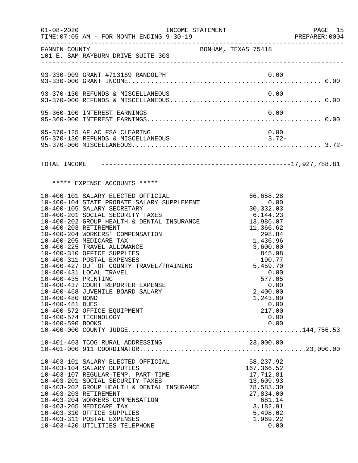| $01 - 08 - 2020$                                          | INCOME STATEMENT                                                                                                                                                                                                                                                                                                                                                                                                                                                                                                                                                                                       |                                                                                                                                                                                                                 | PAGE 15<br>PREPARER: 0004 |
|-----------------------------------------------------------|--------------------------------------------------------------------------------------------------------------------------------------------------------------------------------------------------------------------------------------------------------------------------------------------------------------------------------------------------------------------------------------------------------------------------------------------------------------------------------------------------------------------------------------------------------------------------------------------------------|-----------------------------------------------------------------------------------------------------------------------------------------------------------------------------------------------------------------|---------------------------|
|                                                           | FANNIN COUNTY<br>101 E. SAM RAYBURN DRIVE SUITE 303                                                                                                                                                                                                                                                                                                                                                                                                                                                                                                                                                    | BONHAM, TEXAS 75418                                                                                                                                                                                             |                           |
|                                                           | 93-330-909 GRANT #713169 RANDOLPH                                                                                                                                                                                                                                                                                                                                                                                                                                                                                                                                                                      |                                                                                                                                                                                                                 |                           |
|                                                           | 93-370-130 REFUNDS & MISCELLANEOUS                                                                                                                                                                                                                                                                                                                                                                                                                                                                                                                                                                     | 0.00                                                                                                                                                                                                            |                           |
|                                                           | 95-360-100 INTEREST EARNINGS                                                                                                                                                                                                                                                                                                                                                                                                                                                                                                                                                                           | 0.00                                                                                                                                                                                                            |                           |
|                                                           | 95-370-125 AFLAC FSA CLEARING<br>95-370-130 REFUNDS & MISCELLANEOUS                                                                                                                                                                                                                                                                                                                                                                                                                                                                                                                                    | 0.00<br>$3.72-$                                                                                                                                                                                                 |                           |
|                                                           |                                                                                                                                                                                                                                                                                                                                                                                                                                                                                                                                                                                                        |                                                                                                                                                                                                                 |                           |
|                                                           | ***** EXPENSE ACCOUNTS *****                                                                                                                                                                                                                                                                                                                                                                                                                                                                                                                                                                           |                                                                                                                                                                                                                 |                           |
| 10-400-435 PRINTING<br>10-400-480 BOND<br>10-400-481 DUES | 10-400-101 SALARY ELECTED OFFICIAL<br>10-400-104 STATE PROBATE SALARY SUPPLEMENT<br>10-400-105 SALARY SECRETARY<br>10-400-201 SOCIAL SECURITY TAXES<br>10-400-202 GROUP HEALTH & DENTAL INSURANCE 13,986.07<br>10-400-203 RETIREMENT<br>10-400-204 WORKERS' COMPENSATION<br>10-400-205 MEDICARE TAX<br>10-400-225 TRAVEL ALLOWANCE<br>10-400-310 OFFICE SUPPLIES<br>10-400-311 POSTAL EXPENSES<br>10-400-427 OUT OF COUNTY TRAVEL/TRAINING<br>10-400-431 LOCAL TRAVEL<br>10-400-437 COURT REPORTER EXPENSE<br>10-400-468 JUVENILE BOARD SALARY<br>10-400-572 OFFICE EQUIPMENT<br>10-400-574 TECHNOLOGY | 66,658.28<br>0.00<br>30,332.03<br>6,144.23<br>11,366.62<br>298.84<br>1,436.96<br>3,600.00<br>845.98<br>190.77<br>190.77<br>5,459.70<br>0.00<br>577.05<br>0.00<br>2,400.00<br>1,243.00<br>0.00<br>217.00<br>0.00 |                           |
|                                                           |                                                                                                                                                                                                                                                                                                                                                                                                                                                                                                                                                                                                        |                                                                                                                                                                                                                 |                           |
|                                                           | 10-403-101 SALARY ELECTED OFFICIAL<br>10-403-104 SALARY DEPUTIES<br>10-403-107 REGULAR-TEMP. PART-TIME<br>10-403-201 SOCIAL SECURITY TAXES<br>10-403-202 GROUP HEALTH & DENTAL INSURANCE<br>10-403-203 RETIREMENT<br>10-403-204 WORKERS COMPENSATION<br>10-403-205 MEDICARE TAX<br>10-403-310 OFFICE SUPPLIES<br>10-403-311 POSTAL EXPENSES<br>10-403-420 UTILITIES TELEPHONE                                                                                                                                                                                                                          | 58,237.92<br>167,366.52<br>17,712.81<br>13,609.93<br>78,583.30<br>27,834.00<br>681.14<br>3,182.91<br>5,498.02<br>1,969.22<br>0.00                                                                               |                           |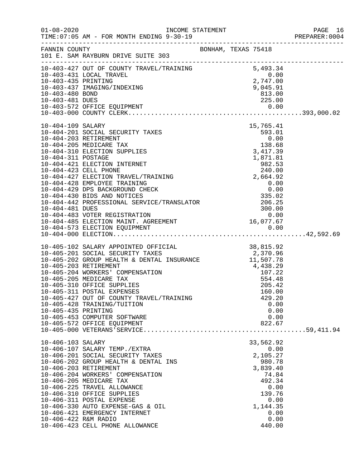|                      |                                                                                                                                                                                                                                            |  |                    | PAGE 16<br>PREPARER: 0004 |
|----------------------|--------------------------------------------------------------------------------------------------------------------------------------------------------------------------------------------------------------------------------------------|--|--------------------|---------------------------|
|                      |                                                                                                                                                                                                                                            |  |                    |                           |
|                      | 10-403-427 OUT OF COUNTY TRAVEL/TRAINING $10-403-431$ LOCAL TRAVEL<br>10-403-431 LOCAL TRAVEL<br>10-403-435 PRINTING 2,747.00<br>10-403-437 IMAGING/INDEXING 9,045.91<br>10-403-480 BOND 813.00                                            |  |                    |                           |
|                      |                                                                                                                                                                                                                                            |  |                    |                           |
|                      |                                                                                                                                                                                                                                            |  |                    |                           |
| 10-403-480 BOND      |                                                                                                                                                                                                                                            |  | 813.00             |                           |
| 10-403-481 DUES      |                                                                                                                                                                                                                                            |  | 225.00             |                           |
|                      |                                                                                                                                                                                                                                            |  |                    |                           |
|                      |                                                                                                                                                                                                                                            |  |                    |                           |
| 10-404-109 SALARY    | S<br>593.01<br>593.01<br>0.00<br>138.68<br>3,417.39<br>1,871.81<br>982.53                                                                                                                                                                  |  |                    |                           |
|                      | 10-404-201 SOCIAL SECURITY TAXES                                                                                                                                                                                                           |  |                    |                           |
|                      | 10-404-203 RETIREMENT                                                                                                                                                                                                                      |  |                    |                           |
|                      | 10-404-205 MEDICARE TAX                                                                                                                                                                                                                    |  |                    |                           |
|                      | 10-404-310 ELECTION SUPPLIES                                                                                                                                                                                                               |  |                    |                           |
| 10-404-311 POSTAGE   | 10-404-421 ELECTION INTERNET                                                                                                                                                                                                               |  |                    |                           |
|                      | 10-404-423 CELL PHONE                                                                                                                                                                                                                      |  | 240.00             |                           |
|                      | 10-404-427 ELECTION TRAVEL/TRAINING 2,664.92                                                                                                                                                                                               |  |                    |                           |
|                      |                                                                                                                                                                                                                                            |  |                    |                           |
|                      |                                                                                                                                                                                                                                            |  |                    |                           |
|                      |                                                                                                                                                                                                                                            |  |                    |                           |
|                      |                                                                                                                                                                                                                                            |  |                    |                           |
|                      |                                                                                                                                                                                                                                            |  |                    |                           |
|                      |                                                                                                                                                                                                                                            |  |                    |                           |
|                      |                                                                                                                                                                                                                                            |  |                    |                           |
|                      | 10-404-428 EMPLOYE TRAINING<br>10-404-429 DPS BACKGROUND CHECK<br>10-404-429 DPS BACKGROUND CHECK<br>10-404-430 BIDS AND NOTICES<br>10-404-442 PROFESSIONAL SERVICE/TRANSLATOR<br>10-404-483 VOTER REGISTRATION<br>10-404-483 VOTER REGIST |  |                    |                           |
|                      | 10-405-102 SALARY APPOINTED OFFICIAL 38,815.92<br>10-405-201 SOCIAL SECURITY TAXES 2,370.96<br>10-405-202 GROUP HEALTH & DENTAL INSURANCE 11,507.78<br>10-405-203 RETIREMENT 4,438.29<br>10-405-204 WORKERS' COMPENSATION 107.22<br>10-4   |  |                    |                           |
|                      |                                                                                                                                                                                                                                            |  |                    |                           |
|                      |                                                                                                                                                                                                                                            |  |                    |                           |
|                      |                                                                                                                                                                                                                                            |  |                    |                           |
|                      |                                                                                                                                                                                                                                            |  |                    |                           |
|                      |                                                                                                                                                                                                                                            |  |                    |                           |
|                      | 10-405-311 POSTAL EXPENSES                                                                                                                                                                                                                 |  | 160.00             |                           |
|                      | 10-405-427 OUT OF COUNTY TRAVEL/TRAINING                                                                                                                                                                                                   |  | 429.20             |                           |
|                      | 10-405-428 TRAINING/TUITION                                                                                                                                                                                                                |  | 0.00               |                           |
| 10-405-435 PRINTING  |                                                                                                                                                                                                                                            |  | 0.00               |                           |
|                      | 10-405-453 COMPUTER SOFTWARE                                                                                                                                                                                                               |  | 0.00               |                           |
|                      | 10-405-572 OFFICE EQUIPMENT                                                                                                                                                                                                                |  | 822.67             |                           |
|                      |                                                                                                                                                                                                                                            |  |                    |                           |
| 10-406-103 SALARY    |                                                                                                                                                                                                                                            |  | 33,562.92          |                           |
|                      | 10-406-107 SALARY TEMP./EXTRA                                                                                                                                                                                                              |  | 0.00               |                           |
|                      | 10-406-201 SOCIAL SECURITY TAXES<br>10-406-202 GROUP HEALTH & DENTAL INS                                                                                                                                                                   |  | 2,105.27           |                           |
|                      | 10-406-203 RETIREMENT                                                                                                                                                                                                                      |  | 980.78<br>3,839.40 |                           |
|                      | 10-406-204 WORKERS' COMPENSATION                                                                                                                                                                                                           |  | 74.84              |                           |
|                      | 10-406-205 MEDICARE TAX                                                                                                                                                                                                                    |  | 492.34             |                           |
|                      | 10-406-225 TRAVEL ALLOWANCE                                                                                                                                                                                                                |  | 0.00               |                           |
|                      | 10-406-310 OFFICE SUPPLIES                                                                                                                                                                                                                 |  | 139.76             |                           |
|                      | 10-406-311 POSTAL EXPENSE                                                                                                                                                                                                                  |  | 0.00               |                           |
|                      | 10-406-330 AUTO EXPENSE-GAS & OIL<br>10-406-421 EMERGENCY INTERNET                                                                                                                                                                         |  | 1,144.35<br>0.00   |                           |
| 10-406-422 R&M RADIO |                                                                                                                                                                                                                                            |  | 0.00               |                           |
|                      | 10-406-423 CELL PHONE ALLOWANCE                                                                                                                                                                                                            |  | 440.00             |                           |
|                      |                                                                                                                                                                                                                                            |  |                    |                           |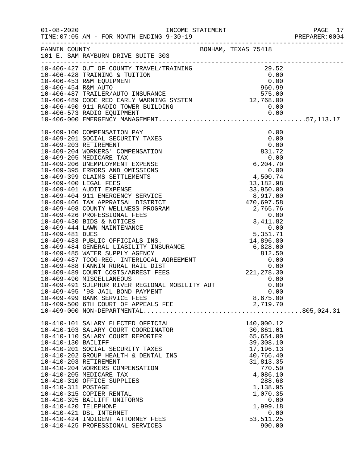|                      |                                                                                                                                                                                                                                                                                                                                                                          |                         | PREPARER: 0004 |
|----------------------|--------------------------------------------------------------------------------------------------------------------------------------------------------------------------------------------------------------------------------------------------------------------------------------------------------------------------------------------------------------------------|-------------------------|----------------|
|                      |                                                                                                                                                                                                                                                                                                                                                                          |                         |                |
|                      | 10-406-427 OUT OF COUNTY<br>10-406-427 OUT OF COUNTY TRAVEL/TRAINING<br>10-406-428 TRAINING & TUITION<br>10-406-453 R&M EQUIPMENT<br>10-406-453 R&M AUTO<br>10-406-487 TRAILER/AUTO INSURANCE<br>10-406-489 CODE RED EARLY WARNING SYSTEM<br>                                                                                                                            |                         |                |
|                      |                                                                                                                                                                                                                                                                                                                                                                          |                         |                |
|                      |                                                                                                                                                                                                                                                                                                                                                                          |                         |                |
|                      |                                                                                                                                                                                                                                                                                                                                                                          |                         |                |
|                      |                                                                                                                                                                                                                                                                                                                                                                          |                         |                |
|                      |                                                                                                                                                                                                                                                                                                                                                                          |                         |                |
|                      |                                                                                                                                                                                                                                                                                                                                                                          |                         |                |
|                      |                                                                                                                                                                                                                                                                                                                                                                          |                         |                |
|                      | $[10-409-010 \text{ CMDFENSETON} \text{ PANRUSLINENTS} \text{ 0.00} \\ 10-409-203 \text{ RETRENMENT PAYKES} \text{ 0.00} \\ 10-409-203 \text{ NOTAL SECURITY TAKES} \text{ 0.00} \\ 10-409-203 \text{ NENTERENTS} \text{ 0.00} \\ 10-409-204 \text{ WOKRERS} \text{ COMPENSATION} \text{ 0.00} \\ 10-409-205 \text{ MEDICARE TAX} \text{ COMPENSATION} \text{ 0.00} \\ $ |                         |                |
|                      |                                                                                                                                                                                                                                                                                                                                                                          |                         |                |
|                      |                                                                                                                                                                                                                                                                                                                                                                          |                         |                |
|                      |                                                                                                                                                                                                                                                                                                                                                                          |                         |                |
|                      |                                                                                                                                                                                                                                                                                                                                                                          |                         |                |
|                      |                                                                                                                                                                                                                                                                                                                                                                          |                         |                |
|                      |                                                                                                                                                                                                                                                                                                                                                                          |                         |                |
|                      |                                                                                                                                                                                                                                                                                                                                                                          |                         |                |
|                      |                                                                                                                                                                                                                                                                                                                                                                          |                         |                |
|                      |                                                                                                                                                                                                                                                                                                                                                                          |                         |                |
|                      |                                                                                                                                                                                                                                                                                                                                                                          |                         |                |
|                      |                                                                                                                                                                                                                                                                                                                                                                          |                         |                |
|                      |                                                                                                                                                                                                                                                                                                                                                                          |                         |                |
|                      |                                                                                                                                                                                                                                                                                                                                                                          |                         |                |
|                      |                                                                                                                                                                                                                                                                                                                                                                          |                         |                |
|                      |                                                                                                                                                                                                                                                                                                                                                                          |                         |                |
|                      |                                                                                                                                                                                                                                                                                                                                                                          |                         |                |
|                      |                                                                                                                                                                                                                                                                                                                                                                          |                         |                |
|                      |                                                                                                                                                                                                                                                                                                                                                                          |                         |                |
|                      |                                                                                                                                                                                                                                                                                                                                                                          |                         |                |
|                      |                                                                                                                                                                                                                                                                                                                                                                          |                         |                |
|                      |                                                                                                                                                                                                                                                                                                                                                                          |                         |                |
|                      |                                                                                                                                                                                                                                                                                                                                                                          |                         |                |
|                      |                                                                                                                                                                                                                                                                                                                                                                          |                         |                |
|                      |                                                                                                                                                                                                                                                                                                                                                                          |                         |                |
|                      | 10-409-495 '98 JAIL BOND PAYMENT                                                                                                                                                                                                                                                                                                                                         | 0.00                    |                |
|                      | 10-409-499 BANK SERVICE FEES                                                                                                                                                                                                                                                                                                                                             | 8,675.00                |                |
|                      | 10-409-500 6TH COURT OF APPEALS FEE                                                                                                                                                                                                                                                                                                                                      | 2,719.70                |                |
|                      |                                                                                                                                                                                                                                                                                                                                                                          |                         |                |
|                      |                                                                                                                                                                                                                                                                                                                                                                          |                         |                |
|                      | 10-410-101 SALARY ELECTED OFFICIAL                                                                                                                                                                                                                                                                                                                                       | 140,000.12<br>30,861.01 |                |
|                      | 10-410-103 SALARY COURT COORDINATOR<br>10-410-110 SALARY COURT REPORTER                                                                                                                                                                                                                                                                                                  | 65,654.00               |                |
| 10-410-130 BAILIFF   |                                                                                                                                                                                                                                                                                                                                                                          | 39,308.10               |                |
|                      | 10-410-201 SOCIAL SECURITY TAXES                                                                                                                                                                                                                                                                                                                                         | 17,196.13               |                |
|                      | 10-410-202 GROUP HEALTH & DENTAL INS                                                                                                                                                                                                                                                                                                                                     | 40,766.40               |                |
|                      | 10-410-203 RETIREMENT                                                                                                                                                                                                                                                                                                                                                    | 31,813.35               |                |
|                      | 10-410-204 WORKERS COMPENSATION                                                                                                                                                                                                                                                                                                                                          | 770.50                  |                |
|                      | 10-410-205 MEDICARE TAX                                                                                                                                                                                                                                                                                                                                                  | 4,086.10                |                |
|                      | 10-410-310 OFFICE SUPPLIES                                                                                                                                                                                                                                                                                                                                               | 288.68                  |                |
| 10-410-311 POSTAGE   |                                                                                                                                                                                                                                                                                                                                                                          | 1,138.95                |                |
|                      | 10-410-315 COPIER RENTAL                                                                                                                                                                                                                                                                                                                                                 | 1,070.35                |                |
|                      | 10-410-395 BAILIFF UNIFORMS                                                                                                                                                                                                                                                                                                                                              | 0.00                    |                |
| 10-410-420 TELEPHONE |                                                                                                                                                                                                                                                                                                                                                                          | 1,999.18                |                |
|                      | 10-410-421 DSL INTERNET                                                                                                                                                                                                                                                                                                                                                  | 0.00                    |                |
|                      | 10-410-424 INDIGENT ATTORNEY FEES                                                                                                                                                                                                                                                                                                                                        | 53, 511.25              |                |
|                      | 10-410-425 PROFESSIONAL SERVICES                                                                                                                                                                                                                                                                                                                                         | 900.00                  |                |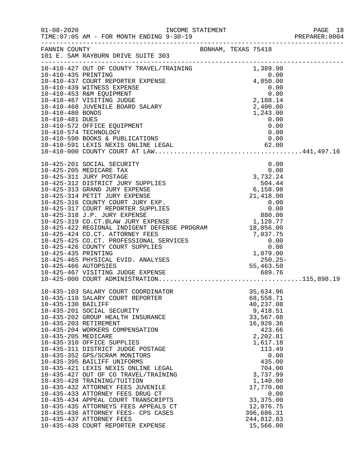| $01 - 08 - 2020$    | INCOME STATEMENT<br>TIME: 07:05 AM - FOR MONTH ENDING 9-30-19                                                                                                                                                                                    |                                                                                                                   |                       |      | PAGE 18<br>PREPARER:0004<br>PAGE 18 |
|---------------------|--------------------------------------------------------------------------------------------------------------------------------------------------------------------------------------------------------------------------------------------------|-------------------------------------------------------------------------------------------------------------------|-----------------------|------|-------------------------------------|
|                     | FANNIN COUNTY SAN BONHAM, TEXAS 75418<br>101 E. SAM RAYBURN DRIVE SUITE 303                                                                                                                                                                      |                                                                                                                   |                       |      |                                     |
|                     |                                                                                                                                                                                                                                                  |                                                                                                                   |                       |      |                                     |
|                     | 10-410-427 OUT OF COUNTY TRAVEL/TRAINING<br>10-410-435 PRINTING<br>10-410-435 PRINTING<br>10-410-437 COURT REPORTER EXPENSE<br>10-410-439 WITNESS EXPENSE<br>10-410-439 WITNESS EXPENSE<br>10-410-453 R&M EQUIPMENT<br>10-410-467 VISITING J     |                                                                                                                   |                       |      |                                     |
|                     |                                                                                                                                                                                                                                                  |                                                                                                                   |                       |      |                                     |
|                     |                                                                                                                                                                                                                                                  |                                                                                                                   |                       |      |                                     |
|                     |                                                                                                                                                                                                                                                  |                                                                                                                   |                       |      |                                     |
|                     |                                                                                                                                                                                                                                                  |                                                                                                                   |                       |      |                                     |
|                     |                                                                                                                                                                                                                                                  |                                                                                                                   |                       |      |                                     |
|                     |                                                                                                                                                                                                                                                  |                                                                                                                   |                       |      |                                     |
| 10-410-481 DUES     | 10-410-572 OFFICE EQUIPMENT                                                                                                                                                                                                                      |                                                                                                                   | 0.00                  | 0.00 |                                     |
|                     | 10-410-574 TECHNOLOGY                                                                                                                                                                                                                            |                                                                                                                   | 0.00                  |      |                                     |
|                     |                                                                                                                                                                                                                                                  |                                                                                                                   |                       |      |                                     |
|                     |                                                                                                                                                                                                                                                  |                                                                                                                   |                       |      |                                     |
|                     |                                                                                                                                                                                                                                                  |                                                                                                                   |                       |      |                                     |
|                     |                                                                                                                                                                                                                                                  |                                                                                                                   |                       |      |                                     |
|                     | 10-425-201 SOCIAL SECURITY                                                                                                                                                                                                                       |                                                                                                                   |                       | 0.00 |                                     |
|                     | 10-425-205 MEDICARE TAX                                                                                                                                                                                                                          |                                                                                                                   |                       | 0.00 |                                     |
|                     | 10-425-311 JURY POSTAGE<br>10-425-312 DISTRICT JURY SUPPLIES                                                                                                                                                                                     |                                                                                                                   |                       |      |                                     |
|                     | 10-425-313 GRAND JURY EXPENSE                                                                                                                                                                                                                    |                                                                                                                   |                       |      |                                     |
|                     | 10-425-314 PETIT JURY EXPENSE                                                                                                                                                                                                                    |                                                                                                                   |                       |      |                                     |
|                     | 10-425-316 COUNTY COURT JURY EXP.                                                                                                                                                                                                                |                                                                                                                   |                       |      |                                     |
|                     | 10-425-317 COURT REPORTER SUPPLIES                                                                                                                                                                                                               |                                                                                                                   |                       |      |                                     |
|                     | 10-425-318 J.P. JURY EXPENSE                                                                                                                                                                                                                     |                                                                                                                   |                       |      |                                     |
|                     | 10-425-316 J.P. JURI EAFENSE<br>10-425-319 CO.CT.@LAW JURY EXPENSE PROGRAM 1,128.77<br>10-425-422 REGIONAL INDIGENT DEFENSE PROGRAM 18,056.00                                                                                                    | $\begin{array}{r}0.00\\3,732.24\\504.44\\6,158.98\\21,418.00\\0.00\\0.00\\880.00\\1,128.77\\18.056.00\end{array}$ |                       |      |                                     |
|                     | 18,056.00<br>18,056.00<br>19,056.00<br>10-425-425 CO.CT. PROFESSIONAL SERVICES<br>10-425-426 COUNTY COURT SUPPLIES<br>10-425-435 PRINTING<br>10-425-465 PHYSICAL EVID. ANALYSES<br>10-425-466 AUTOPSIES<br>10-425-466 AUTOPSIES<br>10-425-466 VI |                                                                                                                   |                       |      |                                     |
|                     |                                                                                                                                                                                                                                                  |                                                                                                                   |                       |      |                                     |
|                     |                                                                                                                                                                                                                                                  |                                                                                                                   |                       |      |                                     |
|                     |                                                                                                                                                                                                                                                  |                                                                                                                   |                       |      |                                     |
|                     |                                                                                                                                                                                                                                                  |                                                                                                                   |                       |      |                                     |
|                     |                                                                                                                                                                                                                                                  |                                                                                                                   |                       |      |                                     |
|                     |                                                                                                                                                                                                                                                  |                                                                                                                   |                       |      |                                     |
|                     |                                                                                                                                                                                                                                                  |                                                                                                                   |                       |      |                                     |
|                     | 10-435-103 SALARY COURT COORDINATOR                                                                                                                                                                                                              |                                                                                                                   | 35,634.96             |      |                                     |
|                     | 10-435-110 SALARY COURT REPORTER                                                                                                                                                                                                                 |                                                                                                                   | 68,558.71             |      |                                     |
| 10-435-130 BAILIFF  |                                                                                                                                                                                                                                                  |                                                                                                                   | 40,237.08             |      |                                     |
|                     | 10-435-201 SOCIAL SECURITY                                                                                                                                                                                                                       |                                                                                                                   | 9,418.51              |      |                                     |
|                     | 10-435-202 GROUP HEALTH INSURANCE                                                                                                                                                                                                                |                                                                                                                   | 33,567.08             |      |                                     |
|                     | 10-435-203 RETIREMENT<br>10-435-204 WORKERS COMPENSATION                                                                                                                                                                                         |                                                                                                                   | 16,928.36             |      |                                     |
| 10-435-205 MEDICARE |                                                                                                                                                                                                                                                  |                                                                                                                   | 423.66<br>2,202.81    |      |                                     |
|                     | 10-435-310 OFFICE SUPPLIES                                                                                                                                                                                                                       |                                                                                                                   | 1,617.18              |      |                                     |
|                     | 10-435-311 DISTRICT JUDGE POSTAGE                                                                                                                                                                                                                |                                                                                                                   | 113.49                |      |                                     |
|                     | 10-435-352 GPS/SCRAM MONITORS                                                                                                                                                                                                                    |                                                                                                                   |                       | 0.00 |                                     |
|                     | 10-435-395 BAILIFF UNIFORMS                                                                                                                                                                                                                      |                                                                                                                   | 435.00                |      |                                     |
|                     | 10-435-421 LEXIS NEXIS ONLINE LEGAL                                                                                                                                                                                                              |                                                                                                                   | 704.00                |      |                                     |
|                     | 10-435-427 OUT OF CO TRAVEL/TRAINING<br>10-435-428 TRAINING/TUITION                                                                                                                                                                              |                                                                                                                   | 3,737.99              |      |                                     |
|                     | 10-435-432 ATTORNEY FEES JUVENILE                                                                                                                                                                                                                |                                                                                                                   | 1,140.00<br>17,770.00 |      |                                     |
|                     | 10-435-433 ATTORNEY FEES DRUG CT                                                                                                                                                                                                                 |                                                                                                                   |                       | 0.00 |                                     |
|                     | 10-435-434 APPEAL COURT TRANSCRIPTS                                                                                                                                                                                                              |                                                                                                                   | 33, 375.00            |      |                                     |
|                     | 10-435-435 ATTORNEYS FEES APPEALS CT                                                                                                                                                                                                             |                                                                                                                   | 12,076.75             |      |                                     |
|                     | 10-435-436 ATTORNEY FEES- CPS CASES                                                                                                                                                                                                              |                                                                                                                   | 396,686.31            |      |                                     |
|                     | 10-435-437 ATTORNEY FEES                                                                                                                                                                                                                         |                                                                                                                   | 244,812.83            |      |                                     |
|                     | 10-435-438 COURT REPORTER EXPENSE                                                                                                                                                                                                                |                                                                                                                   | 15,566.00             |      |                                     |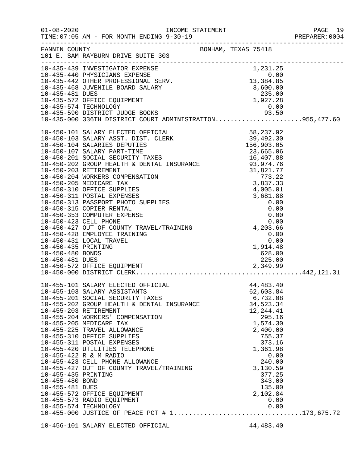|                                                           | TIME: 07:05 AM - FOR MONTH ENDING 9-30-19                                                                                                                                                                                                                                                                                                                                                                                                                                                                                                                                |                                                                                                                                                                                                                           | PAGE 19 |
|-----------------------------------------------------------|--------------------------------------------------------------------------------------------------------------------------------------------------------------------------------------------------------------------------------------------------------------------------------------------------------------------------------------------------------------------------------------------------------------------------------------------------------------------------------------------------------------------------------------------------------------------------|---------------------------------------------------------------------------------------------------------------------------------------------------------------------------------------------------------------------------|---------|
|                                                           | FANNIN COUNTY<br>101 E. SAM RAYBURN DRIVE SUITE 303                                                                                                                                                                                                                                                                                                                                                                                                                                                                                                                      | BONHAM, TEXAS 75418                                                                                                                                                                                                       |         |
|                                                           | 10-435-439 INVESTIGATOR EXPENSE<br>10-435-439 INVESTIGATOR EXPENSE<br>10-435-440 PHYSICIANS EXPENSE<br>10-435-442 OTHER PROFESSIONAL SERV.<br>10-435-468 JUVENILE BOARD SALARY<br>10-435-468 JUVENILE BOARD SALARY<br>10-435-572 OFFICE EQ                                                                                                                                                                                                                                                                                                                               |                                                                                                                                                                                                                           |         |
|                                                           | 10-430-0101 SALARY ELECTED OF INTERNATION (1997-1701)<br>10-450-103 SALARY AEST: DIST: CLERK 58, 237, 92<br>10-450-103 SALARY AEST: DIST: CLERK 158, 903.05<br>10-450-201 SOCIAL SECURITY TAXES 156, 903.05<br>10-450-202 GROUP HEALTH                                                                                                                                                                                                                                                                                                                                   |                                                                                                                                                                                                                           |         |
| 10-455-435 PRINTING<br>10-455-480 BOND<br>10-455-481 DUES | 10-455-101 SALARY ELECTED OFFICIAL<br>10-455-103 SALARY ASSISTANTS<br>10-455-201 SOCIAL SECURITY TAXES<br>10-455-202 GROUP HEALTH & DENTAL INSURANCE<br>10-455-203 RETIREMENT<br>10-455-204 WORKERS' COMPENSATION<br>10-455-205 MEDICARE TAX<br>10-455-225 TRAVEL ALLOWANCE<br>10-455-310 OFFICE SUPPLIES<br>10-455-311 POSTAL EXPENSES<br>10-455-420 UTILITIES TELEPHONE<br>10-455-422 R & M RADIO<br>10-455-423 CELL PHONE ALLOWANCE<br>10-455-427 OUT OF COUNTY TRAVEL/TRAINING<br>10-455-572 OFFICE EQUIPMENT<br>10-455-573 RADIO EQUIPMENT<br>10-455-574 TECHNOLOGY | 44, 483. 40<br>62,603.84<br>6,732.08<br>34,523.34<br>12, 244.41<br>295.16<br>1,574.30<br>2,400.00<br>755.37<br>373.16<br>1,361.98<br>0.00<br>240.00<br>3,130.59<br>377.25<br>343.00<br>135.00<br>2,102.84<br>0.00<br>0.00 |         |
|                                                           | 10-456-101 SALARY ELECTED OFFICIAL                                                                                                                                                                                                                                                                                                                                                                                                                                                                                                                                       | 44, 483. 40                                                                                                                                                                                                               |         |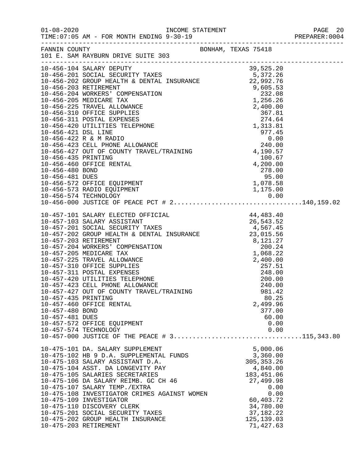| $01 - 08 - 2020$                                          | TIME: 07:05 AM - FOR MONTH ENDING 9-30-19                                                                                                                                                                                                                                                                                                                                                                                                                                                                   |                                                                                                                         |                                                                                                                                                                 |  |
|-----------------------------------------------------------|-------------------------------------------------------------------------------------------------------------------------------------------------------------------------------------------------------------------------------------------------------------------------------------------------------------------------------------------------------------------------------------------------------------------------------------------------------------------------------------------------------------|-------------------------------------------------------------------------------------------------------------------------|-----------------------------------------------------------------------------------------------------------------------------------------------------------------|--|
| FANNIN COUNTY                                             | 101 E. SAM RAYBURN DRIVE SUITE 303                                                                                                                                                                                                                                                                                                                                                                                                                                                                          | BONHAM, TEXAS 75418                                                                                                     |                                                                                                                                                                 |  |
| 10-456-435 PRINTING<br>10-456-480 BOND<br>10-456-481 DUES | $\begin{tabular}{l c c c c} \hline \texttt{10-456-104 SALARY DEPUTY TASES} & \multicolumn{2}{c }{\multicolumn{2}{c }{\multicolumn{2}{c }{\multicolumn{2}{c }{\multicolumn{2}{c }{\multicolumn{2}{c }{\multicolumn{2}{c }{\multicolumn{2}{c }{\multicolumn{2}{c }{\multicolumn{2}{c }{\multicolumn{2}{c }{\multicolumn{2}{c }{\multicolumn{2}{c }{\multicolumn{2}{c }{\multicolumn{2}{c }{\multicolumn{2}{c }{\multicolumn{2}{c }{\multicolumn{2$<br>10-456-460 OFFICE RENTAL<br>10-456-572 OFFICE EQUIPMENT | $\begin{array}{r} \text{1,190.57} \\ 100.67 \\ 4,200.00 \\ 278.00 \\ 95.00 \\ 1,078.58 \\ 1.175 \text{ cm} \end{array}$ |                                                                                                                                                                 |  |
|                                                           |                                                                                                                                                                                                                                                                                                                                                                                                                                                                                                             |                                                                                                                         |                                                                                                                                                                 |  |
| 10-457-435 PRINTING<br>10-457-480 BOND<br>10-457-481 DUES | 10-457-427 OUT OF COUNTY TRAVEL/TRAINING<br>10-457-460 OFFICE RENTAL<br>10-457-572 OFFICE EQUIPMENT<br>10-457-574 TECHNOLOGY<br>10-457-000 JUSTICE OF THE PEACE # 3115,343.80                                                                                                                                                                                                                                                                                                                               |                                                                                                                         | 981.42<br>80.25<br>2,499.96<br>377.00<br>60.00<br>0.00<br>0.00                                                                                                  |  |
|                                                           | 10-475-101 DA. SALARY SUPPLEMENT<br>10-475-102 HB 9 D.A. SUPPLEMENTAL FUNDS<br>10-475-103 SALARY ASSISTANT D.A.<br>10-475-104 ASST. DA LONGEVITY PAY<br>10-475-105 SALARIES SECRETARIES<br>10-475-106 DA SALARY REIMB. GC CH 46<br>10-475-107 SALARY TEMP./EXTRA<br>10-475-108 INVESTIGATOR CRIMES AGAINST WOMEN<br>10-475-109 INVESTIGATOR<br>10-475-110 DISCOVERY CLERK<br>10-475-201 SOCIAL SECURITY TAXES<br>10-475-202 GROUP HEALTH INSURANCE<br>10-475-203 RETIREMENT                                 |                                                                                                                         | 5,000.06<br>3,360.00<br>305, 353.26<br>4,840.00<br>183,451.06<br>27,499.98<br>0.00<br>0.00<br>60,403.72<br>34,780.00<br>37, 182. 22<br>125, 139.03<br>71,427.63 |  |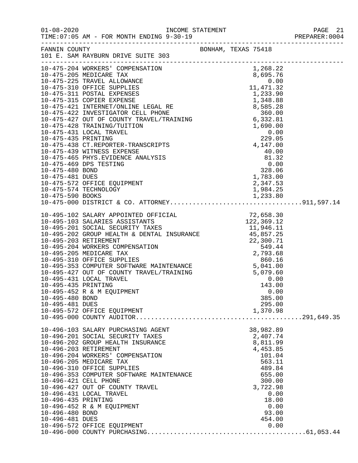| $01 - 08 - 2020$      | INCOME STATEMENT<br>TIME: 07:05 AM - FOR MONTH ENDING 9-30-19 |                     |                    |      | PAGE 21 |  |
|-----------------------|---------------------------------------------------------------|---------------------|--------------------|------|---------|--|
| FANNIN COUNTY         | 101 E. SAM RAYBURN DRIVE SUITE 303                            | BONHAM, TEXAS 75418 |                    |      |         |  |
|                       |                                                               |                     |                    |      |         |  |
|                       |                                                               |                     |                    |      |         |  |
|                       |                                                               |                     |                    |      |         |  |
|                       |                                                               |                     |                    |      |         |  |
|                       |                                                               |                     |                    |      |         |  |
|                       |                                                               |                     |                    |      |         |  |
|                       |                                                               |                     |                    |      |         |  |
|                       |                                                               |                     |                    |      |         |  |
|                       |                                                               |                     |                    |      |         |  |
|                       |                                                               |                     |                    |      |         |  |
|                       |                                                               |                     |                    |      |         |  |
|                       |                                                               |                     |                    |      |         |  |
|                       |                                                               |                     |                    |      |         |  |
|                       |                                                               |                     |                    |      |         |  |
|                       |                                                               |                     |                    |      |         |  |
|                       |                                                               |                     |                    |      |         |  |
|                       |                                                               |                     |                    |      |         |  |
|                       |                                                               |                     |                    |      |         |  |
|                       |                                                               |                     |                    |      |         |  |
|                       |                                                               |                     |                    |      |         |  |
|                       |                                                               |                     |                    |      |         |  |
|                       |                                                               |                     |                    |      |         |  |
|                       |                                                               |                     |                    |      |         |  |
|                       |                                                               |                     |                    |      |         |  |
|                       |                                                               |                     |                    |      |         |  |
|                       |                                                               |                     |                    |      |         |  |
|                       |                                                               |                     |                    |      |         |  |
|                       |                                                               |                     |                    |      |         |  |
|                       |                                                               |                     |                    |      |         |  |
|                       |                                                               |                     |                    |      |         |  |
|                       |                                                               |                     |                    |      |         |  |
|                       | 10-495-431 LOCAL TRAVEL                                       |                     | 0.00               |      |         |  |
| 10-495-435 PRINTING   |                                                               |                     | 143.00             |      |         |  |
|                       | 10-495-452 R & M EQUIPMENT                                    |                     |                    | 0.00 |         |  |
| 10-495-480 BOND       |                                                               |                     | 385.00             |      |         |  |
| 10-495-481 DUES       | 10-495-572 OFFICE EQUIPMENT                                   |                     | 295.00<br>1,370.98 |      |         |  |
|                       |                                                               |                     |                    |      |         |  |
|                       |                                                               |                     |                    |      |         |  |
|                       | 10-496-103 SALARY PURCHASING AGENT                            |                     | 38,982.89          |      |         |  |
|                       | 10-496-201 SOCIAL SECURITY TAXES                              |                     | 2,407.74           |      |         |  |
|                       | 10-496-202 GROUP HEALTH INSURANCE                             |                     | 8,811.99           |      |         |  |
| 10-496-203 RETIREMENT | 10-496-204 WORKERS' COMPENSATION                              |                     | 4,453.85           |      |         |  |
|                       | 10-496-205 MEDICARE TAX                                       |                     | 101.04<br>563.11   |      |         |  |
|                       | 10-496-310 OFFICE SUPPLIES                                    |                     | 489.84             |      |         |  |
|                       | 10-496-353 COMPUTER SOFTWARE MAINTENANCE                      |                     | 655.00             |      |         |  |
| 10-496-421 CELL PHONE |                                                               |                     | 300.00             |      |         |  |
|                       | 10-496-427 OUT OF COUNTY TRAVEL                               |                     | 3,722.98           |      |         |  |
|                       | 10-496-431 LOCAL TRAVEL                                       |                     |                    | 0.00 |         |  |
| 10-496-435 PRINTING   |                                                               |                     | 18.00              |      |         |  |
|                       | 10-496-452 R & M EQUIPMENT                                    |                     | 0.00               |      |         |  |
| 10-496-480 BOND       |                                                               |                     | 93.00              |      |         |  |
| 10-496-481 DUES       |                                                               |                     | 454.00             |      |         |  |
|                       | 10-496-572 OFFICE EQUIPMENT                                   |                     |                    | 0.00 |         |  |

10-496-000 COUNTY PURCHASING..........................................61,053.44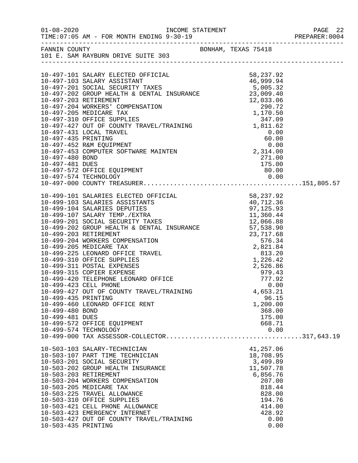|                     |                                                                           |                    | PREPARER:0004 |
|---------------------|---------------------------------------------------------------------------|--------------------|---------------|
|                     | FANNIN COUNTY BONHAM, TEXAS 75418<br>101 E. SAM RAYBURN DRIVE SUITE 303   |                    |               |
|                     |                                                                           |                    |               |
|                     |                                                                           |                    |               |
|                     |                                                                           |                    |               |
|                     |                                                                           |                    |               |
|                     |                                                                           |                    |               |
|                     |                                                                           |                    |               |
|                     |                                                                           |                    |               |
|                     |                                                                           |                    |               |
|                     |                                                                           |                    |               |
|                     |                                                                           |                    |               |
|                     |                                                                           |                    |               |
|                     |                                                                           |                    |               |
|                     |                                                                           |                    |               |
|                     |                                                                           |                    |               |
|                     |                                                                           |                    |               |
|                     |                                                                           |                    |               |
|                     |                                                                           |                    |               |
|                     |                                                                           |                    |               |
|                     |                                                                           |                    |               |
|                     |                                                                           |                    |               |
|                     |                                                                           |                    |               |
|                     |                                                                           |                    |               |
|                     |                                                                           |                    |               |
|                     |                                                                           |                    |               |
|                     |                                                                           |                    |               |
|                     |                                                                           |                    |               |
|                     |                                                                           |                    |               |
|                     |                                                                           |                    |               |
|                     |                                                                           |                    |               |
|                     | 10-499-311 POSTAL EXPENSES<br>10-499-315 COPIER EXPENSE                   | 979.43             |               |
|                     | 10-499-420 TELEPHONE LEONARD OFFICE                                       | 777.92<br>0.00     |               |
|                     | 10-499-423 CELL PHONE                                                     | 0.00               |               |
|                     | 10-499-427 OUT OF COUNTY TRAVEL/TRAINING                                  | 4,653.21           |               |
|                     | 10-499-435 PRINTING                                                       | 96.15              |               |
|                     | 10-499-460 LEONARD OFFICE RENT                                            | 1,200.00           |               |
| 10-499-480 BOND     |                                                                           | 368.00             |               |
| 10-499-481 DUES     | 10-499-572 OFFICE EQUIPMENT                                               | 175.00<br>668.71   |               |
|                     | 10-499-574 TECHNOLOGY                                                     | 0.00               |               |
|                     | 10-499-574 TECHNOLOGY 0.00<br>10-499-000 TAX ASSESSOR-COLLECTOR317,643.19 |                    |               |
|                     |                                                                           |                    |               |
|                     | 10-503-103 SALARY-TECHNICIAN                                              | 41,257.06          |               |
|                     | 10-503-107 PART TIME TECHNICIAN                                           | 18,708.95          |               |
|                     | 10-503-201 SOCIAL SECURITY                                                | 3,499.89           |               |
|                     | 10-503-202 GROUP HEALTH INSURANCE                                         | 11,507.78          |               |
|                     | 10-503-203 RETIREMENT<br>10-503-204 WORKERS COMPENSATION                  | 6,856.76<br>207.00 |               |
|                     | 10-503-205 MEDICARE TAX                                                   | 818.44             |               |
|                     | 10-503-225 TRAVEL ALLOWANCE                                               | 828.00             |               |
|                     | 10-503-310 OFFICE SUPPLIES                                                | 194.76             |               |
|                     | 10-503-421 CELL PHONE ALLOWANCE                                           | 414.00             |               |
|                     | 10-503-423 EMERGENCY INTERNET                                             | 428.92             |               |
|                     | 10-503-427 OUT OF COUNTY TRAVEL/TRAINING                                  | 0.00               |               |
| 10-503-435 PRINTING |                                                                           | 0.00               |               |
|                     |                                                                           |                    |               |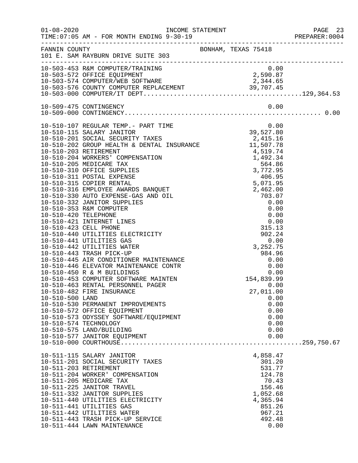|                 |                                                                                                                                                                                                                                            |                     | PREPARER: 0004 |
|-----------------|--------------------------------------------------------------------------------------------------------------------------------------------------------------------------------------------------------------------------------------------|---------------------|----------------|
|                 | FANNIN COUNTY<br>101 E. SAM RAYBURN DRIVE SUITE 303                                                                                                                                                                                        |                     |                |
|                 | 10-503-453 R&M COMPUTER/TRAINING                                                                                                                                                                                                           | 0.00                |                |
|                 |                                                                                                                                                                                                                                            | 2,590.87            |                |
|                 |                                                                                                                                                                                                                                            |                     |                |
|                 |                                                                                                                                                                                                                                            |                     |                |
|                 |                                                                                                                                                                                                                                            |                     |                |
|                 |                                                                                                                                                                                                                                            |                     |                |
|                 | 10-510-107 REGULAR TEMP.- PART TIME                                                                                                                                                                                                        | $0.00$<br>39,527.80 |                |
|                 |                                                                                                                                                                                                                                            |                     |                |
|                 |                                                                                                                                                                                                                                            |                     |                |
|                 |                                                                                                                                                                                                                                            |                     |                |
|                 |                                                                                                                                                                                                                                            |                     |                |
|                 |                                                                                                                                                                                                                                            |                     |                |
|                 |                                                                                                                                                                                                                                            |                     |                |
|                 |                                                                                                                                                                                                                                            |                     |                |
|                 |                                                                                                                                                                                                                                            |                     |                |
|                 |                                                                                                                                                                                                                                            |                     |                |
|                 |                                                                                                                                                                                                                                            |                     |                |
|                 |                                                                                                                                                                                                                                            |                     |                |
|                 |                                                                                                                                                                                                                                            |                     |                |
|                 |                                                                                                                                                                                                                                            |                     |                |
|                 |                                                                                                                                                                                                                                            |                     |                |
|                 |                                                                                                                                                                                                                                            |                     |                |
|                 |                                                                                                                                                                                                                                            |                     |                |
|                 |                                                                                                                                                                                                                                            |                     |                |
|                 | 10-510-445 IR CONDITIONER MAINTENANCE<br>10-510-445 AIR CONDITIONER MAINTENANCE<br>10-510-446 ELEVATOR MAINTENANCE CONTR<br>10-510-450 R & M BUILDINGS<br>10-510-453 COMPUTER SOFTWARE MAINTEN<br>10-510-463 RENTAL PERSONNEL PAGER<br>10- |                     |                |
|                 |                                                                                                                                                                                                                                            |                     |                |
|                 |                                                                                                                                                                                                                                            |                     |                |
|                 |                                                                                                                                                                                                                                            |                     |                |
|                 |                                                                                                                                                                                                                                            |                     |                |
|                 |                                                                                                                                                                                                                                            |                     |                |
| 10-510-500 LAND |                                                                                                                                                                                                                                            | 0.00                |                |
|                 | 10-510-530 PERMANENT IMPROVEMENTS                                                                                                                                                                                                          | 0.00                |                |
|                 | 10-510-572 OFFICE EQUIPMENT                                                                                                                                                                                                                | 0.00                |                |
|                 | 10-510-573 ODYSSEY SOFTWARE/EQUIPMENT                                                                                                                                                                                                      | 0.00                |                |
|                 | 10-510-574 TECHNOLOGY                                                                                                                                                                                                                      | 0.00                |                |
|                 | 10-510-575 LAND/BUILDING<br>10-510-577 JANITOR EQUIPMENT                                                                                                                                                                                   | 0.00<br>0.00        |                |
|                 |                                                                                                                                                                                                                                            |                     |                |
|                 | 10-511-115 SALARY JANITOR                                                                                                                                                                                                                  | 4,858.47            |                |
|                 | 10-511-201 SOCIAL SECURITY TAXES                                                                                                                                                                                                           | 301.20              |                |
|                 | 10-511-203 RETIREMENT                                                                                                                                                                                                                      | 531.77              |                |
|                 | 10-511-204 WORKER' COMPENSATION                                                                                                                                                                                                            | 124.78              |                |
|                 | 10-511-205 MEDICARE TAX                                                                                                                                                                                                                    | 70.43               |                |
|                 | 10-511-225 JANITOR TRAVEL                                                                                                                                                                                                                  | 156.46              |                |
|                 | 10-511-332 JANITOR SUPPLIES                                                                                                                                                                                                                | 1,052.68            |                |
|                 | 10-511-440 UTILITIES ELECTRICITY<br>10-511-441 UTILITIES GAS                                                                                                                                                                               | 4,365.94<br>851.26  |                |
|                 | 10-511-442 UTILITIES WATER                                                                                                                                                                                                                 | 967.21              |                |
|                 | 10-511-443 TRASH PICK-UP SERVICE                                                                                                                                                                                                           | 492.48              |                |
|                 | 10-511-444 LAWN MAINTENANCE                                                                                                                                                                                                                | 0.00                |                |
|                 |                                                                                                                                                                                                                                            |                     |                |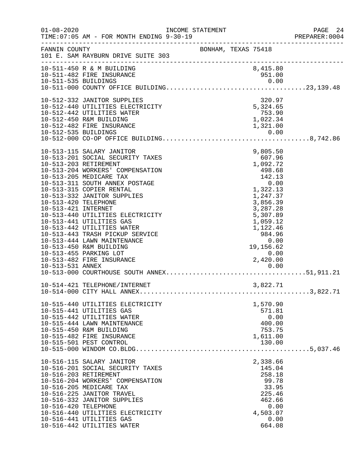| $01 - 08 - 2020$                            | TIME: 07:05 AM - FOR MONTH ENDING 9-30-19                                                                                                                                                                                                                                                                                                                                                                                                                                                            |                     |                                                  |                                                                                                                                                               |              | PAGE 24<br>PREPARER:0004 |
|---------------------------------------------|------------------------------------------------------------------------------------------------------------------------------------------------------------------------------------------------------------------------------------------------------------------------------------------------------------------------------------------------------------------------------------------------------------------------------------------------------------------------------------------------------|---------------------|--------------------------------------------------|---------------------------------------------------------------------------------------------------------------------------------------------------------------|--------------|--------------------------|
| FANNIN COUNTY                               | 101 E. SAM RAYBURN DRIVE SUITE 303                                                                                                                                                                                                                                                                                                                                                                                                                                                                   | BONHAM, TEXAS 75418 |                                                  |                                                                                                                                                               |              |                          |
|                                             | 10-511-450 R & M BUILDING<br>10-511-482 FIRE INSURANCE                                                                                                                                                                                                                                                                                                                                                                                                                                               |                     |                                                  | 8,415.80<br>951.00                                                                                                                                            |              |                          |
|                                             | 10-512-332 JANITOR SUPPLIES<br>10-512-440 UTILITIES ELECTRICITY<br>10-512-442 UTILITIES WATER<br>10-512-450 R&M BUILDING<br>10-512-482 FIRE INSURANCE                                                                                                                                                                                                                                                                                                                                                |                     | $5,324.65$<br>$753.90$<br>$1,022.34$<br>1,321.00 | 320.97                                                                                                                                                        |              |                          |
| 10-513-420 TELEPHONE<br>10-513-421 INTERNET | 10-513-115 SALARY JANITOR<br>10-513-201 SOCIAL SECURITY TAXES<br>10-513-203 RETIREMENT<br>10-513-204 WORKERS' COMPENSATION<br>10-513-205 MEDICARE TAX<br>10-513-311 SOUTH ANNEX POSTAGE<br>10-513-315 COPIER RENTAL<br>10-513-332 JANITOR SUPPLIES<br>10-513-440 UTILITIES ELECTRICITY<br>10-513-441 UTILITIES GAS<br>10-513-442 UTILITIES WATER<br>10-513-443 TRASH PICKUP SERVICE<br>10-513-444 LAWN MAINTENANCE<br>10-513-450 R&M BUILDING<br>10-513-455 PARKING LOT<br>10-513-482 FIRE INSURANCE |                     | 2,420.00                                         | 9,805.50<br>607.96<br>1,092.72<br>498.68<br>142.13<br>1,322.13<br>1,247.37<br>3,856.39<br>3,287.28<br>5,307.89<br>1,059.12<br>1,122.46<br>984.96<br>19,156.62 | 0.00<br>0.00 |                          |
|                                             | 10-514-421 TELEPHONE/INTERNET                                                                                                                                                                                                                                                                                                                                                                                                                                                                        |                     |                                                  | 3,822.71                                                                                                                                                      |              |                          |
|                                             | 10-515-440 UTILITIES ELECTRICITY<br>10-515-441 UTILITIES GAS<br>10-515-442 UTILITIES WATER<br>10-515-444 LAWN MAINTENANCE<br>10-515-450 R&M BUILDING<br>10-515-482 FIRE INSURANCE<br>10-515-501 PEST CONTROL                                                                                                                                                                                                                                                                                         |                     |                                                  | 1,570.90<br>571.81<br>400.00<br>753.75<br>1,611.00<br>130.00                                                                                                  | 0.00         |                          |
| 10-516-420 TELEPHONE                        | 10-516-115 SALARY JANITOR<br>10-516-201 SOCIAL SECURITY TAXES<br>10-516-203 RETIREMENT<br>10-516-204 WORKERS' COMPENSATION<br>10-516-205 MEDICARE TAX<br>10-516-225 JANITOR TRAVEL<br>10-516-332 JANITOR SUPPLIES<br>10-516-440 UTILITIES ELECTRICITY<br>10-516-441 UTILITIES GAS<br>10-516-442 UTILITIES WATER                                                                                                                                                                                      |                     |                                                  | 2,338.66<br>145.04<br>258.18<br>99.78<br>33.95<br>225.46<br>462.66<br>4,503.07<br>664.08                                                                      | 0.00<br>0.00 |                          |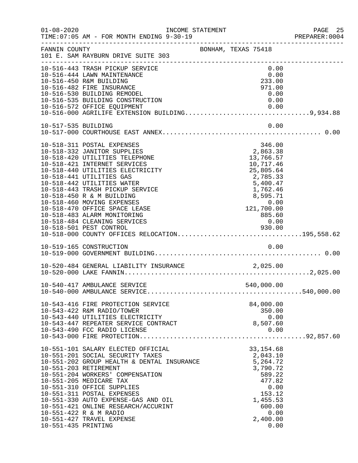| $01 - 08 - 2020$    | INCOME STATEMENT<br>TIME: 07:05 AM - FOR MONTH ENDING 9-30-19                                                                                                                                                                                                                                                                                                                                                                                                                                                  |                                                                              | PAGE 25<br>PREPARER: 0004                                                                                                  |
|---------------------|----------------------------------------------------------------------------------------------------------------------------------------------------------------------------------------------------------------------------------------------------------------------------------------------------------------------------------------------------------------------------------------------------------------------------------------------------------------------------------------------------------------|------------------------------------------------------------------------------|----------------------------------------------------------------------------------------------------------------------------|
| FANNIN COUNTY       | 101 E. SAM RAYBURN DRIVE SUITE 303                                                                                                                                                                                                                                                                                                                                                                                                                                                                             | BONHAM, TEXAS 75418                                                          |                                                                                                                            |
|                     | 10-516-443 TRASH PICKUP SERVICE<br>10-516-444 LAWN MAINTENANCE<br>10-516-450 R&M BUILDING<br>10-516-482 FIRE INSURANCE<br>10-516-530 BUILDING REMODEL<br>10-516-535 BUILDING CONSTRUCTION<br>10-516-572 OFFICE EQUIPMENT<br>10-516-572 OFFICE EQUIPMENT<br>10-516-000 AGRILIFE EXTENSION BUILDING9,934.88                                                                                                                                                                                                      |                                                                              | 0.00<br>0.00<br>233.00<br>971.00<br>0.00<br>0.00<br>0.00                                                                   |
| 10-517-535 BUILDING |                                                                                                                                                                                                                                                                                                                                                                                                                                                                                                                |                                                                              | 0.00                                                                                                                       |
|                     | 10-518-311 POSTAL EXPENSES<br>10-518-332 JANITOR SUPPLIES<br>10-518-420 UTILITIES TELEPHONE<br>10-518-421 INTERNET SERVICES<br>10-518-440 UTILITIES ELECTRICITY<br>10-518-441 UTILITIES GAS<br>10-518-442 UTILITIES WATER<br>10-518-443 TRASH PICKUP SERVICE<br>10-518-450 R & M BUILDING<br>10-518-460 MOVING EXPENSES<br>10-518-470 OFFICE SPACE LEASE<br>10-518-483 ALARM MONITORING<br>10-518-484 CLEANING SERVICES<br>930.00 930.00 PEST CONTROL 930.00<br>10-518-000 COUNTY OFFICES RELOCATION195,558.62 | 2,863.38<br>5,400.47<br>1,762.46<br>8,595.71<br>0.00<br>121,700.00<br>885.60 | 346.00<br>13,766.57<br>10,717.46<br>25,805.64<br>2,785.33<br>0.00                                                          |
|                     | 10-519-165 CONSTRUCTION                                                                                                                                                                                                                                                                                                                                                                                                                                                                                        |                                                                              | 0.00                                                                                                                       |
|                     |                                                                                                                                                                                                                                                                                                                                                                                                                                                                                                                |                                                                              |                                                                                                                            |
|                     | 10-540-417 AMBULANCE SERVICE                                                                                                                                                                                                                                                                                                                                                                                                                                                                                   |                                                                              | 540,000.00                                                                                                                 |
|                     | 10-543-416 FIRE PROTECTION SERVICE<br>10-543-422 R&M RADIO/TOWER<br>10-543-440 UTILITIES ELECTRICITY<br>10-543-447 REPEATER SERVICE CONTRACT<br>10-543-490 FCC RADIO LICENSE                                                                                                                                                                                                                                                                                                                                   | 8,507.60                                                                     | 84,000.00<br>350.00<br>0.00<br>0.00                                                                                        |
| 10-551-435 PRINTING | 10-551-101 SALARY ELECTED OFFICIAL<br>10-551-201 SOCIAL SECURITY TAXES<br>10-551-202 GROUP HEALTH & DENTAL INSURANCE<br>10-551-203 RETIREMENT<br>10-551-204 WORKERS' COMPENSATION<br>10-551-205 MEDICARE TAX<br>10-551-310 OFFICE SUPPLIES<br>10-551-311 POSTAL EXPENSES<br>10-551-330 AUTO EXPENSE-GAS AND OIL<br>10-551-421 ONLINE RESEARCH/ACCURINT<br>10-551-422 R & M RADIO<br>10-551-427 TRAVEL EXPENSE                                                                                                  | 5,264.72                                                                     | 33, 154.68<br>2,043.10<br>3,790.72<br>589.22<br>477.82<br>0.00<br>153.12<br>1,455.53<br>600.00<br>0.00<br>2,400.00<br>0.00 |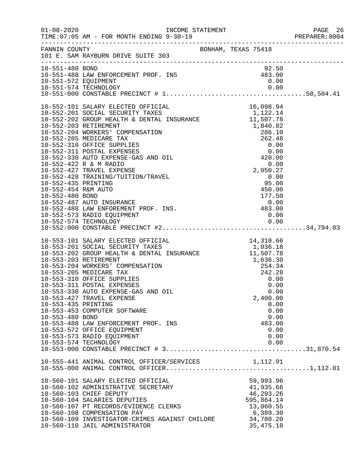|                                        |                                                                                                                                                                                                                                                                                                                                                                                                                                                                                                                                                                 |                                                                                                        | PAGE 26<br>PREPARER: 0004 |
|----------------------------------------|-----------------------------------------------------------------------------------------------------------------------------------------------------------------------------------------------------------------------------------------------------------------------------------------------------------------------------------------------------------------------------------------------------------------------------------------------------------------------------------------------------------------------------------------------------------------|--------------------------------------------------------------------------------------------------------|---------------------------|
|                                        | FANNIN COUNTY<br>101 E. SAM RAYBURN DRIVE SUITE 303                                                                                                                                                                                                                                                                                                                                                                                                                                                                                                             |                                                                                                        |                           |
| 10-551-480 BOND                        | 92.50<br>10-551-488 LAW ENFORCEMENT PROF. INS<br>10-551-572 EQUIPMENT 0.00<br>10-551-574 TECHNOLOGY                                                                                                                                                                                                                                                                                                                                                                                                                                                             | 92.50                                                                                                  |                           |
|                                        |                                                                                                                                                                                                                                                                                                                                                                                                                                                                                                                                                                 |                                                                                                        |                           |
| 10-553-435 PRINTING<br>10-553-480 BOND | 10-553-101 SALARY ELECTED OFFICIAL 10-553-201 SOCIAL SECURITY TAXES<br>10-553-202 GROUP HEALTH & DENTAL INSURANCE 1,036.18<br>10-553-203 RETIREMENT 1,507.78<br>10-553-204 WORKERS' COMPENSATION 254.34<br>10-553-205 MEDICARE TAX 242<br>10-553-205 MEDICARE TAX<br>10-553-310 OFFICE SUPPLIES<br>10-553-311 POSTAL EXPENSES<br>10-553-330 AUTO EXPENSE-GAS AND OIL<br>10-553-427 TRAVEL EXPENSE<br>10-553-453 COMPUTER SOFTWARE<br>10-553-488 LAW ENFORCEMENT PROF. INS<br>10-553-572 OFFICE EQUIPMENT<br>10-553-573 RADIO EQUIPMENT<br>10-553-574 TECHNOLOGY | 242.28<br>0.00<br>0.00<br>0.00<br>2,400.00<br>0.00<br>0.00<br>0.00<br>483.00<br>0.00<br>0.00<br>0.00   |                           |
|                                        | 10-555-441 ANIMAL CONTROL OFFICER/SERVICES 1,112.01<br>10-560-101 SALARY ELECTED OFFICIAL<br>10-560-102 ADMINISTRATIVE SECRETARY<br>10-560-103 CHIEF DEPUTY<br>10-560-104 SALARIES DEPUTIES<br>10-560-107 PT RECORDS/EVIDENCE CLERKS<br>10-560-108 COMPENSATION PAY<br>10-560-109 INVESTIGATOR-CRIMES AGAINST CHILDRE<br>10-560-110 JAIL ADMINISTRATOR                                                                                                                                                                                                          | 59,993.96<br>41,935.66<br>46,293.26<br>595,864.14<br>13,060.55<br>6,389.30<br>34,780.20<br>35, 475. 18 |                           |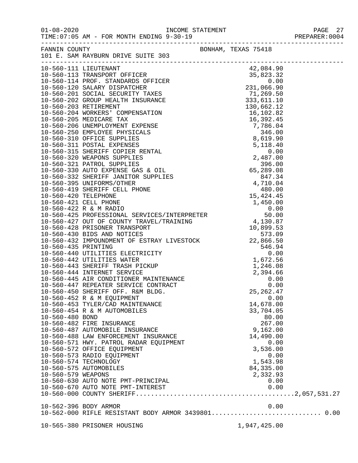| $01 - 08 - 2020$<br>TIME: 07:05 AM - FOR MONTH ENDING 9-30-19  |                     | PAGE 27<br>PREPARER:0004 |
|----------------------------------------------------------------|---------------------|--------------------------|
| FANNIN COUNTY<br>101 E. SAM RAYBURN DRIVE SUITE 303            | BONHAM, TEXAS 75418 |                          |
|                                                                |                     |                          |
|                                                                |                     |                          |
|                                                                |                     |                          |
|                                                                |                     |                          |
|                                                                |                     |                          |
|                                                                |                     |                          |
|                                                                |                     |                          |
|                                                                |                     |                          |
|                                                                |                     |                          |
|                                                                |                     |                          |
|                                                                |                     |                          |
|                                                                |                     |                          |
|                                                                |                     |                          |
|                                                                |                     |                          |
|                                                                |                     |                          |
|                                                                |                     |                          |
|                                                                |                     |                          |
|                                                                |                     |                          |
|                                                                |                     |                          |
|                                                                |                     |                          |
|                                                                |                     |                          |
|                                                                |                     |                          |
|                                                                |                     |                          |
|                                                                |                     |                          |
|                                                                |                     |                          |
|                                                                |                     |                          |
|                                                                |                     |                          |
|                                                                |                     |                          |
|                                                                |                     |                          |
|                                                                |                     |                          |
|                                                                |                     |                          |
|                                                                |                     |                          |
|                                                                |                     |                          |
|                                                                |                     |                          |
| 10-560-450 SHERIFF OFF. R&M BLDG.                              | 25, 262.47          |                          |
| 10-560-452 R & M EQUIPMENT<br>10-560-453 TYLER/CAD MAINTENANCE | 0.00<br>14,678.00   |                          |
| 10-560-454 R & M AUTOMOBILES                                   | 33,704.05           |                          |
| 10-560-480 BOND                                                | 80.00               |                          |
| 10-560-482 FIRE INSURANCE                                      | 267.00              |                          |
| 10-560-487 AUTOMOBILE INSURANCE                                | 9,162.00            |                          |
| 10-560-488 LAW ENFORCEMENT INSURANCE                           | 14,490.00           |                          |
| 10-560-571 HWY. PATROL RADAR EQUIPMENT                         | 0.00                |                          |
| 10-560-572 OFFICE EQUIPMENT                                    | 3,536.00            |                          |
| 10-560-573 RADIO EQUIPMENT                                     | 0.00                |                          |
| 10-560-574 TECHNOLOGY                                          | 1,543.98            |                          |
| 10-560-575 AUTOMOBILES                                         | 84,335.00           |                          |
| 10-560-579 WEAPONS                                             | 2,332.93            |                          |
| 10-560-630 AUTO NOTE PMT-PRINCIPAL                             | 0.00                |                          |
|                                                                | 0.00                |                          |
|                                                                |                     |                          |
|                                                                |                     |                          |
| 10-562-396 BODY ARMOR                                          | 0.00                |                          |
|                                                                |                     |                          |

10-565-380 PRISONER HOUSING 1,947,425.00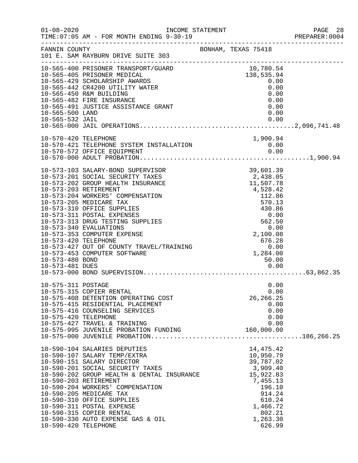| $01 - 08 - 2020$                                           | INCOME STATEMENT<br>TIME: 07:05 AM - FOR MONTH ENDING 9-30-19                                                                                                                                                                                                                                                                                                                                                                           |                                                                                                                                                                   | PAGE 28<br>PREPARER:0004 |
|------------------------------------------------------------|-----------------------------------------------------------------------------------------------------------------------------------------------------------------------------------------------------------------------------------------------------------------------------------------------------------------------------------------------------------------------------------------------------------------------------------------|-------------------------------------------------------------------------------------------------------------------------------------------------------------------|--------------------------|
| FANNIN COUNTY                                              | 101 E. SAM RAYBURN DRIVE SUITE 303                                                                                                                                                                                                                                                                                                                                                                                                      | BONHAM, TEXAS 75418                                                                                                                                               |                          |
| 10-565-500 LAND<br>10-565-532 JAIL                         | 10-565-400 PRISONER TRANSPORT/GUARD<br>10-565-405 PRISONER MEDICAL<br>10-565-429 SCHOLARSHIP AWARDS<br>10-565-442 CR4200 UTILITY WATER<br>10-565-450 R&M BUILDING<br>10-565-482 FIRE INSURANCE<br>10-565-491 JUSTICE ASSISTANCE GRANT                                                                                                                                                                                                   | 10,780.54<br>138,535.94<br>0.00<br>0.00<br>0.00<br>0.00<br>0.00<br>0.00<br>0.00                                                                                   |                          |
|                                                            | 10-570-420 TELEPHONE<br>10-570-421 TELEPHONE SYSTEM INSTALLATION 0.00<br>0.00 0.00                                                                                                                                                                                                                                                                                                                                                      |                                                                                                                                                                   |                          |
| 10-573-420 TELEPHONE<br>10-573-480 BOND<br>10-573-481 DUES | 10-573-103 SALARY-BOND SUPERVISOR<br>10-573-201 SOCIAL SECURITY TAXES<br>10-573-202 GROUP HEALTH INSURANCE<br>10-573-203 RETIREMENT<br>10-573-204 WORKERS' COMPENSATION<br>10-573-205 MEDICARE TAX<br>10-573-310 OFFICE SUPPLIES<br>10-573-311 POSTAL EXPENSES<br>10-573-313 DRUG TESTING SUPPLIES<br>10-573-340 EVALUATIONS<br>10-573-353 COMPUTER EXPENSE<br>10-573-427 OUT OF COUNTY TRAVEL/TRAINING<br>10-573-453 COMPUTER SOFTWARE | 39,601.39<br>2,438.05<br>11,507.78<br>4,528.42<br>112.86<br>570.13<br>430.86<br>0.00<br>562.50<br>0.00<br>2,100.08<br>676.28<br>0.00<br>1,284.00<br>50.00<br>0.00 |                          |
| 10-575-311 POSTAGE<br>10-575-420 TELEPHONE                 | 10-575-315 COPIER RENTAL<br>10-575-408 DETENTION OPERATING COST<br>10-575-415 RESIDENTIAL PLACEMENT<br>10-575-416 COUNSELING SERVICES<br>10-575-427 TRAVEL & TRAINING<br>10-575-995 JUVENILE PROBATION FUNDING                                                                                                                                                                                                                          | 0.00<br>0.00<br>26, 266. 25<br>0.00<br>0.00<br>0.00<br>0.00<br>160,000.00                                                                                         |                          |
| 10-590-420 TELEPHONE                                       | 10-590-104 SALARIES DEPUTIES<br>10-590-107 SALARY TEMP/EXTRA<br>10-590-151 SALARY DIRECTOR<br>10-590-201 SOCIAL SECURITY TAXES<br>10-590-202 GROUP HEALTH & DENTAL INSURANCE<br>10-590-203 RETIREMENT<br>10-590-204 WORKERS' COMPENSATION<br>10-590-205 MEDICARE TAX<br>10-590-310 OFFICE SUPPLIES<br>10-590-311 POSTAL EXPENSE<br>10-590-315 COPIER RENTAL<br>10-590-330 AUTO EXPENSE GAS & OIL                                        | 14, 475. 42<br>10,950.79<br>39,787.02<br>3,909.40<br>15,922.83<br>7,455.13<br>196.10<br>914.24<br>610.24<br>1,466.72<br>802.21<br>1,263.30<br>626.99              |                          |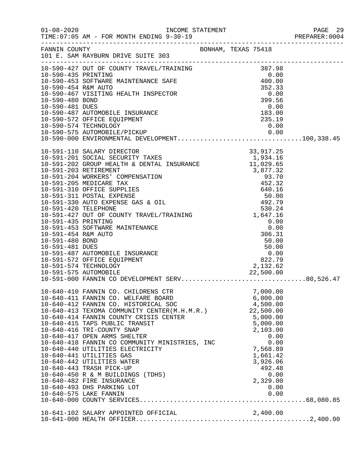| 10-590-427 OUT OF COUNTY TRAVEL/TRAINING 387.98<br>10-590-435 PRINTING 0.00<br>10-590-453 SOFTWARE MAINTENANCE SAFE 400.00<br>10-590-454 R&M AUTO 352.33<br>10-590-467 VISITING HEALTH INSPECTOR 0.00<br>10-590-480 BOND 399.56<br>10-590- |  |                      |  |
|--------------------------------------------------------------------------------------------------------------------------------------------------------------------------------------------------------------------------------------------|--|----------------------|--|
|                                                                                                                                                                                                                                            |  |                      |  |
|                                                                                                                                                                                                                                            |  |                      |  |
|                                                                                                                                                                                                                                            |  |                      |  |
|                                                                                                                                                                                                                                            |  |                      |  |
| 10-590-481 DUES<br>10-590-481 DUES<br>10-590-487 AUTOMOBILE INSURANCE<br>10-590-572 OFFICE EQUIPMENT<br>10-590-574 TECHNOLOGY<br>10-590-575 AUTOMOBILE/PICKUP<br>10-590-575 AUTOMOBILE/PICKUP<br>10-590-000 ENVIRONMENTAL DEVELOPMENT      |  |                      |  |
|                                                                                                                                                                                                                                            |  |                      |  |
|                                                                                                                                                                                                                                            |  |                      |  |
|                                                                                                                                                                                                                                            |  |                      |  |
|                                                                                                                                                                                                                                            |  |                      |  |
|                                                                                                                                                                                                                                            |  |                      |  |
|                                                                                                                                                                                                                                            |  |                      |  |
|                                                                                                                                                                                                                                            |  |                      |  |
|                                                                                                                                                                                                                                            |  |                      |  |
|                                                                                                                                                                                                                                            |  |                      |  |
|                                                                                                                                                                                                                                            |  |                      |  |
|                                                                                                                                                                                                                                            |  |                      |  |
|                                                                                                                                                                                                                                            |  |                      |  |
|                                                                                                                                                                                                                                            |  |                      |  |
|                                                                                                                                                                                                                                            |  |                      |  |
|                                                                                                                                                                                                                                            |  |                      |  |
|                                                                                                                                                                                                                                            |  |                      |  |
|                                                                                                                                                                                                                                            |  |                      |  |
|                                                                                                                                                                                                                                            |  |                      |  |
|                                                                                                                                                                                                                                            |  |                      |  |
|                                                                                                                                                                                                                                            |  |                      |  |
|                                                                                                                                                                                                                                            |  |                      |  |
| 10-640-410 FANNIN CO. CHILDRENS CTR                                                                                                                                                                                                        |  | 7,000.00             |  |
| 10-640-411 FANNIN CO. WELFARE BOARD                                                                                                                                                                                                        |  | 6,000.00             |  |
| 10-640-412 FANNIN CO. HISTORICAL SOC                                                                                                                                                                                                       |  | 4,500.00             |  |
| 10-640-413 TEXOMA COMMUNITY CENTER(M.H.M.R.) 22,500.00<br>10-640-414 FANNIN COUNTY CRISIS CENTER                                                                                                                                           |  | 5,000.00             |  |
| 10-640-415 TAPS PUBLIC TRANSIT                                                                                                                                                                                                             |  | 5,000.00             |  |
| 10-640-416 TRI-COUNTY SNAP                                                                                                                                                                                                                 |  | 2,103.00             |  |
| 10-640-417 OPEN ARMS SHELTER                                                                                                                                                                                                               |  | 0.00                 |  |
| 10-640-418 FANNIN CO COMMUNITY MINISTRIES, INC                                                                                                                                                                                             |  | 0.00                 |  |
| 10-640-440 UTILITIES ELECTRICITY<br>10-640-441 UTILITIES GAS                                                                                                                                                                               |  | 7,568.89<br>1,661.42 |  |
| 10-640-442 UTILITIES WATER                                                                                                                                                                                                                 |  | 3,926.06             |  |
| 10-640-443 TRASH PICK-UP                                                                                                                                                                                                                   |  | 492.48               |  |
| 10-640-450 R & M BUILDINGS (TDHS)                                                                                                                                                                                                          |  | 0.00                 |  |
| 10-640-482 FIRE INSURANCE                                                                                                                                                                                                                  |  | 2,329.00             |  |
| 10-640-493 DHS PARKING LOT                                                                                                                                                                                                                 |  | 0.00                 |  |
|                                                                                                                                                                                                                                            |  |                      |  |
|                                                                                                                                                                                                                                            |  |                      |  |
| 10-641-102 SALARY APPOINTED OFFICIAL 2,400.00                                                                                                                                                                                              |  |                      |  |
|                                                                                                                                                                                                                                            |  |                      |  |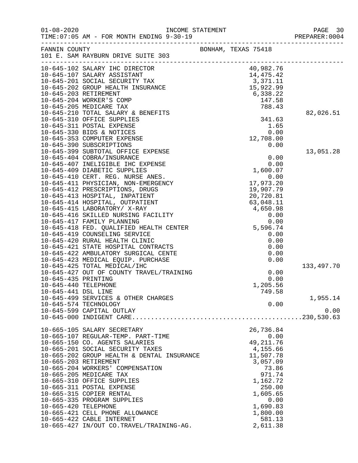|                       |                                                                          |                                                                                  |                  | PAGE 30<br>PREPARER: 0004 |
|-----------------------|--------------------------------------------------------------------------|----------------------------------------------------------------------------------|------------------|---------------------------|
| FANNIN COUNTY         |                                                                          | BONHAM, TEXAS 75418                                                              |                  |                           |
|                       |                                                                          |                                                                                  |                  |                           |
|                       |                                                                          |                                                                                  |                  |                           |
|                       |                                                                          |                                                                                  |                  |                           |
|                       |                                                                          |                                                                                  |                  |                           |
|                       |                                                                          |                                                                                  |                  |                           |
|                       |                                                                          |                                                                                  |                  |                           |
|                       |                                                                          |                                                                                  |                  |                           |
|                       |                                                                          |                                                                                  |                  | 82,026.51                 |
|                       |                                                                          |                                                                                  |                  |                           |
|                       | 10-645-311 POSTAL EXPENSE                                                |                                                                                  | 1.65             |                           |
|                       | 10-645-330 BIDS & NOTICES<br>10-645-353 COMPUTER EXPENSE                 |                                                                                  | 0.00             |                           |
|                       | 10-645-390 SUBSCRIPTIONS                                                 | 12,708.00                                                                        | 0.00             |                           |
|                       | 10-645-399 SUBTOTAL OFFICE EXPENSE                                       |                                                                                  |                  | 13,051.28                 |
|                       | 10-645-404 COBRA/INSURANCE                                               |                                                                                  | 0.00             |                           |
|                       | 10-645-407 INELIGIBLE IHC EXPENSE                                        |                                                                                  | 0.00             |                           |
|                       | 10-645-409 DIABETIC SUPPLIES                                             |                                                                                  | 1,600.07         |                           |
|                       | 10-645-410 CERT. REG. NURSE ANES.                                        |                                                                                  | 0.00             |                           |
|                       | 10-645-411 PHYSICIAN, NON-EMERGENCY                                      | 17,973.20                                                                        |                  |                           |
|                       | 10-645-412 PRESCRIPTIONS, DRUGS                                          |                                                                                  |                  |                           |
|                       | 10-645-413 HOSPITAL, INPATIENT                                           |                                                                                  |                  |                           |
|                       | 10-645-414 HOSPITAL, OUTPATIENT                                          |                                                                                  |                  |                           |
|                       | 10-645-415 LABORATORY/ X-RAY                                             |                                                                                  |                  |                           |
|                       | 10-645-416 SKILLED NURSING FACILITY                                      |                                                                                  |                  |                           |
|                       | 10-645-417 FAMILY PLANNING                                               |                                                                                  |                  |                           |
|                       | 10-645-418 FED. QUALIFIED HEALTH CENTER<br>10-645-419 COUNSELING SERVICE | $19,9$<br>$20,72$<br>$63,048$<br>$4,650$<br>0.0<br>0.00<br>3<br>5,596.74<br>0.00 |                  |                           |
|                       | 10-645-420 RURAL HEALTH CLINIC                                           |                                                                                  |                  |                           |
|                       | 10-645-421 STATE HOSPITAL CONTRACTS                                      |                                                                                  |                  |                           |
|                       | 10-645-422 AMBULATORY SURGICAL CENTE                                     |                                                                                  |                  |                           |
|                       | 10-645-423 MEDICAL EQUIP. PURCHASE                                       |                                                                                  |                  |                           |
|                       | 10-645-425 TOTAL MEDICAL/IHC                                             |                                                                                  |                  | 133,497.70                |
|                       | 10-645-427 OUT OF COUNTY TRAVEL/TRAINING                                 |                                                                                  | 0.00             |                           |
| 10-645-435 PRINTING   |                                                                          |                                                                                  | 0.00             |                           |
| 10-645-440 TELEPHONE  |                                                                          |                                                                                  | 1,205.56         |                           |
| 10-645-441 DSL LINE   |                                                                          |                                                                                  | 749.58           |                           |
|                       | 10-645-499 SERVICES & OTHER CHARGES                                      |                                                                                  |                  | 1,955.14                  |
| 10-645-574 TECHNOLOGY |                                                                          |                                                                                  | 0.00             |                           |
|                       | 10-645-599 CAPITAL OUTLAY                                                |                                                                                  |                  | 0.00                      |
|                       |                                                                          |                                                                                  |                  |                           |
|                       | 10-665-105 SALARY SECRETARY                                              | 26,736.84                                                                        |                  |                           |
|                       | 10-665-107 REGULAR-TEMP. PART-TIME                                       |                                                                                  | 0.00             |                           |
|                       | 10-665-150 CO. AGENTS SALARIES                                           | 49, 211.76                                                                       |                  |                           |
|                       | 10-665-201 SOCIAL SECURITY TAXES                                         | 4,155.66                                                                         |                  |                           |
|                       | 10-665-202 GROUP HEALTH & DENTAL INSURANCE                               | 11,507.78                                                                        |                  |                           |
| 10-665-203 RETIREMENT |                                                                          |                                                                                  | 3,057.09         |                           |
|                       | 10-665-204 WORKERS' COMPENSATION                                         |                                                                                  | 73.86            |                           |
|                       | 10-665-205 MEDICARE TAX                                                  |                                                                                  | 971.74           |                           |
|                       | 10-665-310 OFFICE SUPPLIES                                               |                                                                                  | 1,162.72         |                           |
|                       | 10-665-311 POSTAL EXPENSE                                                |                                                                                  | 250.00           |                           |
|                       | 10-665-315 COPIER RENTAL                                                 |                                                                                  | 1,605.65         |                           |
| 10-665-420 TELEPHONE  | 10-665-335 PROGRAM SUPPLIES                                              |                                                                                  | 0.00<br>1,690.83 |                           |
|                       | 10-665-421 CELL PHONE ALLOWANCE                                          |                                                                                  | 1,800.00         |                           |
|                       | 10-665-422 CABLE INTERNET                                                |                                                                                  | 581.13           |                           |
|                       | 10-665-427 IN/OUT CO.TRAVEL/TRAINING-AG.                                 |                                                                                  | 2,611.38         |                           |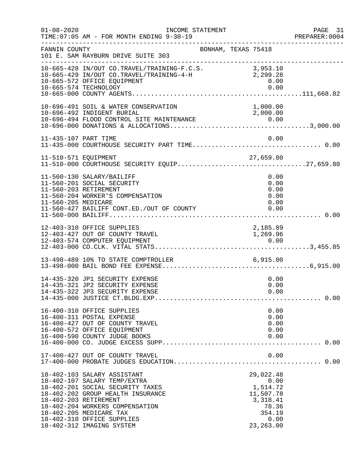| $01 - 08 - 2020$                             | INCOME STATEMENT<br>TIME: 07:05 AM - FOR MONTH ENDING 9-30-19                                                                                                                                                                                                 |                                                                                                 | PAGE 31<br>PREPARER:0004 |
|----------------------------------------------|---------------------------------------------------------------------------------------------------------------------------------------------------------------------------------------------------------------------------------------------------------------|-------------------------------------------------------------------------------------------------|--------------------------|
| FANNIN COUNTY                                | 101 E. SAM RAYBURN DRIVE SUITE 303                                                                                                                                                                                                                            | BONHAM, TEXAS 75418                                                                             |                          |
|                                              | $10-665-428$ IN/OUT CO.TRAVEL/TRAINING-F.C.S. $3,953.10$<br>$10-665-429$ IN/OUT CO.TRAVEL/TRAINING-4-H $2,999.28$<br>10-665-429 IN/OUT CO.TRAVEL/TRAINING-4-H<br>10-665-572 OFFICE EQUIPMENT                                                                  | 2,299.28<br>0.00                                                                                |                          |
|                                              | 10-696-491 SOIL & WATER CONSERVATION<br>10-696-492 INDIGENT BURIAL                                                                                                                                                                                            | 1,000.00<br>2,000.00                                                                            |                          |
| 11-435-107 PART TIME                         |                                                                                                                                                                                                                                                               | 0.00                                                                                            |                          |
|                                              |                                                                                                                                                                                                                                                               |                                                                                                 |                          |
| 11-560-203 RETIREMENT<br>11-560-205 MEDICARE | 11-560-130 SALARY/BAILIFF<br>11-560-201 SOCIAL SECURITY<br>11-560-204 WORKER'S COMPENSATION<br>11-560-427 BAILIFF CONT.ED./OUT OF COUNTY                                                                                                                      | 0.00<br>0.00<br>0.00<br>0.00<br>0.00<br>0.00                                                    |                          |
|                                              | 12-403-310 OFFICE SUPPLIES<br>12-403-427 OUT OF COUNTY TRAVEL                                                                                                                                                                                                 | 2,185.89<br>1,269.96                                                                            |                          |
|                                              | 13-498-489 10% TO STATE COMPTROLLER 6,915.00                                                                                                                                                                                                                  |                                                                                                 |                          |
|                                              | 14-435-320 JP1 SECURITY EXPENSE<br>14-435-321 JP2 SECURITY EXPENSE<br>14-435-322 JP3 SECURITY EXPENSE                                                                                                                                                         | 0.00<br>0.00<br>0.00                                                                            |                          |
|                                              | 16-400-310 OFFICE SUPPLIES<br>16-400-311 POSTAL EXPENSE<br>16-400-427 OUT OF COUNTY TRAVEL<br>16-400-572 OFFICE EQUIPMENT<br>16-400-590 COUNTY JUDGE BOOKS                                                                                                    | 0.00<br>0.00<br>0.00<br>0.00<br>0.00                                                            |                          |
|                                              | 17-400-427 OUT OF COUNTY TRAVEL                                                                                                                                                                                                                               | 0.00                                                                                            |                          |
| 18-402-203 RETIREMENT                        | 18-402-103 SALARY ASSISTANT<br>18-402-107 SALARY TEMP/EXTRA<br>18-402-201 SOCIAL SECURITY TAXES<br>18-402-202 GROUP HEALTH INSURANCE<br>18-402-204 WORKERS COMPENSATION<br>18-402-205 MEDICARE TAX<br>18-402-310 OFFICE SUPPLIES<br>18-402-312 IMAGING SYSTEM | 29,022.48<br>0.00<br>1,514.72<br>11,507.78<br>3,318.41<br>78.36<br>354.19<br>0.00<br>23, 263.00 |                          |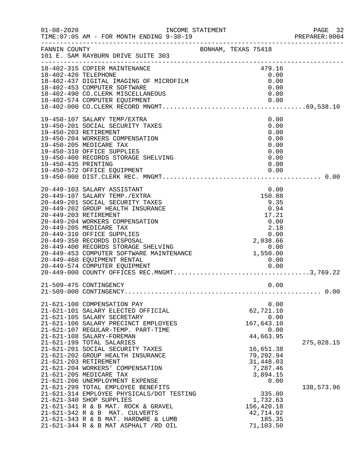| $01 - 08 - 2020$     | INCOME STATEMENT<br>TIME: 07:05 AM - FOR MONTH ENDING 9-30-19                                                                                                                                                                                                                                                                                                                                                                                                                                                          |  |                                                                      | PAGE 32<br>PREPARER: 0004 |
|----------------------|------------------------------------------------------------------------------------------------------------------------------------------------------------------------------------------------------------------------------------------------------------------------------------------------------------------------------------------------------------------------------------------------------------------------------------------------------------------------------------------------------------------------|--|----------------------------------------------------------------------|---------------------------|
|                      | FANNIN COUNTY<br>101 E. SAM RAYBURN DRIVE SUITE 303                                                                                                                                                                                                                                                                                                                                                                                                                                                                    |  |                                                                      |                           |
| 18-402-420 TELEPHONE | 18-402-315 COPIER MAINTENANCE<br>18-402-437 DIGITAL IMAGING OF MICROFILM<br>18-402-453 COMPUTER SOFTWARE                                                                                                                                                                                                                                                                                                                                                                                                               |  | 479.16<br>0.00<br>0.00<br>0.00                                       |                           |
| 19-450-435 PRINTING  | 19-450-107 SALARY TEMP/EXTRA<br>19-450-201 SOCIAL SECURITY TAXES<br>19-450-203 RETIREMENT<br>19-450-204 WORKERS COMPENSATION<br>19-450-205 MEDICARE TAX<br>19-450-310 OFFICE SUPPLIES<br>19-450-400 RECORDS STORAGE SHELVING                                                                                                                                                                                                                                                                                           |  | 0.00<br>0.00<br>0.00<br>0.00<br>0.00<br>0.00<br>0.00<br>0.00         |                           |
|                      | 20-449-103 SALARY ASSISTANT<br>20-449-107 SALARY TEMP./EXTRA<br>20-449-201 SOCIAL SECURITY TAXES<br>20-449-202 GROUP HEALTH INSURANCE<br>20-449-203 RETIREMENT<br>20-449-204 WORKERS COMPENSATION<br>20-449-205 MEDICARE TAX<br>$\begin{tabular}{lllllllll} & & & & & & & 2.18 \\ 20-449-350 RECORDS DISPOSAL && 0.00 \\ 20-449-400 RECORDS STORAGE SHELVING && 0.00 \\ 20-449-453 COMPUTER SOFTNARE MANTENANCE && 1,550.00 \\ 20-449-460 EQUIPMENT RENTAL && 1,550.00 \\ 20-449-574 COMPUTER FOUTDMENT \end{tabular}$ |  | 0.00<br>150.88<br>9.35<br>0.94<br>17.21<br>$0.00$<br>$2.18$          |                           |
|                      | 21-509-475 CONTINGENCY                                                                                                                                                                                                                                                                                                                                                                                                                                                                                                 |  | 0.00                                                                 |                           |
|                      | 21-621-100 COMPENSATION PAY<br>21-621-101 SALARY ELECTED OFFICIAL<br>21-621-105 SALARY SECRETARY<br>21-621-106 SALARY PRECINCT EMPLOYEES<br>21-621-107 REGULAR-TEMP. PART-TIME<br>21-621-108 SALARY-FOREMAN<br>21-621-199 TOTAL SALARIES                                                                                                                                                                                                                                                                               |  | 0.00<br>62,721.10<br>0.00<br>167,643.10<br>0.00<br>44,663.95         | 275,028.15                |
|                      | 21-621-201 SOCIAL SECURITY TAXES<br>21-621-202 GROUP HEALTH INSURANCE<br>21-621-203 RETIREMENT<br>21-621-204 WORKERS' COMPENSATION<br>21-621-205 MEDICARE TAX<br>21-621-206 UNEMPLOYMENT EXPENSE                                                                                                                                                                                                                                                                                                                       |  | 16,651.38<br>79,292.94<br>31,448.03<br>7,287.46<br>3,894.15<br>0.00  |                           |
|                      | 21-621-299 TOTAL EMPLOYEE BENEFITS<br>21-621-314 EMPLOYEE PHYSICALS/DOT TESTING<br>21-621-340 SHOP SUPPLIES<br>21-621-341 R & B MAT. ROCK & GRAVEL<br>21-621-342 R & B MAT. CULVERTS<br>21-621-343 R & B MAT. HARDWRE & LUMB<br>21-621-344 R & B MAT ASPHALT /RD OIL                                                                                                                                                                                                                                                   |  | 335.00<br>1,732.63<br>156,420.18<br>42,714.92<br>185.35<br>71,103.50 | 138,573.96                |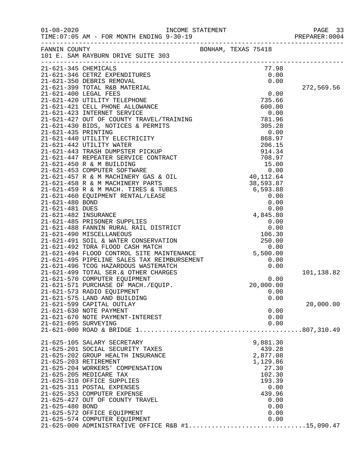|                       | FANNIN COUNTY<br>BONHAM, TEXAS 75418<br>101 E. SAM RAYBURN DRIVE SUITE 303 |  |                   |      |            |
|-----------------------|----------------------------------------------------------------------------|--|-------------------|------|------------|
| 21-621-345 CHEMICALS  |                                                                            |  | 77.98             |      |            |
|                       |                                                                            |  |                   |      |            |
|                       |                                                                            |  |                   |      | 272,569.56 |
|                       |                                                                            |  |                   |      |            |
|                       |                                                                            |  |                   |      |            |
|                       |                                                                            |  |                   |      |            |
|                       |                                                                            |  |                   |      |            |
|                       |                                                                            |  |                   |      |            |
|                       |                                                                            |  |                   |      |            |
|                       |                                                                            |  |                   |      |            |
|                       |                                                                            |  |                   |      |            |
|                       |                                                                            |  |                   |      |            |
|                       |                                                                            |  |                   |      |            |
|                       |                                                                            |  |                   |      |            |
|                       |                                                                            |  |                   |      |            |
|                       |                                                                            |  |                   |      |            |
|                       |                                                                            |  |                   |      |            |
|                       |                                                                            |  |                   |      |            |
|                       |                                                                            |  |                   |      |            |
|                       |                                                                            |  |                   |      |            |
|                       |                                                                            |  |                   |      |            |
|                       |                                                                            |  |                   |      |            |
|                       |                                                                            |  |                   |      |            |
|                       |                                                                            |  |                   |      |            |
|                       |                                                                            |  |                   |      |            |
|                       |                                                                            |  |                   |      |            |
|                       |                                                                            |  |                   |      |            |
|                       |                                                                            |  |                   |      |            |
|                       |                                                                            |  |                   |      | 101,138.82 |
|                       |                                                                            |  |                   |      |            |
|                       | 21-621-571 PURCHASE OF MACH./EQUIP.                                        |  | 20,000.00         |      |            |
|                       | 21-621-573 RADIO EQUIPMENT                                                 |  |                   | 0.00 |            |
|                       | 21-621-575 LAND AND BUILDING<br>21-621-599 CAPITAL OUTLAY                  |  |                   | 0.00 | 20,000.00  |
|                       | 21-621-630 NOTE PAYMENT                                                    |  |                   | 0.00 |            |
|                       | 21-621-670 NOTE PAYMENT-INTEREST                                           |  |                   | 0.00 |            |
| 21-621-695 SURVEYING  |                                                                            |  |                   | 0.00 |            |
|                       |                                                                            |  |                   |      |            |
|                       |                                                                            |  |                   |      |            |
|                       | 21-625-105 SALARY SECRETARY                                                |  | 9,881.30          |      |            |
|                       | 21-625-201 SOCIAL SECURITY TAXES                                           |  | 439.28            |      |            |
|                       | 21-625-202 GROUP HEALTH INSURANCE                                          |  | 2,877.08          |      |            |
| 21-625-203 RETIREMENT | 21-625-204 WORKERS' COMPENSATION                                           |  | 1,129.86<br>27.30 |      |            |
|                       | 21-625-205 MEDICARE TAX                                                    |  | 102.30            |      |            |
|                       | 21-625-310 OFFICE SUPPLIES                                                 |  | 193.39            |      |            |
|                       | 21-625-311 POSTAL EXPENSES                                                 |  |                   | 0.00 |            |
|                       | 21-625-353 COMPUTER EXPENSE                                                |  | 439.96            |      |            |
|                       | 21-625-427 OUT OF COUNTY TRAVEL                                            |  |                   | 0.00 |            |
| 21-625-480 BOND       |                                                                            |  |                   | 0.00 |            |
|                       | 21-625-572 OFFICE EQUIPMENT                                                |  |                   | 0.00 |            |
|                       | 21-625-574 COMPUTER EQUIPMENT                                              |  |                   | 0.00 |            |
|                       | $21-625-000$ ADMINISTRATIVE OFFICE R&B #115,090.47                         |  |                   |      |            |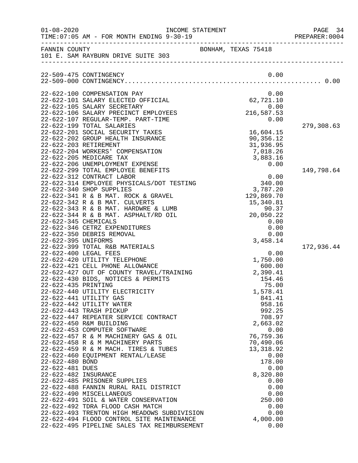| $01 - 08 - 2020$     |                                                                             | INCOME STATEMENT |                                     | PAGE 34<br>PREPARER: 0004 |
|----------------------|-----------------------------------------------------------------------------|------------------|-------------------------------------|---------------------------|
|                      | FANNIN COUNTY<br>101 E. SAM RAYBURN DRIVE SUITE 303                         |                  | BONHAM, TEXAS 75418                 |                           |
|                      | 22-509-475 CONTINGENCY                                                      |                  | 0.00                                |                           |
|                      | 22-622-100 COMPENSATION PAY                                                 |                  | 0.00                                |                           |
|                      | 22-622-101 SALARY ELECTED OFFICIAL                                          |                  |                                     |                           |
|                      | 22-622-105 SALARY SECRETARY<br>22-622-106 SALARY PRECINCT EMPLOYEES         |                  | $62, 721.10$<br>0.00<br>216, 587.53 |                           |
|                      | 22-622-107 REGULAR-TEMP. PART-TIME                                          |                  | 0.00                                |                           |
|                      | 22-622-199 TOTAL SALARIES                                                   |                  |                                     | 279,308.63                |
|                      | 22-622-201 SOCIAL SECURITY TAXES                                            |                  | 16,604.15                           |                           |
|                      | 22-622-202 GROUP HEALTH INSURANCE                                           |                  | 90,356.12                           |                           |
|                      | 22-622-203 RETIREMENT<br>22-622-204 WORKERS' COMPENSATION                   |                  | 31,936.95<br>7,018.26               |                           |
|                      | 22-622-205 MEDICARE TAX                                                     |                  | 3,883.16                            |                           |
|                      | 22-622-206 UNEMPLOYMENT EXPENSE                                             |                  | 0.00                                |                           |
|                      | 22-622-299 TOTAL EMPLOYEE BENEFITS                                          |                  |                                     | 149,798.64                |
|                      | 22-622-312 CONTRACT LABOR                                                   |                  | 0.00                                |                           |
|                      | 22-622-314 EMPLOYEE PHYSICALS/DOT TESTING                                   |                  | 340.00                              |                           |
|                      | 22-622-340 SHOP SUPPLIES<br>22-622-341 R & B MAT. ROCK & GRAVEL             |                  | 3,787.20<br>129,869.70              |                           |
|                      | 22-622-342 R & B MAT. CULVERTS                                              |                  | 15,340.81                           |                           |
|                      | 22-622-343 R & B MAT. HARDWRE & LUMB                                        |                  | 90.37                               |                           |
|                      | 22-622-344 R & B MAT. ASPHALT/RD OIL                                        |                  | 20,050.22                           |                           |
| 22-622-345 CHEMICALS |                                                                             |                  | 0.00                                |                           |
|                      | 22-622-346 CETRZ EXPENDITURES<br>22-622-350 DEBRIS REMOVAL                  |                  | 0.00<br>0.00                        |                           |
| 22-622-395 UNIFORMS  |                                                                             |                  | 3,458.14                            |                           |
|                      | 22-622-399 TOTAL R&B MATERIALS                                              |                  |                                     | 172,936.44                |
|                      | 22-622-400 LEGAL FEES                                                       |                  | 0.00                                |                           |
|                      | 22-622-420 UTILITY TELEPHONE                                                |                  | 1,750.00                            |                           |
|                      | 22-622-421 CELL PHONE ALLOWANCE<br>22-622-427 OUT OF COUNTY TRAVEL/TRAINING |                  | 600.00<br>2,390.41                  |                           |
|                      | 22-622-430 BIDS, NOTICES & PERMITS                                          |                  | 154.46                              |                           |
| 22-622-435 PRINTING  |                                                                             |                  | 75.00                               |                           |
|                      | 22-622-440 UTILITY ELECTRICITY                                              |                  | 1,578.41                            |                           |
|                      | 22-622-441 UTILITY GAS                                                      |                  | 841.41                              |                           |
|                      | 22-622-442 UTILITY WATER<br>22-622-443 TRASH PICKUP                         |                  | 958.16<br>992.25                    |                           |
|                      | 22-622-447 REPEATER SERVICE CONTRACT                                        |                  | 708.97                              |                           |
|                      | 22-622-450 R&M BUILDING                                                     |                  | 2,663.02                            |                           |
|                      | 22-622-453 COMPUTER SOFTWARE                                                |                  | 0.00                                |                           |
|                      | 22-622-457 R & M MACHINERY GAS & OIL                                        |                  | 76,759.36                           |                           |
|                      | 22-622-458 R & M MACHINERY PARTS                                            |                  | 70,490.06                           |                           |
|                      | 22-622-459 R & M MACH. TIRES & TUBES<br>22-622-460 EQUIPMENT RENTAL/LEASE   |                  | 13, 318.92<br>0.00                  |                           |
| 22-622-480 BOND      |                                                                             |                  | 178.00                              |                           |
| 22-622-481 DUES      |                                                                             |                  | 0.00                                |                           |
| 22-622-482 INSURANCE |                                                                             |                  | 8,320.80                            |                           |
|                      | 22-622-485 PRISONER SUPPLIES                                                |                  | 0.00                                |                           |
|                      | 22-622-488 FANNIN RURAL RAIL DISTRICT<br>22-622-490 MISCELLANEOUS           |                  | 0.00<br>0.00                        |                           |
|                      | 22-622-491 SOIL & WATER CONSERVATION                                        |                  | 250.00                              |                           |
|                      | 22-622-492 TDRA FLOOD CASH MATCH                                            |                  | 0.00                                |                           |
|                      | 22-622-493 TRENTON HIGH MEADOWS SUBDIVISION                                 |                  | 0.00                                |                           |
|                      | 22-622-494 FLOOD CONTROL SITE MAINTENANCE                                   |                  | 4,000.00                            |                           |
|                      | 22-622-495 PIPELINE SALES TAX REIMBURSEMENT                                 |                  | 0.00                                |                           |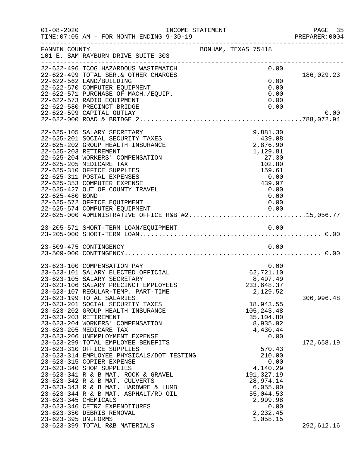| $01 - 08 - 2020$     | INCOME STATEMENT<br>TIME: 07:05 AM - FOR MONTH ENDING 9-30-19                          |                     |                           |      | PAGE 35<br>PREPARER:0004 |
|----------------------|----------------------------------------------------------------------------------------|---------------------|---------------------------|------|--------------------------|
| FANNIN COUNTY        | 101 E. SAM RAYBURN DRIVE SUITE 303                                                     | BONHAM, TEXAS 75418 |                           |      |                          |
|                      | 22-622-496 TCOG HAZARDOUS WASTEMATCH<br>22-622-499 TOTAL SER. & OTHER CHARGES          |                     |                           | 0.00 | 186,029.23               |
|                      | 22-622-562 LAND/BUILDING                                                               |                     |                           | 0.00 |                          |
|                      | 22-622-570 COMPUTER EQUIPMENT                                                          |                     |                           | 0.00 |                          |
|                      | 22-622-571 PURCHASE OF MACH./EQUIP.                                                    |                     |                           | 0.00 |                          |
|                      | 22-622-573 RADIO EQUIPMENT<br>22-622-580 PRECINCT BRIDGE                               |                     |                           | 0.00 |                          |
|                      | 22-622-599 CAPITAL OUTLAY                                                              |                     |                           | 0.00 | 0.00                     |
|                      |                                                                                        |                     |                           |      |                          |
|                      | 22-625-105 SALARY SECRETARY                                                            |                     | 9,881.30                  |      |                          |
|                      | 22-625-201 SOCIAL SECURITY TAXES                                                       |                     | 439.08                    |      |                          |
|                      | 22-625-202 GROUP HEALTH INSURANCE                                                      |                     | 2,876.90                  |      |                          |
|                      | 22-625-203 RETIREMENT                                                                  |                     | 1,129.81                  |      |                          |
|                      | 22-625-204 WORKERS' COMPENSATION                                                       |                     | 27.30                     |      |                          |
|                      | 22-625-205 MEDICARE TAX                                                                |                     | 102.80                    |      |                          |
|                      | 22-625-310 OFFICE SUPPLIES                                                             |                     | 159.61                    |      |                          |
|                      | 22-625-311 POSTAL EXPENSES<br>22-625-353 COMPUTER EXPENSE                              |                     | 439.97                    | 0.00 |                          |
|                      | 22-625-427 OUT OF COUNTY TRAVEL                                                        |                     | 0.00                      |      |                          |
| 22-625-480 BOND      |                                                                                        |                     |                           | 0.00 |                          |
|                      | 22-625-572 OFFICE EQUIPMENT                                                            |                     |                           | 0.00 |                          |
|                      |                                                                                        |                     |                           |      |                          |
|                      | 22-625-574 COMPUTER EQUIPMENT 0.00<br>22-625-000 ADMINISTRATIVE OFFICE R&B #215,056.77 |                     |                           |      |                          |
|                      |                                                                                        |                     |                           |      |                          |
|                      | 23-509-475 CONTINGENCY                                                                 |                     |                           | 0.00 |                          |
|                      |                                                                                        |                     |                           |      |                          |
|                      | 23-623-100 COMPENSATION PAY                                                            |                     |                           | 0.00 |                          |
|                      | 23-623-101 SALARY ELECTED OFFICIAL                                                     |                     | 62,721.10                 |      |                          |
|                      | 23-623-105 SALARY SECRETARY                                                            |                     | 8,497.49                  |      |                          |
|                      | 23-623-106 SALARY PRECINCT EMPLOYEES                                                   |                     | 233,648.37                |      |                          |
|                      | 23-623-107 REGULAR-TEMP. PART-TIME                                                     |                     | 2,129.52                  |      |                          |
|                      | 23-623-199 TOTAL SALARIES                                                              |                     |                           |      | 306,996.48               |
|                      | 23-623-201 SOCIAL SECURITY TAXES<br>23-623-202 GROUP HEALTH INSURANCE                  |                     | 18,943.55                 |      |                          |
|                      | 23-623-203 RETIREMENT                                                                  |                     | 105, 243. 48<br>35,104.80 |      |                          |
|                      | 23-623-204 WORKERS' COMPENSATION                                                       |                     | 8,935.92                  |      |                          |
|                      | 23-623-205 MEDICARE TAX                                                                |                     | 4,430.44                  |      |                          |
|                      | 23-623-206 UNEMPLOYMENT EXPENSE                                                        |                     |                           | 0.00 |                          |
|                      | 23-623-299 TOTAL EMPLOYEE BENEFITS                                                     |                     |                           |      | 172,658.19               |
|                      | 23-623-310 OFFICE SUPPLIES                                                             |                     | 570.43                    |      |                          |
|                      | 23-623-314 EMPLOYEE PHYSICALS/DOT TESTING                                              |                     | 210.00                    |      |                          |
|                      | 23-623-315 COPIER EXPENSE                                                              |                     |                           | 0.00 |                          |
|                      | 23-623-340 SHOP SUPPLIES<br>23-623-341 R & B MAT. ROCK & GRAVEL                        |                     | 4,140.29<br>191,327.19    |      |                          |
|                      | 23-623-342 R & B MAT. CULVERTS                                                         |                     | 28,974.14                 |      |                          |
|                      | 23-623-343 R & B MAT. HARDWRE & LUMB                                                   |                     | 6,055.00                  |      |                          |
|                      | 23-623-344 R & B MAT. ASPHALT/RD OIL                                                   |                     | 55,044.53                 |      |                          |
| 23-623-345 CHEMICALS |                                                                                        |                     | 2,999.98                  |      |                          |
|                      | 23-623-346 CETRZ EXPENDITURES                                                          |                     |                           | 0.00 |                          |
|                      | 23-623-350 DEBRIS REMOVAL                                                              |                     | 2,232.45                  |      |                          |
| 23-623-395 UNIFORMS  | 23-623-399 TOTAL R&B MATERIALS                                                         |                     | 1,058.15                  |      | 292,612.16               |
|                      |                                                                                        |                     |                           |      |                          |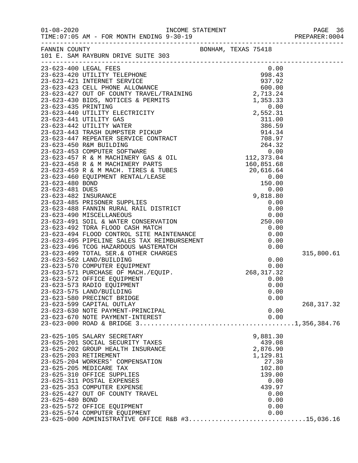| $01 - 08 - 2020$ | TIME: 07:05 AM - FOR MONTH ENDING 9-30-19                                                                                                                                                                                              |                     |             |
|------------------|----------------------------------------------------------------------------------------------------------------------------------------------------------------------------------------------------------------------------------------|---------------------|-------------|
| FANNIN COUNTY    | 101 E. SAM RAYBURN DRIVE SUITE 303                                                                                                                                                                                                     | BONHAM, TEXAS 75418 |             |
|                  | 23-623-400 LEGAL FEES                                                                                                                                                                                                                  | 0.00                |             |
|                  |                                                                                                                                                                                                                                        |                     |             |
|                  |                                                                                                                                                                                                                                        |                     |             |
|                  |                                                                                                                                                                                                                                        |                     |             |
|                  |                                                                                                                                                                                                                                        |                     |             |
|                  |                                                                                                                                                                                                                                        |                     |             |
|                  |                                                                                                                                                                                                                                        |                     |             |
|                  |                                                                                                                                                                                                                                        |                     |             |
|                  |                                                                                                                                                                                                                                        |                     |             |
|                  |                                                                                                                                                                                                                                        |                     |             |
|                  |                                                                                                                                                                                                                                        |                     |             |
|                  |                                                                                                                                                                                                                                        |                     |             |
|                  |                                                                                                                                                                                                                                        |                     |             |
|                  |                                                                                                                                                                                                                                        |                     |             |
|                  |                                                                                                                                                                                                                                        |                     |             |
|                  |                                                                                                                                                                                                                                        |                     |             |
|                  |                                                                                                                                                                                                                                        |                     |             |
|                  |                                                                                                                                                                                                                                        |                     |             |
|                  |                                                                                                                                                                                                                                        |                     |             |
|                  |                                                                                                                                                                                                                                        |                     |             |
|                  |                                                                                                                                                                                                                                        |                     |             |
|                  |                                                                                                                                                                                                                                        |                     |             |
|                  |                                                                                                                                                                                                                                        |                     |             |
|                  |                                                                                                                                                                                                                                        |                     |             |
|                  |                                                                                                                                                                                                                                        |                     |             |
|                  | 23-623-491 SOIL & WATER CONSERVATION 23-623-492 TDRA FLOOD CASH MATCH 0.00<br>23-623-492 TDRA FLOOD CASH MATCH 0.00<br>23-623-494 FLOOD CONTROL SITE MAINTENANCE 0.00<br>23-623-495 PIPELINE SALES TAX REIMBURSEMENT 0.00<br>23-623-49 |                     |             |
|                  |                                                                                                                                                                                                                                        |                     |             |
|                  |                                                                                                                                                                                                                                        |                     |             |
|                  |                                                                                                                                                                                                                                        |                     | 315,800.61  |
|                  |                                                                                                                                                                                                                                        |                     |             |
|                  |                                                                                                                                                                                                                                        |                     |             |
|                  |                                                                                                                                                                                                                                        |                     |             |
|                  | 23-623-572 OFFICE EQUIPMENT<br>23-623-573 RADIO EQUIPMENT                                                                                                                                                                              | 0.00<br>0.00        |             |
|                  | 23-623-575 LAND/BUILDING                                                                                                                                                                                                               | 0.00                |             |
|                  | 23-623-580 PRECINCT BRIDGE                                                                                                                                                                                                             | 0.00                |             |
|                  | 23-623-599 CAPITAL OUTLAY                                                                                                                                                                                                              |                     | 268, 317.32 |
|                  | 23-623-630 NOTE PAYMENT-PRINCIPAL                                                                                                                                                                                                      | 0.00                |             |
|                  | 23-623-670 NOTE PAYMENT-INTEREST                                                                                                                                                                                                       | 0.00                |             |
|                  |                                                                                                                                                                                                                                        |                     |             |
|                  | 23-625-105 SALARY SECRETARY                                                                                                                                                                                                            | 9,881.30            |             |
|                  | 23-625-201 SOCIAL SECURITY TAXES                                                                                                                                                                                                       | 439.08              |             |
|                  | 23-625-202 GROUP HEALTH INSURANCE                                                                                                                                                                                                      | 2,876.90            |             |
|                  | 23-625-203 RETIREMENT                                                                                                                                                                                                                  | 1,129.81            |             |
|                  | 23-625-204 WORKERS' COMPENSATION                                                                                                                                                                                                       | 27.30               |             |
|                  | 23-625-205 MEDICARE TAX                                                                                                                                                                                                                | 102.80              |             |
|                  | 23-625-310 OFFICE SUPPLIES<br>23-625-311 POSTAL EXPENSES                                                                                                                                                                               | 139.00              |             |
|                  | 23-625-353 COMPUTER EXPENSE                                                                                                                                                                                                            | 0.00<br>439.97      |             |
|                  | 23-625-427 OUT OF COUNTY TRAVEL                                                                                                                                                                                                        | 0.00                |             |
| 23-625-480 BOND  |                                                                                                                                                                                                                                        | 0.00                |             |
|                  | 23-625-572 OFFICE EQUIPMENT                                                                                                                                                                                                            | 0.00                |             |
|                  | 23-625-574 COMPUTER EQUIPMENT                                                                                                                                                                                                          | 0.00                |             |

23-625-000 ADMINISTRATIVE OFFICE R&B #3...............................15,036.16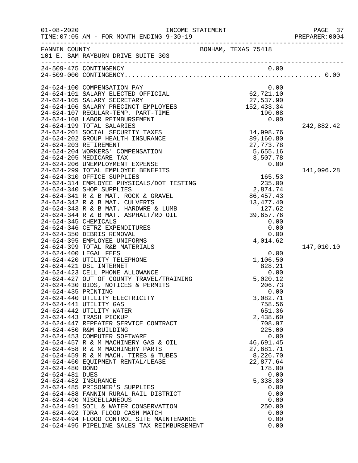| FANNIN COUNTY<br>BONHAM, TEXAS 75418<br>101 E. SAM RAYBURN DRIVE SUITE 303<br>0.00<br>24-509-475 CONTINGENCY<br>24-624-100 COMPENSATION PAY<br>0.00<br>62, 721.10<br>24-624-101 SALARY ELECTED OFFICIAL<br>27,537.90<br>24-624-105 SALARY SECRETARY<br>152,433.34<br>24-624-106 SALARY PRECINCT EMPLOYEES<br>24-624-107 REGULAR-TEMP. PART-TIME<br>190.08<br>24-624-108 LABOR REIMBURSEMENT<br>0.00<br>24-624-199 TOTAL SALARIES<br>242,882.42<br>14,998.76<br>24-624-201 SOCIAL SECURITY TAXES<br>24-624-202 GROUP HEALTH INSURANCE<br>89,160.80<br>27,773.78<br>24-624-203 RETIREMENT<br>24-624-204 WORKERS' COMPENSATION<br>5,655.16<br>24-624-205 MEDICARE TAX<br>3,507.78<br>24-624-206 UNEMPLOYMENT EXPENSE<br>0.00<br>24-624-299 TOTAL EMPLOYEE BENEFITS<br>141,096.28<br>24-624-310 OFFICE SUPPLIES<br>165.53<br>24-624-314 EMPLOYEE PHYSICALS/DOT TESTING<br>235.00<br>24-624-340 SHOP SUPPLIES<br>2,874.74<br>24-624-341 R & B MAT. ROCK & GRAVEL<br>86,457.43<br>13, 477. 40<br>24-624-342 R & B MAT. CULVERTS<br>24-624-343 R & B MAT. HARDWRE & LUMB<br>127.62<br>39,657.76<br>24-624-344 R & B MAT. ASPHALT/RD OIL<br>24-624-345 CHEMICALS<br>0.00<br>0.00<br>24-624-346 CETRZ EXPENDITURES<br>24-624-350 DEBRIS REMOVAL<br>0.00<br>4,014.62<br>24-624-395 EMPLOYEE UNIFORMS<br>24-624-399 TOTAL R&B MATERIALS<br>147,010.10 |  |
|--------------------------------------------------------------------------------------------------------------------------------------------------------------------------------------------------------------------------------------------------------------------------------------------------------------------------------------------------------------------------------------------------------------------------------------------------------------------------------------------------------------------------------------------------------------------------------------------------------------------------------------------------------------------------------------------------------------------------------------------------------------------------------------------------------------------------------------------------------------------------------------------------------------------------------------------------------------------------------------------------------------------------------------------------------------------------------------------------------------------------------------------------------------------------------------------------------------------------------------------------------------------------------------------------------------------------------------------|--|
|                                                                                                                                                                                                                                                                                                                                                                                                                                                                                                                                                                                                                                                                                                                                                                                                                                                                                                                                                                                                                                                                                                                                                                                                                                                                                                                                            |  |
|                                                                                                                                                                                                                                                                                                                                                                                                                                                                                                                                                                                                                                                                                                                                                                                                                                                                                                                                                                                                                                                                                                                                                                                                                                                                                                                                            |  |
|                                                                                                                                                                                                                                                                                                                                                                                                                                                                                                                                                                                                                                                                                                                                                                                                                                                                                                                                                                                                                                                                                                                                                                                                                                                                                                                                            |  |
|                                                                                                                                                                                                                                                                                                                                                                                                                                                                                                                                                                                                                                                                                                                                                                                                                                                                                                                                                                                                                                                                                                                                                                                                                                                                                                                                            |  |
|                                                                                                                                                                                                                                                                                                                                                                                                                                                                                                                                                                                                                                                                                                                                                                                                                                                                                                                                                                                                                                                                                                                                                                                                                                                                                                                                            |  |
|                                                                                                                                                                                                                                                                                                                                                                                                                                                                                                                                                                                                                                                                                                                                                                                                                                                                                                                                                                                                                                                                                                                                                                                                                                                                                                                                            |  |
|                                                                                                                                                                                                                                                                                                                                                                                                                                                                                                                                                                                                                                                                                                                                                                                                                                                                                                                                                                                                                                                                                                                                                                                                                                                                                                                                            |  |
|                                                                                                                                                                                                                                                                                                                                                                                                                                                                                                                                                                                                                                                                                                                                                                                                                                                                                                                                                                                                                                                                                                                                                                                                                                                                                                                                            |  |
|                                                                                                                                                                                                                                                                                                                                                                                                                                                                                                                                                                                                                                                                                                                                                                                                                                                                                                                                                                                                                                                                                                                                                                                                                                                                                                                                            |  |
|                                                                                                                                                                                                                                                                                                                                                                                                                                                                                                                                                                                                                                                                                                                                                                                                                                                                                                                                                                                                                                                                                                                                                                                                                                                                                                                                            |  |
|                                                                                                                                                                                                                                                                                                                                                                                                                                                                                                                                                                                                                                                                                                                                                                                                                                                                                                                                                                                                                                                                                                                                                                                                                                                                                                                                            |  |
|                                                                                                                                                                                                                                                                                                                                                                                                                                                                                                                                                                                                                                                                                                                                                                                                                                                                                                                                                                                                                                                                                                                                                                                                                                                                                                                                            |  |
|                                                                                                                                                                                                                                                                                                                                                                                                                                                                                                                                                                                                                                                                                                                                                                                                                                                                                                                                                                                                                                                                                                                                                                                                                                                                                                                                            |  |
|                                                                                                                                                                                                                                                                                                                                                                                                                                                                                                                                                                                                                                                                                                                                                                                                                                                                                                                                                                                                                                                                                                                                                                                                                                                                                                                                            |  |
|                                                                                                                                                                                                                                                                                                                                                                                                                                                                                                                                                                                                                                                                                                                                                                                                                                                                                                                                                                                                                                                                                                                                                                                                                                                                                                                                            |  |
|                                                                                                                                                                                                                                                                                                                                                                                                                                                                                                                                                                                                                                                                                                                                                                                                                                                                                                                                                                                                                                                                                                                                                                                                                                                                                                                                            |  |
|                                                                                                                                                                                                                                                                                                                                                                                                                                                                                                                                                                                                                                                                                                                                                                                                                                                                                                                                                                                                                                                                                                                                                                                                                                                                                                                                            |  |
|                                                                                                                                                                                                                                                                                                                                                                                                                                                                                                                                                                                                                                                                                                                                                                                                                                                                                                                                                                                                                                                                                                                                                                                                                                                                                                                                            |  |
|                                                                                                                                                                                                                                                                                                                                                                                                                                                                                                                                                                                                                                                                                                                                                                                                                                                                                                                                                                                                                                                                                                                                                                                                                                                                                                                                            |  |
|                                                                                                                                                                                                                                                                                                                                                                                                                                                                                                                                                                                                                                                                                                                                                                                                                                                                                                                                                                                                                                                                                                                                                                                                                                                                                                                                            |  |
|                                                                                                                                                                                                                                                                                                                                                                                                                                                                                                                                                                                                                                                                                                                                                                                                                                                                                                                                                                                                                                                                                                                                                                                                                                                                                                                                            |  |
|                                                                                                                                                                                                                                                                                                                                                                                                                                                                                                                                                                                                                                                                                                                                                                                                                                                                                                                                                                                                                                                                                                                                                                                                                                                                                                                                            |  |
|                                                                                                                                                                                                                                                                                                                                                                                                                                                                                                                                                                                                                                                                                                                                                                                                                                                                                                                                                                                                                                                                                                                                                                                                                                                                                                                                            |  |
|                                                                                                                                                                                                                                                                                                                                                                                                                                                                                                                                                                                                                                                                                                                                                                                                                                                                                                                                                                                                                                                                                                                                                                                                                                                                                                                                            |  |
|                                                                                                                                                                                                                                                                                                                                                                                                                                                                                                                                                                                                                                                                                                                                                                                                                                                                                                                                                                                                                                                                                                                                                                                                                                                                                                                                            |  |
|                                                                                                                                                                                                                                                                                                                                                                                                                                                                                                                                                                                                                                                                                                                                                                                                                                                                                                                                                                                                                                                                                                                                                                                                                                                                                                                                            |  |
| 24-624-400 LEGAL FEES<br>0.00                                                                                                                                                                                                                                                                                                                                                                                                                                                                                                                                                                                                                                                                                                                                                                                                                                                                                                                                                                                                                                                                                                                                                                                                                                                                                                              |  |
| 24-624-420 UTILITY TELEPHONE<br>1,106.50                                                                                                                                                                                                                                                                                                                                                                                                                                                                                                                                                                                                                                                                                                                                                                                                                                                                                                                                                                                                                                                                                                                                                                                                                                                                                                   |  |
| 24-624-421 DSL INTERNET<br>828.21                                                                                                                                                                                                                                                                                                                                                                                                                                                                                                                                                                                                                                                                                                                                                                                                                                                                                                                                                                                                                                                                                                                                                                                                                                                                                                          |  |
| 24-624-423 CELL PHONE ALLOWANCE<br>0.00                                                                                                                                                                                                                                                                                                                                                                                                                                                                                                                                                                                                                                                                                                                                                                                                                                                                                                                                                                                                                                                                                                                                                                                                                                                                                                    |  |
| 24-624-427 OUT OF COUNTY TRAVEL/TRAINING<br>5,020.12                                                                                                                                                                                                                                                                                                                                                                                                                                                                                                                                                                                                                                                                                                                                                                                                                                                                                                                                                                                                                                                                                                                                                                                                                                                                                       |  |
| 24-624-430 BIDS, NOTICES & PERMITS<br>206.73<br>24-624-435 PRINTING<br>0.00                                                                                                                                                                                                                                                                                                                                                                                                                                                                                                                                                                                                                                                                                                                                                                                                                                                                                                                                                                                                                                                                                                                                                                                                                                                                |  |
| 3,082.71<br>24-624-440 UTILITY ELECTRICITY                                                                                                                                                                                                                                                                                                                                                                                                                                                                                                                                                                                                                                                                                                                                                                                                                                                                                                                                                                                                                                                                                                                                                                                                                                                                                                 |  |
| 24-624-441 UTILITY GAS<br>758.56                                                                                                                                                                                                                                                                                                                                                                                                                                                                                                                                                                                                                                                                                                                                                                                                                                                                                                                                                                                                                                                                                                                                                                                                                                                                                                           |  |
| 24-624-442 UTILITY WATER<br>651.36                                                                                                                                                                                                                                                                                                                                                                                                                                                                                                                                                                                                                                                                                                                                                                                                                                                                                                                                                                                                                                                                                                                                                                                                                                                                                                         |  |
| 24-624-443 TRASH PICKUP<br>2,438.60                                                                                                                                                                                                                                                                                                                                                                                                                                                                                                                                                                                                                                                                                                                                                                                                                                                                                                                                                                                                                                                                                                                                                                                                                                                                                                        |  |
| 24-624-447 REPEATER SERVICE CONTRACT<br>708.97                                                                                                                                                                                                                                                                                                                                                                                                                                                                                                                                                                                                                                                                                                                                                                                                                                                                                                                                                                                                                                                                                                                                                                                                                                                                                             |  |
| 24-624-450 R&M BUILDING<br>225.00                                                                                                                                                                                                                                                                                                                                                                                                                                                                                                                                                                                                                                                                                                                                                                                                                                                                                                                                                                                                                                                                                                                                                                                                                                                                                                          |  |
| 24-624-453 COMPUTER SOFTWARE<br>0.00                                                                                                                                                                                                                                                                                                                                                                                                                                                                                                                                                                                                                                                                                                                                                                                                                                                                                                                                                                                                                                                                                                                                                                                                                                                                                                       |  |
| 24-624-457 R & M MACHINERY GAS & OIL<br>46,691.45<br>24-624-458 R & M MACHINERY PARTS<br>27,681.71                                                                                                                                                                                                                                                                                                                                                                                                                                                                                                                                                                                                                                                                                                                                                                                                                                                                                                                                                                                                                                                                                                                                                                                                                                         |  |
| 24-624-459 R & M MACH. TIRES & TUBES<br>8,226.70                                                                                                                                                                                                                                                                                                                                                                                                                                                                                                                                                                                                                                                                                                                                                                                                                                                                                                                                                                                                                                                                                                                                                                                                                                                                                           |  |
| 24-624-460 EQUIPMENT RENTAL/LEASE<br>22,877.64                                                                                                                                                                                                                                                                                                                                                                                                                                                                                                                                                                                                                                                                                                                                                                                                                                                                                                                                                                                                                                                                                                                                                                                                                                                                                             |  |
| 24-624-480 BOND<br>178.00                                                                                                                                                                                                                                                                                                                                                                                                                                                                                                                                                                                                                                                                                                                                                                                                                                                                                                                                                                                                                                                                                                                                                                                                                                                                                                                  |  |
| 24-624-481 DUES<br>0.00                                                                                                                                                                                                                                                                                                                                                                                                                                                                                                                                                                                                                                                                                                                                                                                                                                                                                                                                                                                                                                                                                                                                                                                                                                                                                                                    |  |
| 24-624-482 INSURANCE<br>5,338.80                                                                                                                                                                                                                                                                                                                                                                                                                                                                                                                                                                                                                                                                                                                                                                                                                                                                                                                                                                                                                                                                                                                                                                                                                                                                                                           |  |
| 24-624-485 PRISONER'S SUPPLIES<br>0.00                                                                                                                                                                                                                                                                                                                                                                                                                                                                                                                                                                                                                                                                                                                                                                                                                                                                                                                                                                                                                                                                                                                                                                                                                                                                                                     |  |
| 24-624-488 FANNIN RURAL RAIL DISTRICT<br>0.00                                                                                                                                                                                                                                                                                                                                                                                                                                                                                                                                                                                                                                                                                                                                                                                                                                                                                                                                                                                                                                                                                                                                                                                                                                                                                              |  |
| 24-624-490 MISCELLANEOUS<br>0.00<br>24-624-491 SOIL & WATER CONSERVATION<br>250.00                                                                                                                                                                                                                                                                                                                                                                                                                                                                                                                                                                                                                                                                                                                                                                                                                                                                                                                                                                                                                                                                                                                                                                                                                                                         |  |
| 24-624-492 TDRA FLOOD CASH MATCH<br>0.00                                                                                                                                                                                                                                                                                                                                                                                                                                                                                                                                                                                                                                                                                                                                                                                                                                                                                                                                                                                                                                                                                                                                                                                                                                                                                                   |  |
| 24-624-494 FLOOD CONTROL SITE MAINTENANCE<br>0.00                                                                                                                                                                                                                                                                                                                                                                                                                                                                                                                                                                                                                                                                                                                                                                                                                                                                                                                                                                                                                                                                                                                                                                                                                                                                                          |  |
| 24-624-495 PIPELINE SALES TAX REIMBURSEMENT<br>0.00                                                                                                                                                                                                                                                                                                                                                                                                                                                                                                                                                                                                                                                                                                                                                                                                                                                                                                                                                                                                                                                                                                                                                                                                                                                                                        |  |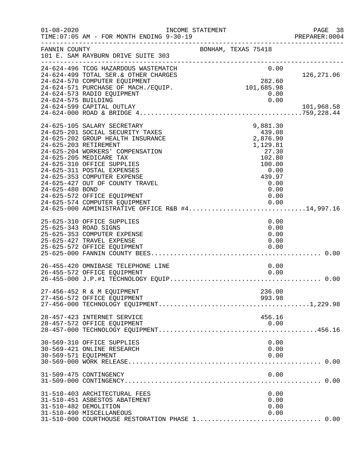| $01 - 08 - 2020$      | INCOME STATEMENT<br>TIME: 07:05 AM - FOR MONTH ENDING 9-30-19                                                                                                                                                                                                                                                                                                                                                                                                                   |  |                                                                                                                           | PAGE 38<br>PREPARER<br>----------------------------------<br>PREPARER:0004 |
|-----------------------|---------------------------------------------------------------------------------------------------------------------------------------------------------------------------------------------------------------------------------------------------------------------------------------------------------------------------------------------------------------------------------------------------------------------------------------------------------------------------------|--|---------------------------------------------------------------------------------------------------------------------------|----------------------------------------------------------------------------|
| FANNIN COUNTY         | 101 E. SAM RAYBURN DRIVE SUITE 303<br>-------------------------------------                                                                                                                                                                                                                                                                                                                                                                                                     |  | BONHAM, TEXAS 75418                                                                                                       |                                                                            |
|                       | 24-624-496 TCOG HAZARDOUS WASTEMATCH<br>24-624-499 TOTAL SER. & OTHER CHARGES<br>24-624-570 COMPUTER EQUIPMENT<br>24-624-571 PURCHASE OF MACH./EQUIP.<br>24-624-573 RADIO EQUIPMENT                                                                                                                                                                                                                                                                                             |  | 0.00<br>282.60<br>101,685.98<br>0.00                                                                                      | 126,271.06                                                                 |
| 24-624-575 BUILDING   | 24-624-599 CAPITAL OUTLAY<br>$24-624-000$ ROAD & BRIDGE $4.\dots\dots\dots\dots\dots\dots\dots\dots\dots\dots\dots\dots\dots\dots39$ ,228.44                                                                                                                                                                                                                                                                                                                                    |  | 0.00                                                                                                                      | 101,968.58                                                                 |
| 24-625-480 BOND       | 24-625-105 SALARY SECRETARY<br>24-625-201 SOCIAL SECURITY TAXES<br>24-625-202 GROUP HEALTH INSURANCE<br>24-625-203 RETIREMENT<br>24-625-204 WORKERS' COMPENSATION<br>24-625-205 MEDICARE TAX<br>24-625-310 OFFICE SUPPLIES<br>24-625-311 POSTAL EXPENSES<br>24-625-353 COMPUTER EXPENSE<br>24-625-427 OUT OF COUNTY TRAVEL<br>24-625-572 OFFICE EQUIPMENT<br>24-625-574 COMPUTER EQUIPMENT<br>24-625-574 COMPUTER EQUIPMENT<br>24-625-000 ADMINISTRATIVE OFFICE R&B #414,997.16 |  | 9,881.30<br>439.08<br>2,876.90<br>1,129.81<br>27.30<br>102.80<br>100.00<br>0.00<br>439.97<br>0.00<br>0.00<br>0.00<br>0.00 |                                                                            |
| 25-625-343 ROAD SIGNS | 25-625-310 OFFICE SUPPLIES<br>25-625-353 COMPUTER EXPENSE<br>25-625-427 TRAVEL EXPENSE<br>25-625-572 OFFICE EQUIPMENT                                                                                                                                                                                                                                                                                                                                                           |  | 0.00<br>0.00<br>0.00<br>0.00<br>0.00                                                                                      |                                                                            |
|                       | 26-455-420 OMNIBASE TELEPHONE LINE<br>26-455-572 OFFICE EQUIPMENT                                                                                                                                                                                                                                                                                                                                                                                                               |  | 0.00<br>0.00                                                                                                              |                                                                            |
|                       | 27-456-452 R & M EQUIPMENT<br>27-456-572 OFFICE EQUIPMENT                                                                                                                                                                                                                                                                                                                                                                                                                       |  | 236.00<br>993.98                                                                                                          |                                                                            |
|                       | 28-457-423 INTERNET SERVICE<br>28-457-572 OFFICE EQUIPMENT                                                                                                                                                                                                                                                                                                                                                                                                                      |  | 456.16<br>0.00                                                                                                            |                                                                            |
| 30-569-571 EQUIPMENT  | 30-569-310 OFFICE SUPPLIES<br>30-569-421 ONLINE RESEARCH                                                                                                                                                                                                                                                                                                                                                                                                                        |  | 0.00<br>0.00<br>0.00                                                                                                      |                                                                            |
|                       | 31-509-475 CONTINGENCY                                                                                                                                                                                                                                                                                                                                                                                                                                                          |  | 0.00                                                                                                                      | 0.00                                                                       |
| 31-510-482 DEMOLITION | 31-510-403 ARCHITECTURAL FEES<br>31-510-451 ASBESTOS ABATEMENT<br>31-510-490 MISCELLANEOUS<br>31-510-000 COURTHOUSE RESTORATION PHASE 1 0.00                                                                                                                                                                                                                                                                                                                                    |  | 0.00<br>0.00<br>0.00<br>0.00                                                                                              |                                                                            |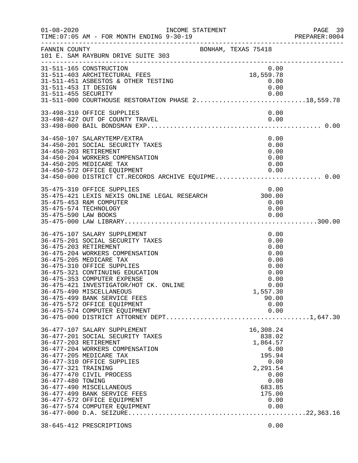| $01 - 08 - 2020$     | INCOME STATEMENT<br>TIME: 07:05 AM - FOR MONTH ENDING 9-30-19 |                | PAGE 39<br>PREPARER: 0004 |
|----------------------|---------------------------------------------------------------|----------------|---------------------------|
| FANNIN COUNTY        | BONHAM, TEXAS 75418<br>101 E. SAM RAYBURN DRIVE SUITE 303     |                |                           |
|                      | 31-511-165 CONSTRUCTION                                       | 0.00           |                           |
|                      | 31-511-403 ARCHITECTURAL FEES                                 | 18,559.78      |                           |
| 31-511-453 IT DESIGN | 31-511-451 ASBESTOS & OTHER TESTING                           | 0.00<br>0.00   |                           |
|                      |                                                               |                |                           |
|                      |                                                               |                |                           |
|                      | 33-498-310 OFFICE SUPPLIES                                    | 0.00           |                           |
|                      | 33-498-427 OUT OF COUNTY TRAVEL                               | 0.00           |                           |
|                      |                                                               |                |                           |
|                      | 34-450-107 SALARYTEMP/EXTRA                                   | 0.00           |                           |
|                      | 34-450-201 SOCIAL SECURITY TAXES                              | 0.00           |                           |
|                      | 34-450-203 RETIREMENT                                         | 0.00           |                           |
|                      | 34-450-204 WORKERS COMPENSATION                               | 0.00           |                           |
|                      | 34-450-205 MEDICARE TAX                                       | 0.00           |                           |
|                      |                                                               |                |                           |
|                      | 35-475-310 OFFICE SUPPLIES                                    | 0.00           |                           |
|                      | 35-475-421 LEXIS NEXIS ONLINE LEGAL RESEARCH 300.00           |                |                           |
|                      | 35-475-453 R&M COMPUTER                                       | 0.00           |                           |
|                      | 35-475-574 TECHNOLOGY                                         | 0.00           |                           |
|                      |                                                               | 0.00           |                           |
|                      |                                                               |                |                           |
|                      | 36-475-107 SALARY SUPPLEMENT                                  | 0.00           |                           |
|                      | 36-475-201 SOCIAL SECURITY TAXES                              | 0.00           |                           |
|                      | 36-475-203 RETIREMENT                                         | 0.00           |                           |
|                      | 36-475-204 WORKERS COMPENSATION<br>36-475-205 MEDICARE TAX    | 0.00<br>0.00   |                           |
|                      | 36-475-310 OFFICE SUPPLIES                                    | 0.00           |                           |
|                      | 36-475-321 CONTINUING EDUCATION                               | 0.00           |                           |
|                      | 36-475-353 COMPUTER EXPENSE                                   | 0.00           |                           |
|                      | 36-475-421 INVESTIGATOR/HOT CK. ONLINE                        | 0.00           |                           |
|                      | 36-475-490 MISCELLANEOUS                                      | 1,557.30       |                           |
|                      | 36-475-499 BANK SERVICE FEES                                  | 90.00          |                           |
|                      | 36-475-572 OFFICE EQUIPMENT                                   | 0.00           |                           |
|                      | 36-475-574 COMPUTER EQUIPMENT                                 | 0.00           |                           |
|                      |                                                               |                |                           |
|                      | 36-477-107 SALARY SUPPLEMENT                                  | 16,308.24      |                           |
|                      | 36-477-201 SOCIAL SECURITY TAXES                              | 838.02         |                           |
|                      | 36-477-203 RETIREMENT                                         | 1,864.57       |                           |
|                      | 36-477-204 WORKERS COMPENSATION                               | 6.00           |                           |
|                      | 36-477-205 MEDICARE TAX<br>36-477-310 OFFICE SUPPLIES         | 195.94<br>0.00 |                           |
| 36-477-321 TRAINING  |                                                               | 2,291.54       |                           |
|                      | 36-477-470 CIVIL PROCESS                                      | 0.00           |                           |
| 36-477-480 TOWING    |                                                               | 0.00           |                           |
|                      | 36-477-490 MISCELLANEOUS                                      | 683.85         |                           |
|                      | 36-477-499 BANK SERVICE FEES                                  | 175.00         |                           |
|                      | 36-477-572 OFFICE EQUIPMENT                                   | 0.00           |                           |
|                      | 36-477-574 COMPUTER EQUIPMENT                                 | 0.00           |                           |
|                      |                                                               |                |                           |
|                      | 38-645-412 PRESCRIPTIONS                                      | 0.00           |                           |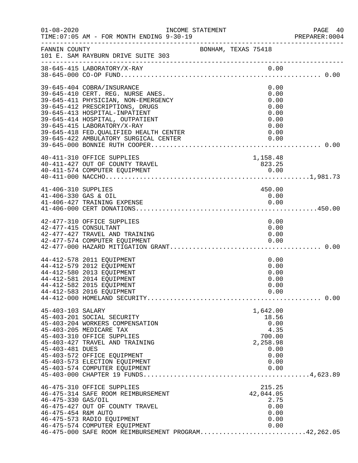| $01 - 08 - 2020$                            | INCOME STATEMENT<br>TIME: 07:05 AM - FOR MONTH ENDING 9-30-19                                                                                                                                                                                                                                                                    |                                                                                         | PAGE 40<br>PREPARER:0004 |
|---------------------------------------------|----------------------------------------------------------------------------------------------------------------------------------------------------------------------------------------------------------------------------------------------------------------------------------------------------------------------------------|-----------------------------------------------------------------------------------------|--------------------------|
| FANNIN COUNTY                               | 101 E. SAM RAYBURN DRIVE SUITE 303                                                                                                                                                                                                                                                                                               | BONHAM, TEXAS 75418                                                                     |                          |
|                                             |                                                                                                                                                                                                                                                                                                                                  |                                                                                         |                          |
|                                             | 39-645-404 COBRA/INSURANCE<br>39-645-410 CERT. REG. NURSE ANES.<br>39-645-411 PHYSICIAN, NON-EMERGENCY<br>39-645-412 PRESCRIPTIONS, DRUGS<br>39-645-413 HOSPITAL-INPATIENT<br>39-645-414 HOSPITAL, OUTPATIENT<br>39-645-415 LABORATORY/X-RAY<br>39-645-418 FED. QUALIFIED HEALTH CENTER<br>39-645-422 AMBULATORY SURGICAL CENTER | 0.00<br>0.00<br>0.00<br>0.00<br>0.00<br>0.00<br>0.00<br>0.00<br>0.00                    |                          |
|                                             | 40-411-310 OFFICE SUPPLIES<br>40-411-427 OUT OF COUNTY TRAVEL<br>40-411-574 COMPUTER EQUIPMENT                                                                                                                                                                                                                                   | 1,158.48<br>823.25                                                                      |                          |
| 41-406-310 SUPPLIES<br>41-406-330 GAS & OIL |                                                                                                                                                                                                                                                                                                                                  | 450.00<br>0.00                                                                          |                          |
|                                             | 42-477-310 OFFICE SUPPLIES<br>42-477-415 CONSULTANT<br>42-477-427 TRAVEL AND TRAINING<br>42-477-574 COMPUTER EQUIPMENT                                                                                                                                                                                                           | 0.00<br>0.00<br>0.00<br>0.00                                                            |                          |
|                                             | 44-412-578 2011 EQUIPMENT<br>44-412-579 2012 EQUIPMENT<br>44-412-580 2013 EQUIPMENT<br>44-412-581 2014 EQUIPMENT<br>44-412-582 2015 EQUIPMENT<br>44-412-583 2016 EQUIPMENT                                                                                                                                                       | 0.00<br>0.00<br>0.00<br>0.00<br>0.00<br>0.00                                            |                          |
| 45-403-103 SALARY<br>45-403-481 DUES        | 45-403-201 SOCIAL SECURITY<br>45-403-204 WORKERS COMPENSATION<br>45-403-205 MEDICARE TAX<br>45-403-310 OFFICE SUPPLIES<br>45-403-427 TRAVEL AND TRAINING<br>45-403-572 OFFICE EQUIPMENT<br>45-403-573 ELECTION EQUIPMENT<br>45-403-574 COMPUTER EQUIPMENT                                                                        | 1,642.00<br>18.56<br>0.00<br>4.35<br>700.00<br>2,258.98<br>0.00<br>0.00<br>0.00<br>0.00 |                          |
| 46-475-330 GAS/OIL<br>46-475-454 R&M AUTO   | 46-475-310 OFFICE SUPPLIES<br>46-475-314 SAFE ROOM REIMBURSEMENT<br>46-475-427 OUT OF COUNTY TRAVEL<br>46-475-573 RADIO EQUIPMENT<br>46-475-574 COMPUTER EQUIPMENT<br>46-475-000 SAFE ROOM REIMBURSEMENT PROGRAM42,262.05                                                                                                        | 215.25<br>42,044.05<br>2.75<br>0.00<br>0.00<br>0.00<br>0.00                             |                          |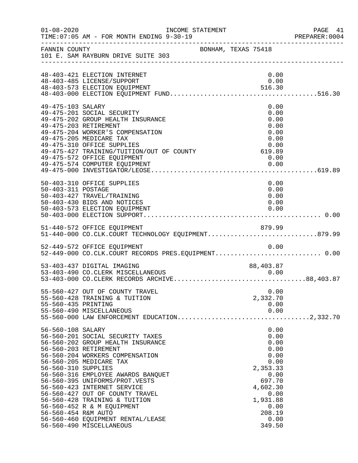| $01 - 08 - 2020$                                                | INCOME STATEMENT<br>TIME: 07:05 AM - FOR MONTH ENDING 9-30-19                                                                                                                                                                                                                                                                                                                                                                          |                     |                                                                                                                                                | PAGE 41<br>PREPARER: 0004 |
|-----------------------------------------------------------------|----------------------------------------------------------------------------------------------------------------------------------------------------------------------------------------------------------------------------------------------------------------------------------------------------------------------------------------------------------------------------------------------------------------------------------------|---------------------|------------------------------------------------------------------------------------------------------------------------------------------------|---------------------------|
|                                                                 | FANNIN COUNTY<br>101 E. SAM RAYBURN DRIVE SUITE 303                                                                                                                                                                                                                                                                                                                                                                                    | BONHAM, TEXAS 75418 |                                                                                                                                                |                           |
|                                                                 | 48-403-421 ELECTION INTERNET<br>48-403-485 LICENSE/SUPPORT                                                                                                                                                                                                                                                                                                                                                                             |                     | 0.00<br>0.00                                                                                                                                   |                           |
| 49-475-103 SALARY                                               | 49-475-201 SOCIAL SECURITY<br>49-475-202 GROUP HEALTH INSURANCE<br>49-475-203 RETIREMENT<br>49-475-204 WORKER'S COMPENSATION<br>49-475-205 MEDICARE TAX<br>49-475-310 OFFICE SUPPLIES<br>$49-475-310$ OFFICE SUPPLIES<br>49-475-427 TRAINING/TUITION/OUT OF COUNTY 619.89<br>49-475-572 OFFICE EQUIPMENT                                                                                                                               |                     | 0.00<br>0.00<br>0.00<br>0.00<br>0.00<br>0.00<br>0.00<br>0.00                                                                                   |                           |
| 50-403-311 POSTAGE                                              | 50-403-310 OFFICE SUPPLIES<br>50-403-427 TRAVEL/TRAINING<br>50-403-430 BIDS AND NOTICES<br>50-403-573 ELECTION EQUIPMENT                                                                                                                                                                                                                                                                                                               |                     | 0.00<br>0.00<br>0.00<br>0.00<br>0.00                                                                                                           |                           |
|                                                                 | 51-440-572 OFFICE EQUIPMENT<br>51-440-000 CO.CLK.COURT TECHNOLOGY EQUIPMENT879.99                                                                                                                                                                                                                                                                                                                                                      |                     |                                                                                                                                                |                           |
|                                                                 | 52-449-572 OFFICE EQUIPMENT<br>52-449-000 CO.CLK.COURT RECORDS PRES.EQUIPMENT 0.00                                                                                                                                                                                                                                                                                                                                                     |                     | 0.00                                                                                                                                           |                           |
|                                                                 | 53-403-437 DIGITAL IMAGING<br>53-403-490 CO.CLERK MISCELLANEOUS                                                                                                                                                                                                                                                                                                                                                                        |                     | 88,403.87                                                                                                                                      |                           |
| 55-560-435 PRINTING                                             | 55-560-427 OUT OF COUNTY TRAVEL<br>55-560-428 TRAINING & TUITION<br>55-560-490 MISCELLANEOUS                                                                                                                                                                                                                                                                                                                                           |                     | 0.00<br>2,332.70<br>0.00<br>0.00                                                                                                               |                           |
| 56-560-108 SALARY<br>56-560-310 SUPPLIES<br>56-560-454 R&M AUTO | 56-560-201 SOCIAL SECURITY TAXES<br>56-560-202 GROUP HEALTH INSURANCE<br>56-560-203 RETIREMENT<br>56-560-204 WORKERS COMPENSATION<br>56-560-205 MEDICARE TAX<br>56-560-316 EMPLOYEE AWARDS BANQUET<br>56-560-395 UNIFORMS/PROT.VESTS<br>56-560-423 INTERNET SERVICE<br>56-560-427 OUT OF COUNTY TRAVEL<br>56-560-428 TRAINING & TUITION<br>56-560-452 R & M EQUIPMENT<br>56-560-460 EQUIPMENT RENTAL/LEASE<br>56-560-490 MISCELLANEOUS |                     | 0.00<br>0.00<br>0.00<br>0.00<br>0.00<br>0.00<br>2,353.33<br>0.00<br>697.70<br>4,602.30<br>0.00<br>1,931.88<br>0.00<br>208.19<br>0.00<br>349.50 |                           |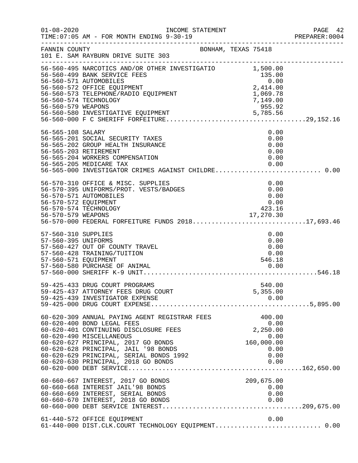| $01 - 08 - 2020$                           | INCOME STATEMENT<br>TIME: 07:05 AM - FOR MONTH ENDING 9-30-19                                                                                                                                                                                                                                                     |                                                                                                  | PAGE 42<br>PREPARER: 0004 |
|--------------------------------------------|-------------------------------------------------------------------------------------------------------------------------------------------------------------------------------------------------------------------------------------------------------------------------------------------------------------------|--------------------------------------------------------------------------------------------------|---------------------------|
| FANNIN COUNTY                              | 101 E. SAM RAYBURN DRIVE SUITE 303                                                                                                                                                                                                                                                                                | BONHAM, TEXAS 75418                                                                              |                           |
| 56-560-579 WEAPONS                         | 56-560-495 NARCOTICS AND/OR OTHER INVESTIGATIO $1,500.00$<br>56-560-499 BANK SERVICE FEES<br>56-560-571 AUTOMOBILES<br>56-560-572 OFFICE EQUIPMENT<br>56-560-573 TELEPHONE/RADIO EQUIPMENT<br>56-560-574 TECHNOLOGY                                                                                               | 135.00<br>$135.00$<br>0.00<br>2,414.00<br>1,069.78<br>7,149.00<br>7,149.00<br>$\frac{1}{955.92}$ |                           |
| 56-565-108 SALARY                          | 56-565-201 SOCIAL SECURITY TAXES<br>56-565-202 GROUP HEALTH INSURANCE<br>56-565-203 RETIREMENT<br>56-565-204 WORKERS COMPENSATION<br>56-565-205 MEDICARE TAX<br>56-565-000 INVESTIGATOR CRIMES AGAINST CHILDRE 0.00                                                                                               | 0.00<br>0.00<br>0.00<br>0.00<br>0.00<br>0.00                                                     |                           |
|                                            | 56-570-310 OFFICE & MISC. SUPPLIES<br>56-570-395 UNIFORMS/PROT. VESTS/BADGES<br>56-570-571 AUTOMOBILES<br>56-570-572 EQUIPMENT<br>56-570-574 TECHNOLOGY<br>- 17,270.30<br>56-570-579 WEAPONS 17,270.30<br>56-570-000 FEDERAL FORFEITURE FUNDS 201817,693.46                                                       | 0.00<br>0.00<br>0.00<br>0.00<br>423.16                                                           |                           |
| 57-560-310 SUPPLIES<br>57-560-395 UNIFORMS | 57-560-427 OUT OF COUNTY TRAVEL<br>57-560-428 TRAINING/TUITION<br>57-560-571 EQUIPMENT                                                                                                                                                                                                                            | 0.00<br>0.00<br>0.00<br>0.00<br>546.18                                                           |                           |
|                                            | 59-425-433 DRUG COURT PROGRAMS<br>59-425-437 ATTORNEY FEES DRUG COURT<br>59-425-439 INVESTIGATOR EXPENSE                                                                                                                                                                                                          | 540.00<br>5,355.00<br>0.00                                                                       |                           |
|                                            | 60-620-309 ANNUAL PAYING AGENT REGISTRAR FEES<br>60-620-400 BOND LEGAL FEES<br>60-620-401 CONTINUING DISCLOSURE FEES<br>60-620-490 MISCELLANEOUS<br>60-620-627 PRINCIPAL, 2017 GO BONDS<br>60-620-628 PRINCIPAL, JAIL '98 BONDS<br>60-620-629 PRINCIPAL, SERIAL BONDS 1992<br>60-620-630 PRINCIPAL, 2018 GO BONDS | 400.00<br>0.00<br>2,250.00<br>0.00<br>160,000.00<br>0.00<br>0.00<br>0.00                         |                           |
|                                            | 60-660-667 INTEREST, 2017 GO BONDS<br>60-660-668 INTEREST JAIL'98 BONDS<br>60-660-669 INTEREST, SERIAL BONDS<br>60-660-670 INTEREST, 2018 GO BONDS                                                                                                                                                                | 209,675.00<br>0.00<br>0.00<br>0.00                                                               |                           |
|                                            | 61-440-572 OFFICE EQUIPMENT<br>61-440-000 DIST.CLK.COURT TECHNOLOGY EQUIPMENT 0.00                                                                                                                                                                                                                                | 0.00                                                                                             |                           |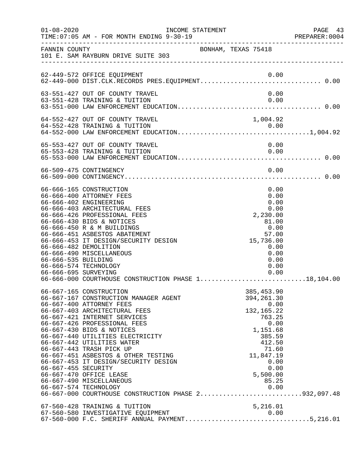| $01 - 08 - 2020$                            | INCOME STATEMENT<br>TIME: 07:05 AM - FOR MONTH ENDING 9-30-19                                                                                                                                                                                                                                                                                                                                                                                                                                                                                   |                     |  |                                                                                                                                        |                                                      | PREPARER: 0004 | PAGE 43 |
|---------------------------------------------|-------------------------------------------------------------------------------------------------------------------------------------------------------------------------------------------------------------------------------------------------------------------------------------------------------------------------------------------------------------------------------------------------------------------------------------------------------------------------------------------------------------------------------------------------|---------------------|--|----------------------------------------------------------------------------------------------------------------------------------------|------------------------------------------------------|----------------|---------|
|                                             | FANNIN COUNTY<br>101 E. SAM RAYBURN DRIVE SUITE 303                                                                                                                                                                                                                                                                                                                                                                                                                                                                                             | BONHAM, TEXAS 75418 |  |                                                                                                                                        |                                                      |                |         |
|                                             | 62-449-572 OFFICE EQUIPMENT                                                                                                                                                                                                                                                                                                                                                                                                                                                                                                                     |                     |  | 0.00                                                                                                                                   |                                                      |                |         |
|                                             | 63-551-427 OUT OF COUNTY TRAVEL<br>63-551-428 TRAINING & TUITION                                                                                                                                                                                                                                                                                                                                                                                                                                                                                |                     |  | 0.00                                                                                                                                   | 0.00                                                 |                |         |
|                                             | 64-552-427 OUT OF COUNTY TRAVEL                                                                                                                                                                                                                                                                                                                                                                                                                                                                                                                 |                     |  | 1,004.92                                                                                                                               |                                                      |                |         |
|                                             | 65-553-427 OUT OF COUNTY TRAVEL<br>65-553-428 TRAINING & TUITION                                                                                                                                                                                                                                                                                                                                                                                                                                                                                |                     |  | 0.00                                                                                                                                   | 0.00                                                 |                |         |
|                                             | 66-509-475 CONTINGENCY                                                                                                                                                                                                                                                                                                                                                                                                                                                                                                                          |                     |  |                                                                                                                                        | 0.00                                                 |                |         |
| 66-666-535 BUILDING<br>66-666-695 SURVEYING | 66-666-165 CONSTRUCTION<br>66-666-400 ATTORNEY FEES<br>66-666-402 ENGINEERING<br>66-666-403 ARCHITECTURAL FEES<br>66-666-426 PROFESSIONAL FEES<br>66-666-430 BIDS & NOTICES<br>66-666-450 R & M BUILDINGS<br>66-666-451 ASBESTOS ABATEMENT<br>66-666-453 IT DESIGN/SECURITY DESIGN<br>66-666-482 DEMOLITION<br>66-666-490 MISCELLANEOUS<br>66-666-574 TECHNOLOGY<br>66-666-000 COURTHOUSE CONSTRUCTION PHASE 118,104.00                                                                                                                         |                     |  | 0.00<br>2,230.00<br>81.00<br>0.00<br>57.00<br>15,736.00<br>0.00                                                                        | 0.00<br>0.00<br>0.00<br>0.00<br>0.00<br>0.00<br>0.00 |                |         |
| 66-667-455 SECURITY                         | 66-667-165 CONSTRUCTION<br>66-667-167 CONSTRUCTION MANAGER AGENT<br>66-667-400 ATTORNEY FEES<br>66-667-403 ARCHITECTURAL FEES<br>66-667-421 INTERNET SERVICES<br>66-667-426 PROFESSIONAL FEES<br>66-667-430 BIDS & NOTICES<br>66-667-440 UTILITIES ELECTRICITY<br>66-667-442 UTILITIES WATER<br>66-667-443 TRASH PICK UP<br>66-667-451 ASBESTOS & OTHER TESTING<br>66-667-453 IT DESIGN/SECURITY DESIGN<br>66-667-470 OFFICE LEASE<br>66-667-490 MISCELLANEOUS<br>66-667-574 TECHNOLOGY<br>66-667-000 COURTHOUSE CONSTRUCTION PHASE 2932,097.48 |                     |  | 385, 453.90<br>394, 261.30<br>132, 165.22<br>763.25<br>1,151.68<br>385.59<br>412.50<br>71.60<br>11,847.19<br>5,500.00<br>85.25<br>0.00 | 0.00<br>0.00<br>0.00<br>0.00                         |                |         |
|                                             | 67-560-428 TRAINING & TUITION<br>67-560-580 INVESTIGATIVE EQUIPMENT<br>67-560-000 F.C. SHERIFF ANNUAL PAYMENT5,216.01                                                                                                                                                                                                                                                                                                                                                                                                                           |                     |  | 5,216.01<br>0.00                                                                                                                       |                                                      |                |         |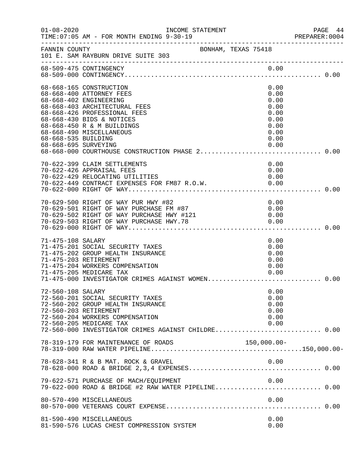| $01 - 08 - 2020$                            | INCOME STATEMENT<br>TIME: 07:05 AM - FOR MONTH ENDING 9-30-19                                                                                                                                                                                      |                                                                              | PAGE 44<br>PREPARER: 0004 |
|---------------------------------------------|----------------------------------------------------------------------------------------------------------------------------------------------------------------------------------------------------------------------------------------------------|------------------------------------------------------------------------------|---------------------------|
| FANNIN COUNTY                               | BONHAM, TEXAS 75418<br>101 E. SAM RAYBURN DRIVE SUITE 303                                                                                                                                                                                          |                                                                              |                           |
|                                             | 68-509-475 CONTINGENCY                                                                                                                                                                                                                             | 0.00                                                                         |                           |
| 68-668-535 BUILDING<br>68-668-695 SURVEYING | 68-668-165 CONSTRUCTION<br>68-668-400 ATTORNEY FEES<br>68-668-402 ENGINEERING<br>68-668-403 ARCHITECTURAL FEES<br>68-668-426 PROFESSIONAL FEES<br>68-668-430 BIDS & NOTICES<br>68-668-450 R & M BUILDINGS<br>68-668-490 MISCELLANEOUS              | 0.00<br>0.00<br>0.00<br>0.00<br>0.00<br>0.00<br>0.00<br>0.00<br>0.00<br>0.00 |                           |
|                                             | 70-622-399 CLAIM SETTLEMENTS<br>70-622-426 APPRAISAL FEES<br>70-622-429 RELOCATING UTILITIES                                                                                                                                                       | 0.00<br>0.00<br>0.00                                                         |                           |
|                                             | 70-629-500 RIGHT OF WAY PUR HWY #82<br>70-629-500 RIGHT OF WAY PUR HWY #82<br>70-629-501 RIGHT OF WAY PURCHASE FM #87<br>70-629-502 RIGHT OF WAY PURCHASE HWY #121 0.00<br>70-629-503 RIGHT OF WAY PURCHASE HWY.78 0.00<br>70-629-000 RIGHT OF WAY | 0.00                                                                         |                           |
| 71-475-108 SALARY                           | 71-475-201 SOCIAL SECURITY TAXES<br>71-475-202 GROUP HEALTH INSURANCE<br>71-475-203 RETIREMENT<br>71-475-204 WORKERS COMPENSATION<br>71-475-205 MEDICARE TAX<br>71-475-000 INVESTIGATOR CRIMES AGAINST WOMEN 0.00                                  | 0.00<br>0.00<br>0.00<br>0.00<br>0.00<br>0.00                                 |                           |
| 72-560-108 SALARY                           | 72-560-201 SOCIAL SECURITY TAXES<br>72-560-202 GROUP HEALTH INSURANCE<br>72-560-203 RETIREMENT<br>72-560-204 WORKERS COMPENSATION<br>72-560-205 MEDICARE TAX<br>72-560-000 INVESTIGATOR CRIMES AGAINST CHILDRE 0.00                                | 0.00<br>0.00<br>0.00<br>0.00<br>0.00<br>0.00                                 |                           |
|                                             |                                                                                                                                                                                                                                                    |                                                                              |                           |
|                                             | 78-628-341 R & B MAT. ROCK & GRAVEL                                                                                                                                                                                                                | 0.00                                                                         |                           |
|                                             | 79-622-571 PURCHASE OF MACH/EQUIPMENT                                                                                                                                                                                                              | 0.00                                                                         |                           |
|                                             | 80-570-490 MISCELLANEOUS                                                                                                                                                                                                                           | 0.00                                                                         |                           |
|                                             | 81-590-490 MISCELLANEOUS<br>81-590-576 LUCAS CHEST COMPRESSION SYSTEM                                                                                                                                                                              | 0.00<br>0.00                                                                 |                           |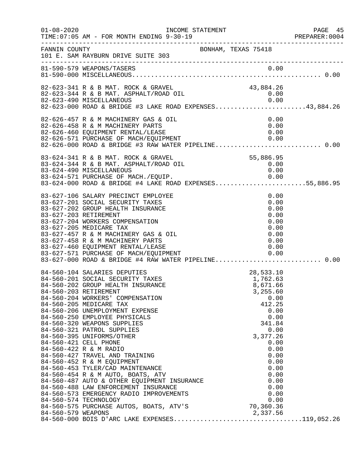| $01 - 08 - 2020$   | TIME: 07:05 AM - FOR MONTH ENDING 9-30-19                                                                                                                                                                                                                                                                                                                                                                                                                                                                                                                                                                                                                                                                                                                                                                 |                                                                                                                                                                                               | PAGE 45<br>PREPARER:0004 |
|--------------------|-----------------------------------------------------------------------------------------------------------------------------------------------------------------------------------------------------------------------------------------------------------------------------------------------------------------------------------------------------------------------------------------------------------------------------------------------------------------------------------------------------------------------------------------------------------------------------------------------------------------------------------------------------------------------------------------------------------------------------------------------------------------------------------------------------------|-----------------------------------------------------------------------------------------------------------------------------------------------------------------------------------------------|--------------------------|
| FANNIN COUNTY      | BONHAM, TEXAS 75418<br>101 E. SAM RAYBURN DRIVE SUITE 303                                                                                                                                                                                                                                                                                                                                                                                                                                                                                                                                                                                                                                                                                                                                                 |                                                                                                                                                                                               |                          |
|                    |                                                                                                                                                                                                                                                                                                                                                                                                                                                                                                                                                                                                                                                                                                                                                                                                           |                                                                                                                                                                                               |                          |
|                    | 82-623-341 R & B MAT. ROCK & GRAVEL<br>82-623-344 R & B MAT. ASPHALT/ROAD OIL<br>0.00 02-623-490 MISCELLANEOUS<br>82-623-000 ROAD & BRIDGE #3 LAKE ROAD EXPENSES43,884.26                                                                                                                                                                                                                                                                                                                                                                                                                                                                                                                                                                                                                                 | 43,884.26<br>0.00                                                                                                                                                                             |                          |
|                    | 82-626-457 R & M MACHINERY GAS & OIL<br>82-626-458 R & M MACHINERY PARTS<br>82-626-460 EQUIPMENT RENTAL/LEASE<br>82-626-571 PURCHASE OF MACH/EQUIPMENT<br>82-626-571 PURCHASE OF MACH/EQUIPMENT 0.00<br>82-626-000 ROAD & BRIDGE #3 RAW WATER PIPELINE0.00                                                                                                                                                                                                                                                                                                                                                                                                                                                                                                                                                | 0.00<br>0.00<br>0.00                                                                                                                                                                          |                          |
|                    | 83-624-341 R & B MAT. ROCK & GRAVEL<br>83-624-344 R & B MAT. ASPHALT/ROAD OIL<br>83-624-490 MISCELLANEOUS<br>83-624-571 PURCHASE OF MACH./EQUIP. 0.00<br>83-624-000 ROAD & BRIDGE #4 LAKE ROAD EXPENSES55,886.95                                                                                                                                                                                                                                                                                                                                                                                                                                                                                                                                                                                          | 55,886.95<br>0.00<br>0.00                                                                                                                                                                     |                          |
|                    | 83-627-106 SALARY PRECINCT EMPLOYEE<br>83-627-201 SOCIAL SECURITY TAXES<br>83-627-202 GROUP HEALTH INSURANCE<br>83-627-203 RETIREMENT<br>83-627-204 WORKERS COMPENSATION<br>83-627-205 MEDICARE TAX<br>83-627-457 R & M MACHINERY GAS & OIL<br>83-627-458 R & M MACHINERY PARTS<br>83-627-460 EQUIPMENT RENTAL/LEASE<br>83-627-571 PURCHASE OF MACH/EQUIPMENT                                                                                                                                                                                                                                                                                                                                                                                                                                             | 0.00<br>0.00<br>$\begin{array}{c} 0.00 \\ 0.00 \\ 0.00 \\ 0.00 \\ 0.00 \\ 0.00 \\ 0.00 \\ 0.00 \\ \end{array}$                                                                                |                          |
| 84-560-579 WEAPONS | 84-560-203 RETIREMENT<br>84-560-204 WORKERS' COMPENSATION<br>84-560-205 MEDICARE TAX<br>84-560-206 UNEMPLOYMENT EXPENSE<br>84-560-250 EMPLOYEE PHYSICALS<br>84-560-320 WEAPONS SUPPLIES<br>84-560-321 PATROL SUPPLIES<br>84-560-395 UNIFORMS/OTHER<br>84-560-421 CELL PHONE<br>84-560-422 R & M RADIO<br>84-560-427 TRAVEL AND TRAINING<br>84-560-452 R & M EQUIPMENT<br>84-560-453 TYLER/CAD MAINTENANCE<br>84-560-454 R & M AUTO, BOATS, ATV<br>84-560-454 R & M AUTO, BOATS, ATV<br>84-560-487 AUTO & OTHER EQUIPMENT INSURANCE<br>84-560-488 LAW ENFORCEMENT INSURANCE<br>84-560-573 EMERGENCY RADIO IMPROVEMENTS<br>84-560-574 TECHNOLOGY<br>84-560-575 PURCHASE AUTOS, BOATS, ATV'S 70,360.36<br>84-560-579 WEADONS<br>84-560-579 WEAPONS 2,337.56<br>84-560-000 BOIS D'ARC LAKE EXPENSES119,052.26 | 28,533.10<br>1,762.63<br>8,671.66<br>3,255.60<br>0.00<br>412.25<br>0.00<br>0.00<br>341.84<br>0.00<br>3,377.26<br>0.00<br>0.00<br>0.00<br>0.00<br>0.00<br>0.00<br>0.00<br>0.00<br>0.00<br>0.00 |                          |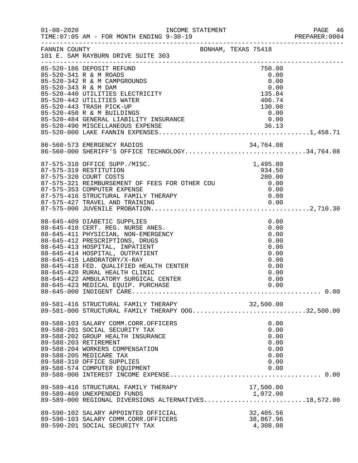|                      |                                                                                                                                                                                                                                                                         |  |                                    |                                                      | PREPARER: 0004 |
|----------------------|-------------------------------------------------------------------------------------------------------------------------------------------------------------------------------------------------------------------------------------------------------------------------|--|------------------------------------|------------------------------------------------------|----------------|
|                      | FANNIN COUNTY<br>101 E. SAM RAYBURN DRIVE SUITE 303                                                                                                                                                                                                                     |  |                                    |                                                      |                |
|                      | 85-520-186 DEPOSIT REFUND<br>85-520-341 R & M ROADS<br>85-520-342 R & M CAMPGROUNDS                                                                                                                                                                                     |  | 750.00<br>0.00<br>0.00             |                                                      |                |
| 85-520-343 R & M DAM | 85-520-440 UTILITIES ELECTRICITY<br>85-520-442 UTILITIES WATER                                                                                                                                                                                                          |  | 135.84<br>406.74                   | 0.00                                                 |                |
|                      | 85-520-443 TRASH PICK-UP<br>85-520-450 R & M BUILDINGS                                                                                                                                                                                                                  |  | 130.00<br>0.00                     |                                                      |                |
|                      |                                                                                                                                                                                                                                                                         |  |                                    |                                                      |                |
|                      | 86-560-573 EMERGENCY RADIOS 34,764.08<br>86-560-000 SHERIFF'S OFFICE TECHNOLOGY34,764.08                                                                                                                                                                                |  |                                    |                                                      |                |
|                      | 87-575-310 OFFICE SUPP./MISC.<br>87-575-319 RESTITUTION<br>87-575-320 COURT COSTS<br>280.00<br>87-575-321 REIMBURSEMENT OF FEES FOR OTHER COU $0.00$<br>87-575-353 COMPUTER EXPENSE 0.00<br>87-575-416 STRUCTURAL FAMILY THERAPY 0.00<br>87-575-427 TRAVEL AND TRAINING |  | 1,495.80<br>934.50<br>280.00       |                                                      |                |
|                      |                                                                                                                                                                                                                                                                         |  |                                    |                                                      |                |
|                      | 88-645-409 DIABETIC SUPPLIES<br>88-645-410 CERT. REG. NURSE ANES.<br>88-645-411 PHYSICIAN, NON-EMERGENCY<br>88-645-412 PRESCRIPTIONS, DRUGS<br>88-645-413 HOSPITAL, INPATIENT                                                                                           |  |                                    | 0.00<br>0.00<br>0.00<br>0.00<br>0.00                 |                |
|                      | 88-645-414 HOSPITAL, OUTPATIENT<br>88-645-415 LABORATORY/X-RAY<br>88-645-418 FED. QUALIFIED HEALTH CENTER<br>88-645-420 RURAL HEALTH CLINIC<br>88-645-422 AMBULATORY SURGICAL CENTER<br>88-645-423 MEDICAL EOUIP. PURCHASE                                              |  |                                    | 0.00<br>0.00<br>0.00<br>0.00<br>0.00<br>0.00         |                |
|                      | 89-581-416 STRUCTURAL FAMILY THERAPY 32,500.00<br>89-581-000 STRUCTURAL FAMILY THERAPY OOG32,500.00                                                                                                                                                                     |  |                                    |                                                      |                |
|                      | 89-588-103 SALARY COMM.CORR.OFFICERS<br>89-588-201 SOCIAL SECURITY TAX<br>89-588-202 GROUP HEALTH INSURANCE<br>89-588-203 RETIREMENT<br>89-588-204 WORKERS COMPENSATION<br>89-588-205 MEDICARE TAX<br>89-588-310 OFFICE SUPPLIES                                        |  |                                    | 0.00<br>0.00<br>0.00<br>0.00<br>0.00<br>0.00<br>0.00 |                |
|                      | 89-588-574 COMPUTER EQUIPMENT                                                                                                                                                                                                                                           |  |                                    | 0.00                                                 |                |
|                      | 89-589-416 STRUCTURAL FAMILY THERAPY<br>89-589-469 UNEXPENDED FUNDS<br>89-589-000 REGIONAL DIVERSIONS ALTERNATIVES18,572.00                                                                                                                                             |  | 17,500.00                          |                                                      |                |
|                      | 89-590-102 SALARY APPOINTED OFFICIAL<br>89-590-103 SALARY COMM.CORR.OFFICERS<br>89-590-201 SOCIAL SECURITY TAX                                                                                                                                                          |  | 32,405.56<br>38,867.96<br>4,308.08 |                                                      |                |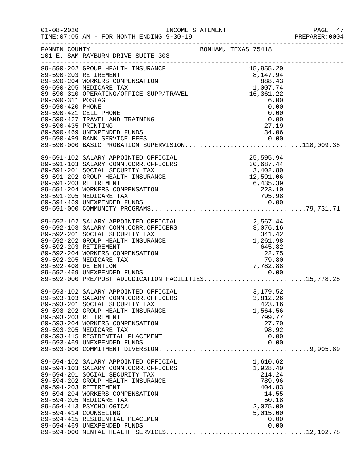| $01 - 08 - 2020$                                                                       | TIME: 07:05 AM - FOR MONTH ENDING 9-30-19                                                                                                                                                                                                                                                                                         |                                                                                                                                                           | PAGE 47<br>PREPARER:0004 |
|----------------------------------------------------------------------------------------|-----------------------------------------------------------------------------------------------------------------------------------------------------------------------------------------------------------------------------------------------------------------------------------------------------------------------------------|-----------------------------------------------------------------------------------------------------------------------------------------------------------|--------------------------|
| FANNIN COUNTY                                                                          | 101 E. SAM RAYBURN DRIVE SUITE 303<br>----------------------------------                                                                                                                                                                                                                                                          | BONHAM, TEXAS 75418                                                                                                                                       |                          |
| 89-590-311 POSTAGE<br>89-590-420 PHONE<br>89-590-421 CELL PHONE<br>89-590-435 PRINTING | ----------------<br>89-590-202 GROUP HEALTH INSURANCE<br>89-590-204 WORKERS COMPENSATION<br>89-590-205 MEDICARE TAX<br>89-590-310 OPERATING/OFFICE SUPP/TRAVEL<br>89-590-427 TRAVEL AND TRAINING<br>89-590-469 UNEXPENDED FUNDS<br>89-590-499 BANK SERVICE FEES 0.00<br>89-590-000 BASIC PROBATION SUPERVISION118,009.38          | 15,955.20<br>$\begin{array}{r} 15,355.20 \\ 8,147.94 \\ 888.43 \\ 1,007.74 \\ 16,361.22 \\ \end{array}$<br>6.00<br>0.00<br>0.00<br>0.00<br>27.19<br>34.06 |                          |
| 89-591-203 RETIREMENT                                                                  | 89-591-102 SALARY APPOINTED OFFICIAL<br>89-591-103 SALARY COMM.CORR.OFFICERS<br>89-591-201 SOCIAL SECURITY TAX<br>89-591-202 GROUP HEALTH INSURANCE<br>89-591-204 WORKERS COMPENSATION                                                                                                                                            | 25,595.94<br>30,687.44<br>$12,591.06$<br>$6,435.39$<br>$223.10$<br>$23.10$                                                                                |                          |
| 89-592-408 DETENTION                                                                   | 89-592-102 SALARY APPOINTED OFFICIAL<br>89-592-103 SALARY COMM.CORR.OFFICERS<br>89-592-201 SOCIAL SECURITY TAX<br>89-592-202 GROUP HEALTH INSURANCE<br>89-592-203 RETIREMENT<br>89-592-204 WORKERS COMPENSATION<br>89-592-205 MEDICARE TAX<br>89-592-469 UNEXPENDED FUNDS<br>89-592-000 PRE/POST ADJUDICATION FACILITIES15,778.25 |                                                                                                                                                           |                          |
| 89-593-203 RETIREMENT                                                                  | 89-593-102 SALARY APPOINTED OFFICIAL<br>89-593-103 SALARY COMM.CORR.OFFICERS<br>89-593-201 SOCIAL SECURITY TAX<br>89-593-202 GROUP HEALTH INSURANCE<br>89-593-204 WORKERS COMPENSATION<br>89-593-205 MEDICARE TAX<br>89-593-415 RESIDENTIAL PLACEMENT<br>89-593-469 UNEXPENDED FUNDS                                              | 3,179.52<br>3,812.26<br>423.16<br>1,564.56<br>799.77<br>27.70<br>98.92<br>0.00<br>0.00                                                                    |                          |
| 89-594-203 RETIREMENT<br>89-594-414 COUNSELING                                         | 89-594-102 SALARY APPOINTED OFFICIAL<br>89-594-103 SALARY COMM.CORR.OFFICERS<br>89-594-201 SOCIAL SECURITY TAX<br>89-594-202 GROUP HEALTH INSURANCE<br>89-594-204 WORKERS COMPENSATION<br>89-594-205 MEDICARE TAX<br>89-594-413 PSYCHOLOGICAL<br>89-594-415 RESIDENTIAL PLACEMENT<br>89-594-469 UNEXPENDED FUNDS                  | 1,610.62<br>1,928.40<br>214.24<br>789.96<br>404.83<br>14.55<br>50.18<br>2,075.00<br>5,015.00<br>0.00<br>0.00                                              |                          |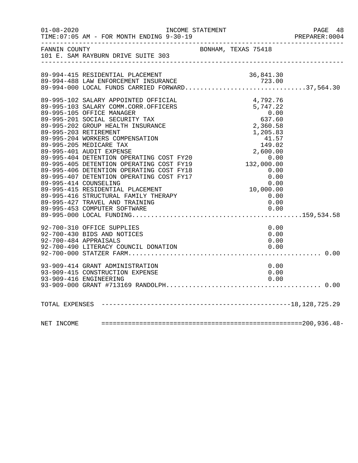|               |                                                                                                                                    |                                                                                                                                                                                                                                                                                                          | PAGE 48<br>PREPARER: 0004 |
|---------------|------------------------------------------------------------------------------------------------------------------------------------|----------------------------------------------------------------------------------------------------------------------------------------------------------------------------------------------------------------------------------------------------------------------------------------------------------|---------------------------|
| FANNIN COUNTY | 101 E. SAM RAYBURN DRIVE SUITE 303                                                                                                 | BONHAM, TEXAS 75418                                                                                                                                                                                                                                                                                      |                           |
|               | 89-994-415 RESIDENTIAL PLACEMENT                                                                                                   | 36,841.30                                                                                                                                                                                                                                                                                                |                           |
|               | 89-994-415 RESIDENTIAL PLACEMENT<br>89-994-488 LAW ENFORCEMENT INSURANCE 723.00<br>89-994-000 LOCAL FUNDS CARRIED FORWARD37,564.30 |                                                                                                                                                                                                                                                                                                          |                           |
|               | 89-995-102 SALARY APPOINTED OFFICIAL                                                                                               |                                                                                                                                                                                                                                                                                                          |                           |
|               | 89-995-103 SALARY COMM.CORR.OFFICERS<br>89-995-105 OFFICE MANAGER                                                                  |                                                                                                                                                                                                                                                                                                          |                           |
|               | 89-995-201 SOCIAL SECURITY TAX<br>89-995-202 GROUP HEALTH INSURANCE                                                                |                                                                                                                                                                                                                                                                                                          |                           |
|               | 89-995-203 RETIREMENT<br>89-995-204 WORKERS COMPENSATION                                                                           |                                                                                                                                                                                                                                                                                                          |                           |
|               | 89-995-205 MEDICARE TAX<br>89-995-401 AUDIT EXPENSE                                                                                | $\begin{array}{cccc} 4\, , 792 \, . \, 76\, \\ 5\, , 747 \, . \, 22\, \\ 0\, . \, 00\, \\ 6\, 3\, 7\, . \, 60\, \\ 2\, , 360 \, . \, 58\, \\ 1\, , 205 \, . \, 83\, \\ 41 \, . \, 57\, \\ 149 \, . \, 02\, \\ 2\, , 600 \, . \, 00\, \\ 0\, . \, 00\, \\ 0\, . \, 00\, \\ 0\, . \, 00\, \\ 0\, . \, 00\$ |                           |
|               | 89-995-404 DETENTION OPERATING COST FY20<br>89-995-405 DETENTION OPERATING COST FY19                                               |                                                                                                                                                                                                                                                                                                          |                           |
|               | 89-995-406 DETENTION OPERATING COST FY18                                                                                           |                                                                                                                                                                                                                                                                                                          |                           |
|               | 89-995-407 DETENTION OPERATING COST FY17<br>89-995-414 COUNSELING                                                                  |                                                                                                                                                                                                                                                                                                          |                           |
|               | 89-995-415 RESIDENTIAL PLACEMENT<br>89-995-416 STRUCTURAL FAMILY THERAPY                                                           | 0.00                                                                                                                                                                                                                                                                                                     |                           |
|               | 89-995-427 TRAVEL AND TRAINING                                                                                                     | 0.00                                                                                                                                                                                                                                                                                                     |                           |
|               |                                                                                                                                    |                                                                                                                                                                                                                                                                                                          |                           |
|               | 92-700-310 OFFICE SUPPLIES<br>92-700-430 BIDS AND NOTICES                                                                          | 0.00<br>0.00                                                                                                                                                                                                                                                                                             |                           |
|               | 92-700-484 APPRAISALS                                                                                                              | 0.00                                                                                                                                                                                                                                                                                                     |                           |
|               |                                                                                                                                    |                                                                                                                                                                                                                                                                                                          |                           |
|               | 93-909-414 GRANT ADMINISTRATION                                                                                                    | 0.00                                                                                                                                                                                                                                                                                                     |                           |
|               | 93-909-415 CONSTRUCTION EXPENSE<br>93-909-416 ENGINEERING                                                                          | 0.00<br>0.00                                                                                                                                                                                                                                                                                             |                           |
|               |                                                                                                                                    |                                                                                                                                                                                                                                                                                                          |                           |
|               |                                                                                                                                    |                                                                                                                                                                                                                                                                                                          |                           |
|               |                                                                                                                                    |                                                                                                                                                                                                                                                                                                          |                           |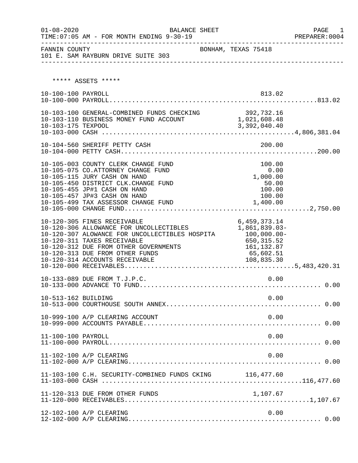| $01 - 08 - 2020$    | BALANCE SHEET                                                                                                                                                                                                                                                         |                                                                                                      | PAGE<br>1 |
|---------------------|-----------------------------------------------------------------------------------------------------------------------------------------------------------------------------------------------------------------------------------------------------------------------|------------------------------------------------------------------------------------------------------|-----------|
| FANNIN COUNTY       | 101 E. SAM RAYBURN DRIVE SUITE 303                                                                                                                                                                                                                                    | BONHAM, TEXAS 75418                                                                                  |           |
|                     | ***** ASSETS *****                                                                                                                                                                                                                                                    |                                                                                                      |           |
| 10-100-100 PAYROLL  |                                                                                                                                                                                                                                                                       | 813.02                                                                                               |           |
| 10-103-175 TEXPOOL  | 10-103-100 GENERAL-COMBINED FUNDS CHECKING 392,732.16<br>10-103-110 BUSINESS MONEY FUND ACCOUNT 1,021,608.48                                                                                                                                                          | 3,392,040.40                                                                                         |           |
|                     |                                                                                                                                                                                                                                                                       |                                                                                                      |           |
|                     | 10-105-003 COUNTY CLERK CHANGE FUND<br>10-105-075 CO.ATTORNEY CHANGE FUND<br>10-105-115 JURY CASH ON HAND<br>10-105-450 DISTRICT CLK. CHANGE FUND<br>10-105-455 JP#1 CASH ON HAND<br>10-105-457 JP#3 CASH ON HAND<br>10-105-499 TAX ASSESSOR CHANGE FUND              | 100.00<br>0.00<br>1,000.00<br>50.00<br>100.00<br>100.00<br>1,400.00                                  |           |
|                     | 10-120-305 FINES RECEIVABLE<br>10-120-306 ALLOWANCE FOR UNCOLLECTIBLES<br>10-120-307 ALOWANCE FOR UNCOLLECTIBLES HOSPITA<br>10-120-311 TAXES RECEIVABLE<br>10-120-312 DUE FROM OTHER GOVERNMENTS<br>10-120-313 DUE FROM OTHER FUNDS<br>10-120-314 ACCOUNTS RECEIVABLE | 6,459,373.14<br>1,861,839.03-<br>100,000.00-<br>650,315.52<br>161, 132.87<br>65,602.51<br>108,835.30 |           |
|                     | 10-133-089 DUE FROM T.J.P.C.                                                                                                                                                                                                                                          | 0.00                                                                                                 |           |
| 10-513-162 BUILDING |                                                                                                                                                                                                                                                                       | 0.00                                                                                                 |           |
|                     | 10-999-100 A/P CLEARING ACCOUNT                                                                                                                                                                                                                                       | 0.00                                                                                                 |           |
| 11-100-100 PAYROLL  |                                                                                                                                                                                                                                                                       | 0.00                                                                                                 |           |
|                     | 11-102-100 A/P CLEARING                                                                                                                                                                                                                                               | 0.00                                                                                                 |           |
|                     | 11-103-100 C.H. SECURITY-COMBINED FUNDS CKING 116,477.60                                                                                                                                                                                                              |                                                                                                      |           |
|                     | 11-120-313 DUE FROM OTHER FUNDS                                                                                                                                                                                                                                       | 1,107.67                                                                                             |           |
|                     | 12-102-100 A/P CLEARING                                                                                                                                                                                                                                               | 0.00                                                                                                 |           |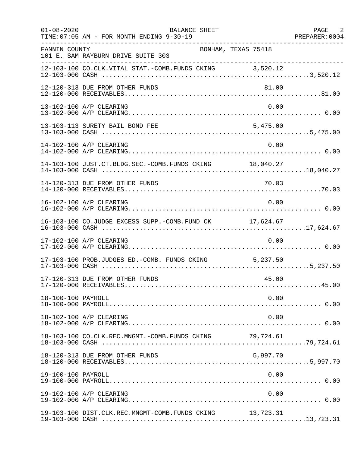| $01 - 08 - 2020$   | BALANCE SHEET<br>TIME: 07:05 AM - FOR MONTH ENDING 9-30-19 |                     | PAGE 2<br>PREPARER: 0004 |
|--------------------|------------------------------------------------------------|---------------------|--------------------------|
| FANNIN COUNTY      | 101 E. SAM RAYBURN DRIVE SUITE 303                         | BONHAM, TEXAS 75418 |                          |
|                    | 12-103-100 CO.CLK.VITAL STAT.-COMB.FUNDS CKING 3,520.12    |                     |                          |
|                    | 12-120-313 DUE FROM OTHER FUNDS                            | 81.00               |                          |
|                    | 13-102-100 A/P CLEARING                                    | 0.00                |                          |
|                    | 13-103-113 SURETY BAIL BOND FEE                            | 5,475.00            |                          |
|                    | 14-102-100 A/P CLEARING                                    | 0.00                |                          |
|                    | 14-103-100 JUST.CT.BLDG.SEC.-COMB.FUNDS CKING 18,040.27    |                     |                          |
|                    | 14-120-313 DUE FROM OTHER FUNDS                            | 70.03               |                          |
|                    | 16-102-100 A/P CLEARING                                    | 0.00                |                          |
|                    | 16-103-100 CO.JUDGE EXCESS SUPP.-COMB.FUND CK 17,624.67    |                     |                          |
|                    | 17-102-100 A/P CLEARING                                    | 0.00                |                          |
|                    | 17-103-100 PROB.JUDGES ED.-COMB. FUNDS CKING 5,237.50      |                     |                          |
|                    | 17-120-313 DUE FROM OTHER FUNDS                            | 45.00               |                          |
| 18-100-100 PAYROLL |                                                            | 0.00                |                          |
|                    | 18-102-100 A/P CLEARING                                    | 0.00                |                          |
|                    | 18-103-100 CO.CLK.REC.MNGMT.-COMB.FUNDS CKING 79,724.61    |                     |                          |
|                    | 18-120-313 DUE FROM OTHER FUNDS                            | 5,997.70            |                          |
| 19-100-100 PAYROLL |                                                            | 0.00                |                          |
|                    | 19-102-100 A/P CLEARING                                    | 0.00                |                          |
|                    | 19-103-100 DIST.CLK.REC.MNGMT-COMB.FUNDS CKING 13,723.31   |                     |                          |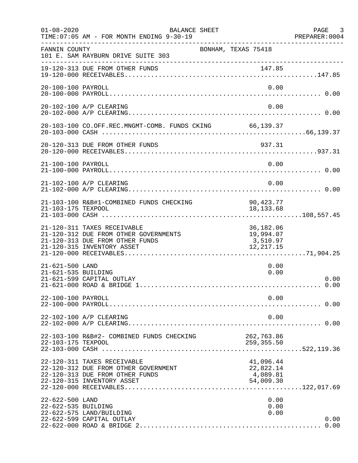| $01 - 08 - 2020$                       | BALANCE SHEET<br>TIME: 07:05 AM - FOR MONTH ENDING 9-30-19<br>-------------                                                           | ______________________________________          | PAGE 3<br>PREPARER: 0004 |
|----------------------------------------|---------------------------------------------------------------------------------------------------------------------------------------|-------------------------------------------------|--------------------------|
| FANNIN COUNTY                          | 101 E. SAM RAYBURN DRIVE SUITE 303                                                                                                    | BONHAM, TEXAS 75418                             |                          |
|                                        | 19-120-313 DUE FROM OTHER FUNDS                                                                                                       | 147.85                                          |                          |
| 20-100-100 PAYROLL                     |                                                                                                                                       | 0.00                                            |                          |
|                                        | 20-102-100 A/P CLEARING                                                                                                               | 0.00                                            |                          |
|                                        | 20-103-100 CO.OFF.REC.MNGMT-COMB. FUNDS CKING 66,139.37                                                                               |                                                 |                          |
|                                        | 20-120-313 DUE FROM OTHER FUNDS                                                                                                       | 937.31                                          |                          |
| 21-100-100 PAYROLL                     |                                                                                                                                       | 0.00                                            |                          |
|                                        | 21-102-100 A/P CLEARING                                                                                                               | 0.00                                            |                          |
| 21-103-175 TEXPOOL                     | 21-103-100 R&B#1-COMBINED FUNDS CHECKING                                                                                              | 90,423.77<br>18, 133.68                         |                          |
|                                        | 21-120-311 TAXES RECEIVABLE<br>21-120-312 DUE FROM OTHER GOVERNMENTS<br>21-120-313 DUE FROM OTHER FUNDS<br>21-120-315 INVENTORY ASSET | 36,182.06<br>19,994.07<br>3,510.97<br>12,217.15 |                          |
| 21-621-500 LAND<br>21-621-535 BUILDING | 21-621-599 CAPITAL OUTLAY                                                                                                             | 0.00<br>0.00                                    | 0.00<br>0.00             |
| 22-100-100 PAYROLL                     |                                                                                                                                       | 0.00                                            |                          |
|                                        | 22-102-100 A/P CLEARING                                                                                                               | 0.00                                            |                          |
| 22-103-175 TEXPOOL                     | 22-103-100 R&B#2- COMBINED FUNDS CHECKING                                                                                             | 262,763.86<br>259,355.50                        |                          |
|                                        | 22-120-311 TAXES RECEIVABLE<br>22-120-312 DUE FROM OTHER GOVERNMENT<br>22-120-313 DUE FROM OTHER FUNDS<br>22-120-315 INVENTORY ASSET  | 41,096.44<br>22,822.14<br>4,089.81<br>54,009.30 |                          |
| 22-622-500 LAND<br>22-622-535 BUILDING | 22-622-575 LAND/BUILDING<br>22-622-599 CAPITAL OUTLAY                                                                                 | 0.00<br>0.00<br>0.00                            | 0.00<br>0.00             |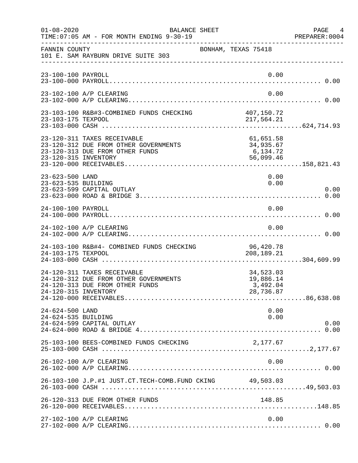| $01 - 08 - 2020$                       | BALANCE SHEET<br>TIME: 07:05 AM - FOR MONTH ENDING 9-30-19                                              |                                                 | PAGE 4<br>PREPARER: 0004 |
|----------------------------------------|---------------------------------------------------------------------------------------------------------|-------------------------------------------------|--------------------------|
| FANNIN COUNTY                          | 101 E. SAM RAYBURN DRIVE SUITE 303                                                                      | BONHAM, TEXAS 75418                             |                          |
| 23-100-100 PAYROLL                     |                                                                                                         |                                                 | 0.00                     |
|                                        | 23-102-100 A/P CLEARING                                                                                 |                                                 | 0.00                     |
|                                        |                                                                                                         |                                                 |                          |
| 23-120-315 INVENTORY                   | 23-120-311 TAXES RECEIVABLE<br>23-120-312 DUE FROM OTHER GOVERNMENTS<br>23-120-313 DUE FROM OTHER FUNDS | 61,651.58<br>34,935.67<br>6,134.72<br>56,099.46 |                          |
| 23-623-500 LAND<br>23-623-535 BUILDING | 23-623-599 CAPITAL OUTLAY                                                                               |                                                 | 0.00<br>0.00<br>0.00     |
| 24-100-100 PAYROLL                     |                                                                                                         |                                                 | 0.00                     |
|                                        | 24-102-100 A/P CLEARING                                                                                 |                                                 | 0.00                     |
| 24-103-175 TEXPOOL                     | 24-103-100 R&B#4- COMBINED FUNDS CHECKING                                                               | 96,420.78<br>208,189.21                         |                          |
| 24-120-315 INVENTORY                   | 24-120-311 TAXES RECEIVABLE<br>24-120-312 DUE FROM OTHER GOVERNMENTS<br>24-120-313 DUE FROM OTHER FUNDS | 34,523.03<br>19,886.14<br>3,492.04<br>28,736.87 |                          |
| 24-624-500 LAND<br>24-624-535 BUILDING | 24-624-599 CAPITAL OUTLAY                                                                               |                                                 | 0.00<br>0.00<br>0.00     |
|                                        | 25-103-100 BEES-COMBINED FUNDS CHECKING                                                                 | 2,177.67                                        |                          |
|                                        | 26-102-100 A/P CLEARING                                                                                 |                                                 | 0.00                     |
|                                        | 26-103-100 J.P.#1 JUST.CT.TECH-COMB.FUND CKING 49,503.03                                                |                                                 |                          |
|                                        | 26-120-313 DUE FROM OTHER FUNDS                                                                         | 148.85                                          |                          |
|                                        | 27-102-100 A/P CLEARING                                                                                 |                                                 | 0.00                     |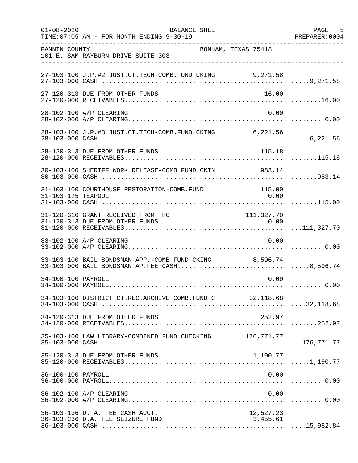| $01 - 08 - 2020$   | BALANCE SHEET<br>TIME: 07:05 AM - FOR MONTH ENDING 9-30-19                                             |                       | PAGE 5<br>PREPARER: 0004 |
|--------------------|--------------------------------------------------------------------------------------------------------|-----------------------|--------------------------|
| FANNIN COUNTY      | BONHAM, TEXAS 75418<br>101 E. SAM RAYBURN DRIVE SUITE 303                                              |                       |                          |
|                    | 27-103-100 J.P.#2 JUST.CT.TECH-COMB.FUND CKING 9,271.58                                                |                       |                          |
|                    | 27-120-313 DUE FROM OTHER FUNDS                                                                        | 16.00                 |                          |
|                    | 28-102-100 A/P CLEARING                                                                                | 0.00                  |                          |
|                    | 28-103-100 J.P.#3 JUST.CT.TECH-COMB.FUND CKING 6,221.56                                                |                       |                          |
|                    | 28-120-313 DUE FROM OTHER FUNDS                                                                        | 115.18                |                          |
|                    | 30-103-100 SHERIFF WORK RELEASE-COMB FUND CKIN 983.14                                                  |                       |                          |
| 31-103-175 TEXPOOL | 31-103-100 COURTHOUSE RESTORATION-COMB.FUND                                                            | 115.00<br>0.00        |                          |
|                    | 31-120-310 GRANT RECEIVED FROM THC                                                                     | 111, 327.70           |                          |
|                    | 33-102-100 A/P CLEARING                                                                                | 0.00                  |                          |
|                    | 33-103-100 BAIL BONDSMAN APP.-COMB FUND CKING 8,596.74<br>33-103-000 BAIL BONDSMAN AP.FEE CASH8,596.74 |                       |                          |
| 34-100-100 PAYROLL |                                                                                                        | 0.00                  |                          |
|                    | 34-103-100 DISTRICT CT.REC.ARCHIVE COMB.FUND C 32, 118.68                                              |                       |                          |
|                    | 34-120-313 DUE FROM OTHER FUNDS                                                                        | 252.97                |                          |
|                    | 35-103-100 LAW LIBRARY-COMBINED FUND CHECKING 176,771.77                                               |                       |                          |
|                    | 35-120-313 DUE FROM OTHER FUNDS                                                                        | 1,190.77              |                          |
| 36-100-100 PAYROLL |                                                                                                        | 0.00                  |                          |
|                    | 36-102-100 A/P CLEARING                                                                                | 0.00                  |                          |
|                    | 36-103-136 D. A. FEE CASH ACCT.<br>36-103-236 D.A. FEE SEIZURE FUND                                    | 12,527.23<br>3,455.61 |                          |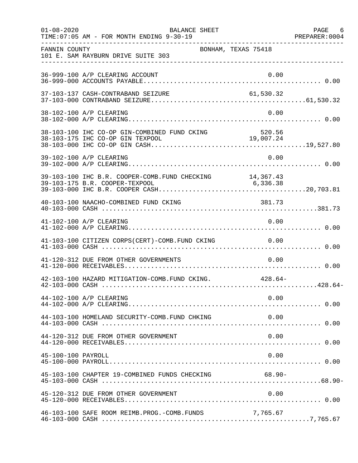| $01 - 08 - 2020$   | BALANCE SHEET<br>TIME: 07:05 AM - FOR MONTH ENDING 9-30-19 |           | PAGE 6 |
|--------------------|------------------------------------------------------------|-----------|--------|
| FANNIN COUNTY      | BONHAM, TEXAS 75418<br>101 E. SAM RAYBURN DRIVE SUITE 303  |           |        |
|                    | 36-999-100 A/P CLEARING ACCOUNT                            | 0.00      |        |
|                    | 37-103-137 CASH-CONTRABAND SEIZURE                         | 61,530.32 |        |
|                    | 38-102-100 A/P CLEARING                                    | 0.00      |        |
|                    |                                                            |           |        |
|                    | 39-102-100 A/P CLEARING                                    | 0.00      |        |
|                    |                                                            |           |        |
|                    | 40-103-100 NAACHO-COMBINED FUND CKING                      | 381.73    |        |
|                    | 41-102-100 A/P CLEARING                                    | 0.00      |        |
|                    | 41-103-100 CITIZEN CORPS(CERT)-COMB. FUND CKING 0.00       |           |        |
|                    | 41-120-312 DUE FROM OTHER GOVERNMENTS                      | 0.00      |        |
|                    | 42-103-100 HAZARD MITIGATION-COMB. FUND CKING. 428.64-     |           |        |
|                    | 44-102-100 A/P CLEARING                                    | 0.00      |        |
|                    | 44-103-100 HOMELAND SECURITY-COMB. FUND CHKING             | 0.00      |        |
|                    | 44-120-312 DUE FROM OTHER GOVERNMENT                       | 0.00      |        |
| 45-100-100 PAYROLL |                                                            | 0.00      |        |
|                    | 45-103-100 CHAPTER 19-COMBINED FUNDS CHECKING 68.90-       |           |        |
|                    | 45-120-312 DUE FROM OTHER GOVERNMENT                       | 0.00      |        |
|                    | 46-103-100 SAFE ROOM REIMB. PROG. - COMB. FUNDS            | 7,765.67  |        |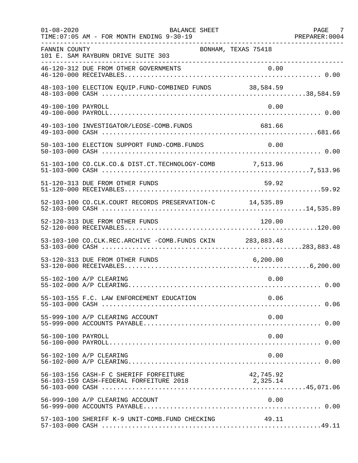| $01 - 08 - 2020$   | BALANCE SHEET<br>TIME: 07:05 AM - FOR MONTH ENDING 9-30-19                        |                       | PAGE 7<br>PREPARER: 0004 |
|--------------------|-----------------------------------------------------------------------------------|-----------------------|--------------------------|
| FANNIN COUNTY      | BONHAM, TEXAS 75418<br>101 E. SAM RAYBURN DRIVE SUITE 303                         |                       |                          |
|                    |                                                                                   |                       |                          |
|                    |                                                                                   |                       |                          |
| 49-100-100 PAYROLL |                                                                                   | 0.00                  |                          |
|                    | 49-103-100 INVESTIGATOR/LEOSE-COMB.FUNDS                                          | 681.66                |                          |
|                    | 50-103-100 ELECTION SUPPORT FUND-COMB.FUNDS                                       | 0.00                  |                          |
|                    | 51-103-100 CO.CLK.CO.& DIST.CT.TECHNOLOGY-COMB 7,513.96                           |                       |                          |
|                    | 51-120-313 DUE FROM OTHER FUNDS                                                   | 59.92                 |                          |
|                    | 52-103-100 CO.CLK.COURT RECORDS PRESERVATION-C 14,535.89                          |                       |                          |
|                    | 52-120-313 DUE FROM OTHER FUNDS                                                   | 120.00                |                          |
|                    | 53-103-100 CO.CLK.REC.ARCHIVE -COMB.FUNDS CKIN 283,883.48                         |                       |                          |
|                    | 53-120-313 DUE FROM OTHER FUNDS                                                   | 6,200.00              |                          |
|                    | 55-102-100 A/P CLEARING                                                           | 0.00                  |                          |
|                    | 55-103-155 F.C. LAW ENFORCEMENT EDUCATION                                         | 0.06                  |                          |
|                    | 55-999-100 A/P CLEARING ACCOUNT                                                   | 0.00                  |                          |
| 56-100-100 PAYROLL |                                                                                   | 0.00                  |                          |
|                    | 56-102-100 A/P CLEARING                                                           | 0.00                  |                          |
|                    | 56-103-156 CASH-F C SHERIFF FORFEITURE<br>56-103-159 CASH-FEDERAL FORFEITURE 2018 | 42,745.92<br>2,325.14 |                          |
|                    | 56-999-100 A/P CLEARING ACCOUNT                                                   | 0.00                  |                          |
|                    | 57-103-100 SHERIFF K-9 UNIT-COMB.FUND CHECKING                                    | 49.11                 |                          |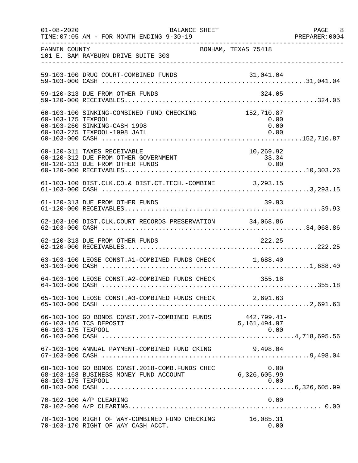| $01 - 08 - 2020$   | BALANCE SHEET<br>TIME: 07:05 AM - FOR MONTH ENDING 9-30-19                                                           |                              | PAGE 8<br>PREPARER:0004 |
|--------------------|----------------------------------------------------------------------------------------------------------------------|------------------------------|-------------------------|
| FANNIN COUNTY      | 101 E. SAM RAYBURN DRIVE SUITE 303                                                                                   | BONHAM, TEXAS 75418          |                         |
|                    | 59-103-100 DRUG COURT-COMBINED FUNDS                                                                                 |                              |                         |
|                    | 59-120-313 DUE FROM OTHER FUNDS                                                                                      | 324.05                       |                         |
| 60-103-175 TEXPOOL | 60-103-100 SINKING-COMBINED FUND CHECKING 152,710.87<br>60-103-260 SINKING-CASH 1998<br>60-103-275 TEXPOOL-1998 JAIL | 0.00<br>0.00<br>0.00         |                         |
|                    | 60-120-311 TAXES RECEIVABLE<br>60-120-312 DUE FROM OTHER GOVERNMENT<br>60-120-313 DUE FROM OTHER FUNDS               | 10, 269.92<br>33.34<br>0.00  |                         |
|                    | 61-103-100 DIST.CLK.CO.& DIST.CT.TECH.-COMBINE 3,293.15                                                              |                              |                         |
|                    | 61-120-313 DUE FROM OTHER FUNDS                                                                                      | 39.93                        |                         |
|                    | 62-103-100 DIST.CLK.COURT RECORDS PRESERVATION 34,068.86                                                             |                              |                         |
|                    | 62-120-313 DUE FROM OTHER FUNDS                                                                                      | 222.25                       |                         |
|                    | 63-103-100 LEOSE CONST.#1-COMBINED FUNDS CHECK 1,688.40                                                              |                              |                         |
|                    | 64-103-100 LEOSE CONST.#2-COMBINED FUNDS CHECK 355.18                                                                |                              |                         |
|                    | 65-103-100 LEOSE CONST.#3-COMBINED FUNDS CHECK 2,691.63                                                              |                              |                         |
| 66-103-175 TEXPOOL | 66-103-100 GO BONDS CONST.2017-COMBINED FUNDS 442,799.41<br>66-103-166 ICS DEPOSIT 5,161,494.97                      | 442,799.41-<br>0.00          |                         |
|                    | 67-103-100 ANNUAL PAYMENT-COMBINED FUND CKING                                                                        | 9,498.04                     |                         |
| 68-103-175 TEXPOOL | 68-103-100 GO BONDS CONST.2018-COMB.FUNDS CHEC<br>68-103-168 BUSINESS MONEY FUND ACCOUNT                             | 0.00<br>6,326,605.99<br>0.00 |                         |
|                    | 70-102-100 A/P CLEARING                                                                                              | 0.00                         |                         |
|                    | 70-103-100 RIGHT OF WAY-COMBINED FUND CHECKING<br>70-103-170 RIGHT OF WAY CASH ACCT.                                 | 16,085.31<br>0.00            |                         |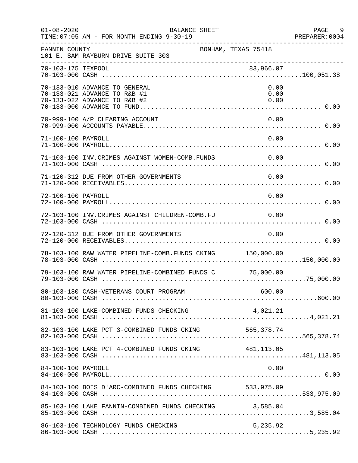| $01 - 08 - 2020$   | <b>BALANCE SHEET</b><br>TIME: 07:05 AM - FOR MONTH ENDING 9-30-19                             |                      | PAGE<br>9<br>PREPARER: 0004 |
|--------------------|-----------------------------------------------------------------------------------------------|----------------------|-----------------------------|
| FANNIN COUNTY      | BONHAM, TEXAS 75418<br>101 E. SAM RAYBURN DRIVE SUITE 303                                     |                      |                             |
| 70-103-175 TEXPOOL |                                                                                               | 83,966.07            |                             |
|                    | 70-133-010 ADVANCE TO GENERAL<br>70-133-021 ADVANCE TO R&B #1<br>70-133-022 ADVANCE TO R&B #2 | 0.00<br>0.00<br>0.00 |                             |
|                    | 70-999-100 A/P CLEARING ACCOUNT                                                               | 0.00                 |                             |
| 71-100-100 PAYROLL |                                                                                               | 0.00                 |                             |
|                    | 71-103-100 INV. CRIMES AGAINST WOMEN-COMB. FUNDS                                              | $\sim 0.00$          |                             |
|                    | 71-120-312 DUE FROM OTHER GOVERNMENTS                                                         | 0.00                 |                             |
| 72-100-100 PAYROLL |                                                                                               | 0.00                 |                             |
|                    | 72-103-100 INV.CRIMES AGAINST CHILDREN-COMB.FU                                                | 0.00                 |                             |
|                    | 72-120-312 DUE FROM OTHER GOVERNMENTS                                                         | 0.00                 |                             |
|                    | 78-103-100 RAW WATER PIPELINE-COMB. FUNDS CKING 150,000.00                                    |                      |                             |
|                    | 79-103-100 RAW WATER PIPELINE-COMBINED FUNDS C 75,000.00                                      |                      |                             |
|                    |                                                                                               |                      |                             |
|                    |                                                                                               |                      |                             |
|                    |                                                                                               |                      |                             |
|                    | 83-103-100 LAKE PCT 4-COMBINED FUNDS CKING 481,113.05                                         |                      |                             |
| 84-100-100 PAYROLL |                                                                                               | 0.00                 |                             |
|                    | 84-103-100 BOIS D'ARC-COMBINED FUNDS CHECKING 533,975.09                                      |                      |                             |
|                    | 85-103-100 LAKE FANNIN-COMBINED FUNDS CHECKING 3,585.04                                       |                      |                             |
|                    | 86-103-100 TECHNOLOGY FUNDS CHECKING                                                          | 5,235.92             |                             |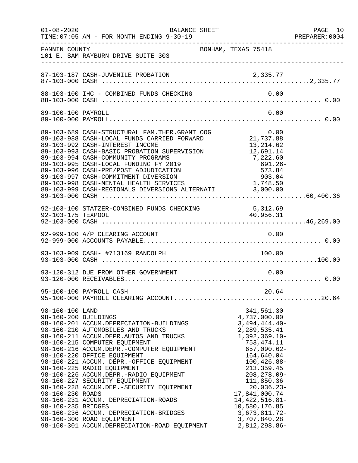| $01 - 08 - 2020$                                                                  | BALANCE SHEET<br>TIME: 07:05 AM - FOR MONTH ENDING 9-30-19                                                                                                                                                                                                                                                                                                                                                                                                                                                                                                                                          |                                                                                                                                                                                                                                                                                                                          | PAGE 10<br>PREPARER: 0004 |
|-----------------------------------------------------------------------------------|-----------------------------------------------------------------------------------------------------------------------------------------------------------------------------------------------------------------------------------------------------------------------------------------------------------------------------------------------------------------------------------------------------------------------------------------------------------------------------------------------------------------------------------------------------------------------------------------------------|--------------------------------------------------------------------------------------------------------------------------------------------------------------------------------------------------------------------------------------------------------------------------------------------------------------------------|---------------------------|
| FANNIN COUNTY                                                                     | BONHAM, TEXAS 75418<br>101 E. SAM RAYBURN DRIVE SUITE 303                                                                                                                                                                                                                                                                                                                                                                                                                                                                                                                                           |                                                                                                                                                                                                                                                                                                                          |                           |
|                                                                                   |                                                                                                                                                                                                                                                                                                                                                                                                                                                                                                                                                                                                     |                                                                                                                                                                                                                                                                                                                          |                           |
|                                                                                   |                                                                                                                                                                                                                                                                                                                                                                                                                                                                                                                                                                                                     |                                                                                                                                                                                                                                                                                                                          |                           |
| 89-100-100 PAYROLL                                                                |                                                                                                                                                                                                                                                                                                                                                                                                                                                                                                                                                                                                     | 0.00                                                                                                                                                                                                                                                                                                                     |                           |
|                                                                                   | 89-103-689 CASH-STRUCTURAL FAM.THER.GRANT OOG 0.00<br>89-103-988 CASH-LOCAL FUNDS CARRIED FORWARD 21,737.88<br>89-103-992 CASH-INTEREST INCOME<br>89-103-993 CASH-BASIC PROBATION SUPERVISION<br>89-103-994 CASH-COMMUNITY PROGRAMS<br>89-103-995 CASH-LOCAL FUNDING FY 2019<br>89-103-996 CASH-PRE/POST ADJUDICATION<br>89-103-997 CASH-COMMITMENT DIVERSION<br>89-103-998 CASH-MENTAL HEALTH SERVICES 1,748.50<br>89-103-999 CASH-REGIONALS DIVERSIONS ALTERNATI 3,000.00                                                                                                                         | 13,214.62<br>12,691.14<br>7,222.60<br>$691.26 -$<br>573.84<br>903.04                                                                                                                                                                                                                                                     |                           |
|                                                                                   | 92-103-100 STATZER-COMBINED FUNDS CHECKING 5,312.69<br>92-103-175 TEXPOOL 40,956.31                                                                                                                                                                                                                                                                                                                                                                                                                                                                                                                 | 40,956.31                                                                                                                                                                                                                                                                                                                |                           |
|                                                                                   |                                                                                                                                                                                                                                                                                                                                                                                                                                                                                                                                                                                                     |                                                                                                                                                                                                                                                                                                                          |                           |
|                                                                                   | 93-103-909 CASH- #713169 RANDOLPH                                                                                                                                                                                                                                                                                                                                                                                                                                                                                                                                                                   | 100.00                                                                                                                                                                                                                                                                                                                   |                           |
|                                                                                   | 93-120-312 DUE FROM OTHER GOVERNMENT                                                                                                                                                                                                                                                                                                                                                                                                                                                                                                                                                                | 0.00                                                                                                                                                                                                                                                                                                                     |                           |
|                                                                                   | 95-100-100 PAYROLL CASH                                                                                                                                                                                                                                                                                                                                                                                                                                                                                                                                                                             | 20.64                                                                                                                                                                                                                                                                                                                    |                           |
| 98-160-100 LAND<br>98-160-200 BUILDINGS<br>98-160-230 ROADS<br>98-160-235 BRIDGES | 98-160-201 ACCUM.DEPRECIATION-BUILDINGS<br>98-160-210 AUTOMOBILES AND TRUCKS<br>98-160-211 ACCUM.DEPR.AUTOS AND TRUCKS<br>98-160-215 COMPUTER EQUIPMENT<br>98-160-216 ACCUM.DEPR.-COMPUTER EQUIPMENT<br>98-160-220 OFFICE EQUIPMENT<br>98-160-221 ACCUM. DEPR.-OFFICE EQUIPMENT<br>98-160-225 RADIO EQUIPMENT<br>98-160-226 ACCUM.DEPR.-RADIO EQUIPMENT<br>98-160-227 SECURITY EQUIPMENT<br>98-160-228 ACCUM.DEP.-SECURITY EQUIPMENT<br>98-160-231 ACCUM. DEPRECIATION-ROADS<br>98-160-236 ACCUM. DEPRECIATION-BRIDGES<br>98-160-300 ROAD EQUIPMENT<br>98-160-301 ACCUM.DEPRECIATION-ROAD EQUIPMENT | 341,561.30<br>4,737,000.00<br>$3,494,444.40-$<br>2,289,535.41<br>$1,392,369.10-$<br>753, 474. 11<br>$657,090.62-$<br>164,640.04<br>$100, 426.88 -$<br>213, 359.45<br>$208, 278.09 -$<br>111,850.36<br>20,036.23-<br>17,841,000.74<br>14, 422, 516.81-<br>10,580,176.85<br>3,673,811.72-<br>3,707,840.28<br>2,812,298.86- |                           |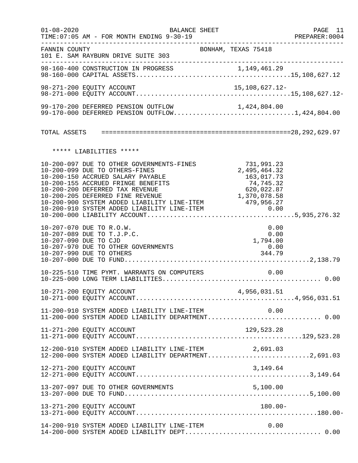| $01 - 08 - 2020$ | <b>BALANCE SHEET</b><br>TIME: 07:05 AM - FOR MONTH ENDING 9-30-19                                                                                                                                                             |                                                                                     | PAGE 11<br>PREPARER:0004 |
|------------------|-------------------------------------------------------------------------------------------------------------------------------------------------------------------------------------------------------------------------------|-------------------------------------------------------------------------------------|--------------------------|
| FANNIN COUNTY    | 101 E. SAM RAYBURN DRIVE SUITE 303                                                                                                                                                                                            | BONHAM, TEXAS 75418                                                                 |                          |
|                  |                                                                                                                                                                                                                               |                                                                                     |                          |
|                  | 98-271-200 EQUITY ACCOUNT                                                                                                                                                                                                     | 15,108,627.12-                                                                      |                          |
|                  | 99-170-200 DEFERRED PENSION OUTFLOW<br>99-170-200 DEFERRED PENSION OUTFLOW 1,424,804.00<br>99-170-000 DEFERRED PENSION OUTFLOW1,424,804.00                                                                                    |                                                                                     |                          |
|                  |                                                                                                                                                                                                                               |                                                                                     |                          |
|                  | ***** LIABILITIES *****                                                                                                                                                                                                       |                                                                                     |                          |
|                  | 10-200-097 DUE TO OTHER GOVERNMENTS-FINES<br>10-200-099 DUE TO OTHERS-FINES<br>10-200-150 ACCRUED SALARY PAYABLE<br>10-200-155 ACCRUED FRINGE BENEFITS<br>10-200-200 DEFERRED TAX REVENUE<br>10-200-205 DEFERRED FINE REVENUE | 731,991.23<br>2,495,464.32<br>163,017.73<br>74,745.32<br>620,022.87<br>1,370,078.58 |                          |
|                  | 10-207-070 DUE TO R.O.W.<br>10-207-089 DUE TO T.J.P.C.<br>10-207-090 DUE TO CJD<br>10-207-970 DUE TO OTHER GOVERNMENTS<br>10-207-990 DUE TO OTHERS                                                                            | 0.00<br>0.00<br>1,794.00<br>0.00<br>344.79                                          |                          |
|                  | 10-225-510 TIME PYMT. WARRANTS ON COMPUTERS                                                                                                                                                                                   | 0.00                                                                                |                          |
|                  |                                                                                                                                                                                                                               |                                                                                     |                          |
|                  | 11-200-910 SYSTEM ADDED LIABILITY LINE-ITEM $0.00$<br>11-200-000 SYSTEM ADDED LIABILITY DEPARTMENT0.00                                                                                                                        |                                                                                     |                          |
|                  | 11-271-200 EQUITY ACCOUNT                                                                                                                                                                                                     |                                                                                     |                          |
|                  | 12-200-910 SYSTEM ADDED LIABILITY LINE-ITEM<br>12-200-000 SYSTEM ADDED LIABILITY DEPARTMENT2,691.03                                                                                                                           | 2,691.03                                                                            |                          |
|                  | 12-271-200 EQUITY ACCOUNT                                                                                                                                                                                                     | 3,149.64                                                                            |                          |
|                  |                                                                                                                                                                                                                               |                                                                                     |                          |
|                  | 13-271-200 EQUITY ACCOUNT                                                                                                                                                                                                     | $180.00 -$                                                                          |                          |
|                  | 14-200-910 SYSTEM ADDED LIABILITY LINE-ITEM                                                                                                                                                                                   | 0.00                                                                                |                          |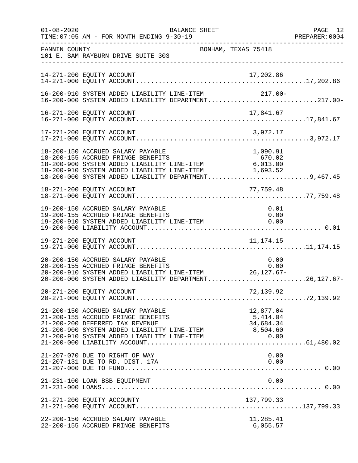| $01 - 08 - 2020$ | TIME: 07:05 AM - FOR MONTH ENDING 9-30-19                                                                                                                                                                                              | BALANCE SHEET       | ___________________                        | PAGE 12<br>PREPARER:0004 |
|------------------|----------------------------------------------------------------------------------------------------------------------------------------------------------------------------------------------------------------------------------------|---------------------|--------------------------------------------|--------------------------|
| FANNIN COUNTY    | 101 E. SAM RAYBURN DRIVE SUITE 303<br>___________________________________                                                                                                                                                              | BONHAM, TEXAS 75418 |                                            |                          |
|                  | 14-271-200 EQUITY ACCOUNT                                                                                                                                                                                                              |                     | 17,202.86                                  |                          |
|                  | 16-200-910 SYSTEM ADDED LIABILITY LINE-ITEM<br>16-200-000 SYSTEM ADDED LIABILITY DEPARTMENT217.00-                                                                                                                                     |                     | $217.00-$                                  |                          |
|                  |                                                                                                                                                                                                                                        |                     |                                            |                          |
|                  | 17-271-200 EQUITY ACCOUNT                                                                                                                                                                                                              |                     | 3,972.17                                   |                          |
|                  | 18-200-150 ACCRUED SALARY PAYABLE<br>18-200-155 ACCRUED FRINGE BENEFITS<br>18-200-900 SYSTEM ADDED LIABILITY LINE-ITEM 6,013.00<br>18-200-910 SYSTEM ADDED LIABILITY LINE-ITEM<br>18-200-000 SYSTEM ADDED LIABILITY DEPARTMENT9,467.45 |                     | 1,090.91<br>670.02<br>1,693.52             |                          |
|                  | 18-271-200 EQUITY ACCOUNT                                                                                                                                                                                                              |                     | 77,759.48                                  |                          |
|                  | 19-200-150 ACCRUED SALARY PAYABLE<br>19-200-155 ACCRUED FRINGE BENEFITS<br>19-200-910 SYSTEM ADDED LIABILITY LINE-ITEM                                                                                                                 |                     | 0.01<br>0.00<br>0.00                       |                          |
|                  |                                                                                                                                                                                                                                        |                     |                                            |                          |
|                  | 20-200-150 ACCRUED SALARY PAYABLE<br>20-200-155 ACCRUED FRINGE BENEFITS<br>20-200-910 SYSTEM ADDED LIABILITY LINE-ITEM 26,127.67-<br>20-200-000 SYSTEM ADDED LIABILITY DEPARTMENT26,127.67-                                            |                     | 0.00                                       |                          |
|                  |                                                                                                                                                                                                                                        |                     |                                            |                          |
|                  | 21-200-150 ACCRUED SALARY PAYABLE<br>21-200-155 ACCRUED FRINGE BENEFITS<br>21-200-200 DEFERRED TAX REVENUE<br>21-200-900 SYSTEM ADDED LIABILITY LINE-ITEM 8,504.60<br>21-200-910 SYSTEM ADDED LIABILITY LINE-ITEM                      |                     | 12,877.04<br>5,414.04<br>34,684.34<br>0.00 |                          |
|                  | 21-207-070 DUE TO RIGHT OF WAY<br>21-207-131 DUE TO RD. DIST. 17A                                                                                                                                                                      |                     | 0.00<br>0.00                               |                          |
|                  | 21-231-100 LOAN BSB EQUIPMENT                                                                                                                                                                                                          |                     | 0.00                                       |                          |
|                  | 21-271-200 EQUITY ACCOUNTY                                                                                                                                                                                                             |                     | 137,799.33                                 |                          |
|                  | 22-200-150 ACCRUED SALARY PAYABLE<br>22-200-155 ACCRUED FRINGE BENEFITS                                                                                                                                                                |                     | 11,285.41<br>6,055.57                      |                          |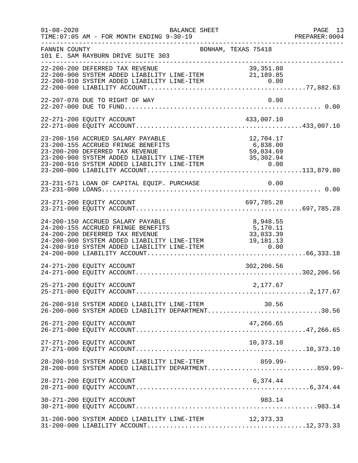| $01 - 08 - 2020$ | TIME: 07:05 AM - FOR MONTH ENDING 9-30-19                                                                                                                                                                                                                           | BALANCE SHEET       |                                           | PAGE 13<br>PREPARER:0004 |
|------------------|---------------------------------------------------------------------------------------------------------------------------------------------------------------------------------------------------------------------------------------------------------------------|---------------------|-------------------------------------------|--------------------------|
| FANNIN COUNTY    | 101 E. SAM RAYBURN DRIVE SUITE 303                                                                                                                                                                                                                                  | BONHAM, TEXAS 75418 |                                           |                          |
|                  | 22-200-200 DEFERRED TAX REVENUE<br>22-200-900 SYSTEM ADDED LIABILITY LINE-ITEM 21,189.85                                                                                                                                                                            |                     |                                           |                          |
|                  | 22-207-070 DUE TO RIGHT OF WAY                                                                                                                                                                                                                                      |                     | 0.00                                      |                          |
|                  | 22-271-200 EQUITY ACCOUNT                                                                                                                                                                                                                                           |                     | 433,007.10                                |                          |
|                  | 23-200-150 ACCRUED SALARY PAYABLE<br>23-200-155 ACCRUED FRINGE BENEFITS<br>23-200-133 ACCROSS FRINGS SENSITIES<br>23-200-200 DEFERRED TAX REVENUE 59,034.69<br>23-200-900 SYSTEM ADDED LIABILITY LINE-ITEM 35,302.94<br>23-200-910 SYSTEM ADDED LIABILITY LINE-ITEM |                     | 12,704.17<br>$6,838.00$ 59.00<br>0.00     |                          |
|                  | 23-231-571 LOAN OF CAPITAL EQUIP. PURCHASE                                                                                                                                                                                                                          |                     | 0.00                                      |                          |
|                  |                                                                                                                                                                                                                                                                     |                     |                                           |                          |
|                  | 24-200-150 ACCRUED SALARY PAYABLE<br>24-200-155 ACCRUED FRINGE BENEFITS<br>24-200-200 DEFERRED TAX REVENUE<br>24-200-200 DEFERRED TAX REVENUE<br>24-200-900 SYSTEM ADDED LIABILITY LINE-ITEM 19,181.13<br>24-200-910 SYSTEM ADDED LIABILITY LINE-ITEM 0.00          |                     | 8,948.55<br>5,170.11<br>33,033.39<br>0.00 |                          |
|                  | 24-271-200 EQUITY ACCOUNT                                                                                                                                                                                                                                           |                     | 302,206.56                                |                          |
|                  | 25-271-200 EQUITY ACCOUNT                                                                                                                                                                                                                                           |                     | 2,177.67                                  |                          |
|                  | 26-200-910 SYSTEM ADDED LIABILITY LINE-ITEM 30.56<br>26-200-000 SYSTEM ADDED LIABILITY DEPARTMENT30.56                                                                                                                                                              |                     |                                           |                          |
|                  | 26-271-200 EQUITY ACCOUNT                                                                                                                                                                                                                                           |                     | 47,266.65                                 |                          |
|                  | 27-271-200 EQUITY ACCOUNT                                                                                                                                                                                                                                           |                     | 10,373.10                                 |                          |
|                  | 28-200-910 SYSTEM ADDED LIABILITY LINE-ITEM<br>28-200-000 SYSTEM ADDED LIABILITY DEPARTMENT859.99-                                                                                                                                                                  |                     | $859.99 -$                                |                          |
|                  | 28-271-200 EQUITY ACCOUNT                                                                                                                                                                                                                                           |                     | 6,374.44                                  |                          |
|                  | 30-271-200 EQUITY ACCOUNT                                                                                                                                                                                                                                           |                     | 983.14                                    |                          |
|                  | 31-200-900 SYSTEM ADDED LIABILITY LINE-ITEM                                                                                                                                                                                                                         |                     | 12,373.33                                 |                          |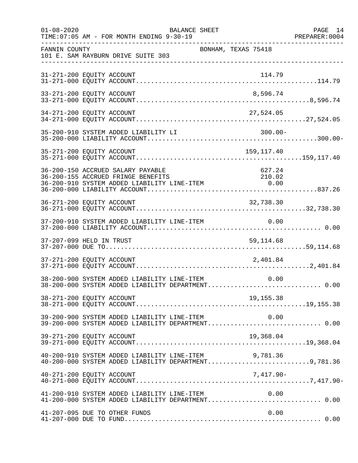| $01 - 08 - 2020$ | BALANCE SHEET<br>TIME: 07:05 AM - FOR MONTH ENDING 9-30-19                                                                                            | PAGE 14<br>PREPARER: 0004 |
|------------------|-------------------------------------------------------------------------------------------------------------------------------------------------------|---------------------------|
| FANNIN COUNTY    | BONHAM, TEXAS 75418<br>101 E. SAM RAYBURN DRIVE SUITE 303                                                                                             |                           |
|                  | 31-271-200 EQUITY ACCOUNT<br>114.79                                                                                                                   |                           |
|                  | 33-271-200 EQUITY ACCOUNT<br>8,596.74                                                                                                                 |                           |
|                  | 34-271-200 EQUITY ACCOUNT<br>27,524.05                                                                                                                |                           |
|                  |                                                                                                                                                       |                           |
|                  |                                                                                                                                                       |                           |
|                  | 36-200-150 ACCRUED SALARY PAYABLE<br>627.24<br>210.02 --- ACCREM ADDED LIABILITY LINE-ITEM 210.02<br>36-200-910 SYSTEM ADDED LIABILITY LINE-ITEM 0.00 |                           |
|                  | 32,738.30<br>36-271-200 EQUITY ACCOUNT                                                                                                                |                           |
|                  |                                                                                                                                                       |                           |
|                  | 37-207-099 HELD IN TRUST<br>59, 114.68                                                                                                                |                           |
|                  | 37-271-200 EQUITY ACCOUNT<br>2,401.84                                                                                                                 |                           |
|                  | 38-200-900 SYSTEM ADDED LIABILITY LINE-ITEM<br>0.00<br>38-200-000 SYSTEM ADDED LIABILITY DEPARTMENT 0.00                                              |                           |
|                  | 38-271-200 EQUITY ACCOUNT<br>19, 155. 38                                                                                                              |                           |
|                  | 39-200-900 SYSTEM ADDED LIABILITY LINE-ITEM 0.00<br>39-200-000 SYSTEM ADDED LIABILITY DEPARTMENT0.00                                                  |                           |
|                  | 39-271-200 EQUITY ACCOUNT<br>19,368.04                                                                                                                |                           |
|                  | 40-200-910 SYSTEM ADDED LIABILITY LINE-ITEM<br>9,781.36<br>40-200-000 SYSTEM ADDED LIABILITY DEPARTMENT9,781.36                                       |                           |
|                  | 7,417.90-<br>40-271-200 EQUITY ACCOUNT                                                                                                                |                           |
|                  | 41-200-910 SYSTEM ADDED LIABILITY LINE-ITEM $0.00$<br>41-200-000 SYSTEM ADDED LIABILITY DEPARTMENT0.00                                                |                           |
|                  | 41-207-095 DUE TO OTHER FUNDS<br>0.00                                                                                                                 |                           |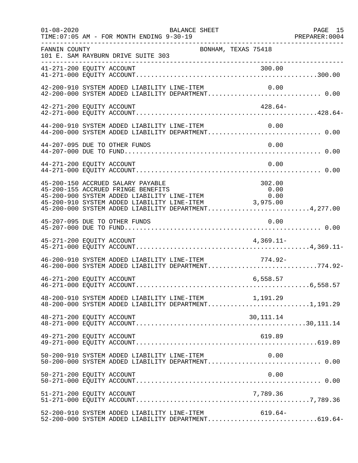| $01 - 08 - 2020$          | BALANCE SHEET<br>TIME: 07:05 AM - FOR MONTH ENDING 9-30-19<br>. _ _ _ _ _ _ _ _ _ _ _ _ _ _ _ _ _                                                                                                                                                                                                                                                                                             |                     | PAGE 15 |
|---------------------------|-----------------------------------------------------------------------------------------------------------------------------------------------------------------------------------------------------------------------------------------------------------------------------------------------------------------------------------------------------------------------------------------------|---------------------|---------|
| FANNIN COUNTY             | 101 E. SAM RAYBURN DRIVE SUITE 303                                                                                                                                                                                                                                                                                                                                                            | BONHAM, TEXAS 75418 |         |
| 41-271-200 EQUITY ACCOUNT |                                                                                                                                                                                                                                                                                                                                                                                               | 300.00              |         |
|                           | $42-200-910$ SYSTEM ADDED LIABILITY LINE-ITEM $0.00$<br>$42-200-000$ SYSTEM ADDED LIABILITY DEPARTMENT0.00                                                                                                                                                                                                                                                                                    |                     |         |
| 42-271-200 EQUITY ACCOUNT |                                                                                                                                                                                                                                                                                                                                                                                               | 428.64-             |         |
|                           | 44-200-910 SYSTEM ADDED LIABILITY LINE-ITEM<br>44-200-000 SYSTEM ADDED LIABILITY DEPARTMENT 0.00                                                                                                                                                                                                                                                                                              | 0.00                |         |
|                           | 44-207-095 DUE TO OTHER FUNDS                                                                                                                                                                                                                                                                                                                                                                 | 0.00                |         |
| 44-271-200 EQUITY ACCOUNT |                                                                                                                                                                                                                                                                                                                                                                                               | 0.00                |         |
|                           | 45-200-150 ACCRUED SALARY PAYABLE<br>45-200-155 ACCRUED FRINGE BENEFITS<br>45-200-900 SYSTEM ADDED LIABILITY LINE-ITEM<br>45-200-910 SYSTEM ADDED LIABILITY LINE-ITEM<br>45-200-900 SYSTEM ADDED LIABILITY LINE-ITEM 0.00<br>45-200-910 SYSTEM ADDED LIABILITY LINE-ITEM 0.00<br>45-200-910 SYSTEM ADDED LIABILITY LINE-ITEM 3,975.00<br>45-200-000 SYSTEM ADDED LIABILITY DEPARTMENT4,277.00 | 302.00<br>0.00      |         |
|                           | 45-207-095 DUE TO OTHER FUNDS                                                                                                                                                                                                                                                                                                                                                                 | 0.00                |         |
| 45-271-200 EQUITY ACCOUNT |                                                                                                                                                                                                                                                                                                                                                                                               | $4,369.11-$         |         |
|                           | 46-200-910 SYSTEM ADDED LIABILITY LINE-ITEM<br>46-200-000 SYSTEM ADDED LIABILITY DEPARTMENT774.92-                                                                                                                                                                                                                                                                                            | 774.92-             |         |
| 46-271-200 EQUITY ACCOUNT |                                                                                                                                                                                                                                                                                                                                                                                               | 6,558.57            |         |
|                           | $48-200-910$ SYSTEM ADDED LIABILITY LINE-ITEM $1,191.29$<br>$48-200-000$ SYSTEM ADDED LIABILITY DEPARTMENT1,191.29                                                                                                                                                                                                                                                                            |                     |         |
| 48-271-200 EQUITY ACCOUNT |                                                                                                                                                                                                                                                                                                                                                                                               | 30, 111. 14         |         |
| 49-271-200 EQUITY ACCOUNT |                                                                                                                                                                                                                                                                                                                                                                                               | 619.89              |         |
|                           | 50-200-910 SYSTEM ADDED LIABILITY LINE-ITEM<br>50-200-000 SYSTEM ADDED LIABILITY DEPARTMENT 0.00                                                                                                                                                                                                                                                                                              | 0.00                |         |
| 50-271-200 EQUITY ACCOUNT |                                                                                                                                                                                                                                                                                                                                                                                               | 0.00                |         |
| 51-271-200 EQUITY ACCOUNT |                                                                                                                                                                                                                                                                                                                                                                                               | 7,789.36            |         |
|                           | 52-200-910 SYSTEM ADDED LIABILITY LINE-ITEM<br>52-200-000 SYSTEM ADDED LIABILITY DEPARTMENT619.64-                                                                                                                                                                                                                                                                                            | $619.64-$           |         |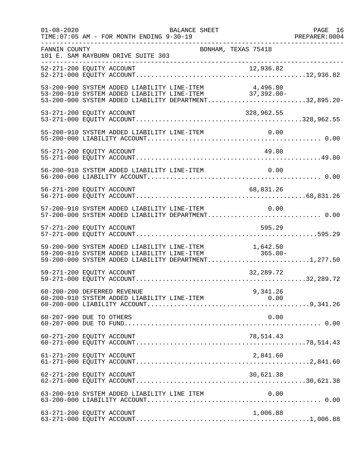| $01 - 08 - 2020$ | BALANCE SHEET<br>TIME: 07:05 AM - FOR MONTH ENDING 9-30-19                                                                                                                  | PAGE 16 |
|------------------|-----------------------------------------------------------------------------------------------------------------------------------------------------------------------------|---------|
| FANNIN COUNTY    | BONHAM, TEXAS 75418<br>101 E. SAM RAYBURN DRIVE SUITE 303<br>______________________                                                                                         |         |
|                  |                                                                                                                                                                             |         |
|                  | 53-200-900 SYSTEM ADDED LIABILITY LINE-ITEM<br>4,496.80<br>53-200-910 SYSTEM ADDED LIABILITY LINE-ITEM 37,392.00-<br>53-200-000 SYSTEM ADDED LIABILITY DEPARTMENT32,895.20- |         |
|                  | 53-271-200 EQUITY ACCOUNT<br>328,962.55                                                                                                                                     |         |
|                  | 55-200-910 SYSTEM ADDED LIABILITY LINE-ITEM 0.00                                                                                                                            |         |
|                  | 55-271-200 EQUITY ACCOUNT<br>49.80                                                                                                                                          |         |
|                  | 56-200-910 SYSTEM ADDED LIABILITY LINE-ITEM                                                                                                                                 | 0.00    |
|                  | 56-271-200 EQUITY ACCOUNT<br>68,831.26                                                                                                                                      |         |
|                  | 57-200-910 SYSTEM ADDED LIABILITY LINE-ITEM 0.00<br>57-200-000 SYSTEM ADDED LIABILITY DEPARTMENT 0.00                                                                       |         |
|                  | 595.29<br>57-271-200 EQUITY ACCOUNT                                                                                                                                         |         |
|                  | 59-200-900 SYSTEM ADDED LIABILITY LINE-ITEM<br>59-200-910 SYSTEM ADDED LIABILITY LINE-ITEM<br>1,642.50<br>-365.00<br>59-200-000 SYSTEM ADDED LIABILITY DEPARTMENT1,277.50   |         |
|                  | 59-271-200 EQUITY ACCOUNT<br>32,289.72                                                                                                                                      |         |
|                  | 9,341.26<br>60-200-200 DEFERRED REVENUE<br>60-200-910 SYSTEM ADDED LIABILITY LINE-ITEM<br>0.00                                                                              |         |
|                  | 60-207-990 DUE TO OTHERS                                                                                                                                                    | 0.00    |
|                  | 60-271-200 EQUITY ACCOUNT<br>78,514.43                                                                                                                                      |         |
|                  | 61-271-200 EQUITY ACCOUNT<br>2,841.60                                                                                                                                       |         |
|                  | 30,621.38<br>62-271-200 EQUITY ACCOUNT                                                                                                                                      |         |
|                  | 63-200-910 SYSTEM ADDED LIABILITY LINE ITEM                                                                                                                                 | 0.00    |
|                  | 63-271-200 EQUITY ACCOUNT<br>1,006.88                                                                                                                                       |         |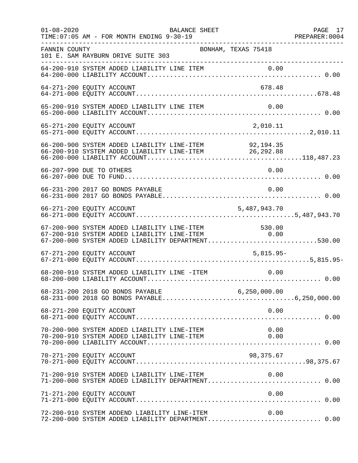| $01 - 08 - 2020$ | TIME: 07:05 AM - FOR MONTH ENDING 9-30-19                                                                                                                    | BALANCE SHEET       |              | PAGE 17 |
|------------------|--------------------------------------------------------------------------------------------------------------------------------------------------------------|---------------------|--------------|---------|
| FANNIN COUNTY    | 101 E. SAM RAYBURN DRIVE SUITE 303                                                                                                                           | BONHAM, TEXAS 75418 |              |         |
|                  |                                                                                                                                                              |                     |              |         |
|                  | 64-271-200 EQUITY ACCOUNT                                                                                                                                    |                     | 678.48       |         |
|                  | 65-200-910 SYSTEM ADDED LIABILITY LINE ITEM                                                                                                                  |                     | 0.00         |         |
|                  | 65-271-200 EQUITY ACCOUNT                                                                                                                                    |                     | 2,010.11     |         |
|                  |                                                                                                                                                              |                     |              |         |
|                  | 66-207-990 DUE TO OTHERS                                                                                                                                     |                     | 0.00         |         |
|                  | 66-231-200 2017 GO BONDS PAYABLE                                                                                                                             |                     | 0.00         |         |
|                  |                                                                                                                                                              |                     | 5,487,943.70 |         |
|                  | 67-200-900 SYSTEM ADDED LIABILITY LINE-ITEM 530.00<br>67-200-910 SYSTEM ADDED LIABILITY LINE-ITEM 0.00<br>67-200-000 SYSTEM ADDED LIABILITY DEPARTMENT530.00 |                     | 0.00         |         |
|                  | 67-271-200 EQUITY ACCOUNT                                                                                                                                    |                     | $5,815.95-$  |         |
|                  | 68-200-910 SYSTEM ADDED LIABILITY LINE -ITEM                                                                                                                 |                     | 0.00         |         |
|                  |                                                                                                                                                              |                     |              |         |
|                  | 68-271-200 EQUITY ACCOUNT                                                                                                                                    |                     | 0.00         |         |
|                  | 70-200-900 SYSTEM ADDED LIABILITY LINE-ITEM<br>70-200-910 SYSTEM ADDED LIABILITY LINE-ITEM                                                                   |                     | 0.00<br>0.00 |         |
|                  | 70-271-200 EQUITY ACCOUNT                                                                                                                                    |                     | 98,375.67    |         |
|                  | 71-200-910 SYSTEM ADDED LIABILITY LINE-ITEM<br>71-200-000 SYSTEM ADDED LIABILITY DEPARTMENT 0.00                                                             |                     | 0.00         |         |
|                  | 71-271-200 EQUITY ACCOUNT                                                                                                                                    |                     | 0.00         |         |
|                  | 72-200-910 SYSTEM ADDEND LIABILITY LINE-ITEM<br>72-200-000 SYSTEM ADDED LIABILITY DEPARTMENT 0.00                                                            |                     | 0.00         |         |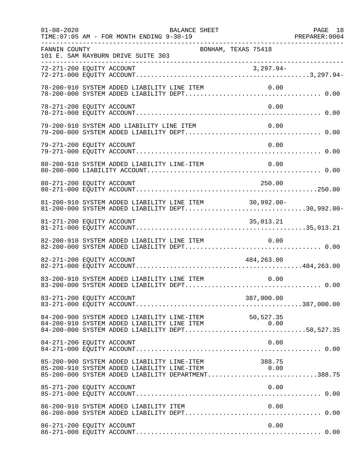| $01 - 08 - 2020$ | BALANCE SHEET<br>PREPARER: 0004<br>TIME: 07:05 AM - FOR MONTH ENDING 9-30-19                                                                                 | PAGE 18 |
|------------------|--------------------------------------------------------------------------------------------------------------------------------------------------------------|---------|
| FANNIN COUNTY    | BONHAM, TEXAS 75418<br>101 E. SAM RAYBURN DRIVE SUITE 303<br>----------------------------------                                                              |         |
|                  |                                                                                                                                                              |         |
|                  | 78-200-910 SYSTEM ADDED LIABILITY LINE ITEM<br>0.00                                                                                                          |         |
|                  | 78-271-200 EQUITY ACCOUNT<br>0.00                                                                                                                            |         |
|                  | 79-200-910 SYSTEM ADD LIABILITY LINE ITEM<br>0.00                                                                                                            |         |
|                  | 0.00<br>79-271-200 EQUITY ACCOUNT                                                                                                                            |         |
|                  | 80-200-910 SYSTEM ADDED LIABILITY LINE-ITEM<br>0.00                                                                                                          |         |
|                  | 80-271-200 EQUITY ACCOUNT<br>250.00                                                                                                                          |         |
|                  | 81-200-910 SYSTEM ADDED LIABILITY LINE ITEM 30,992.00-<br>81-200-000 SYSTEM ADDED LIABILITY DEPT30,992.00-                                                   |         |
|                  | 81-271-200 EQUITY ACCOUNT<br>35,013.21                                                                                                                       |         |
|                  | 82-200-910 SYSTEM ADDED LIABILITY LINE ITEM<br>0.00                                                                                                          |         |
|                  | 82-271-200 EQUITY ACCOUNT<br>484,263.00                                                                                                                      |         |
|                  | 83-200-910 SYSTEM ADDED LIABILITY LINE ITEM<br>0.00                                                                                                          |         |
|                  | 83-271-200 EQUITY ACCOUNT<br>387,000.00                                                                                                                      |         |
|                  | 84-200-900 SYSTEM ADDED LIABILITY LINE-ITEM 50,527.35<br>84-200-910 SYSTEM ADDED LIABILITY LINE ITEM 0.00<br>84-200-000 SYSTEM ADDED LIABILITY DEPT50,527.35 |         |
|                  | 84-271-200 EQUITY ACCOUNT<br>0.00                                                                                                                            |         |
|                  | 85-200-900 SYSTEM ADDED LIABILITY LINE-ITEM 388.75<br>85-200-910 SYSTEM ADDED LIABILITY LINE-ITEM 0.00<br>85-200-000 SYSTEM ADDED LIABILITY DEPARTMENT388.75 |         |
|                  | 0.00<br>85-271-200 EQUITY ACCOUNT                                                                                                                            |         |
|                  | 86-200-910 SYSTEM ADDED LIABILITY ITEM<br>0.00                                                                                                               |         |
|                  | 86-271-200 EQUITY ACCOUNT<br>0.00                                                                                                                            |         |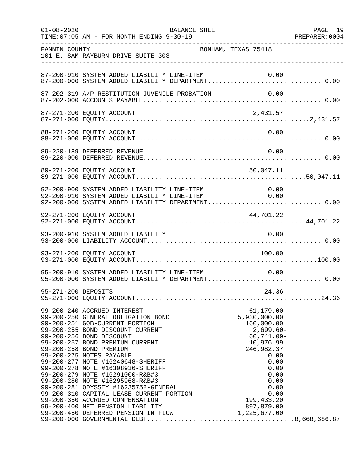| $01 - 08 - 2020$ | BALANCE SHEET                                                                                                                                                                                                                                      |                                                                                                                                                                            | PAGE 19 |
|------------------|----------------------------------------------------------------------------------------------------------------------------------------------------------------------------------------------------------------------------------------------------|----------------------------------------------------------------------------------------------------------------------------------------------------------------------------|---------|
| FANNIN COUNTY    | BONHAM, TEXAS 75418<br>101 E. SAM RAYBURN DRIVE SUITE 303                                                                                                                                                                                          |                                                                                                                                                                            |         |
|                  | 87-200-910 SYSTEM ADDED LIABILITY LINE-ITEM                                                                                                                                                                                                        | 0.00                                                                                                                                                                       |         |
|                  |                                                                                                                                                                                                                                                    |                                                                                                                                                                            |         |
|                  |                                                                                                                                                                                                                                                    |                                                                                                                                                                            |         |
|                  | 88-271-200 EQUITY ACCOUNT                                                                                                                                                                                                                          | 0.00                                                                                                                                                                       |         |
|                  | 89-220-189 DEFERRED REVENUE                                                                                                                                                                                                                        | 0.00                                                                                                                                                                       |         |
|                  | 89-271-200 EQUITY ACCOUNT                                                                                                                                                                                                                          | 50,047.11                                                                                                                                                                  |         |
|                  | 92-200-900 SYSTEM ADDED LIABILITY LINE-ITEM 0.00<br>92-200-910 SYSTEM ADDED LIABILITY LINE-ITEM 0.00<br>92-200-000 SYSTEM ADDED LIABILITY DEPARTMENT 0.00                                                                                          |                                                                                                                                                                            |         |
|                  | 92-271-200 EQUITY ACCOUNT                                                                                                                                                                                                                          | 44,701.22                                                                                                                                                                  |         |
|                  | 93-200-910 SYSTEM ADDED LIABILITY                                                                                                                                                                                                                  | 0.00                                                                                                                                                                       |         |
|                  | 93-271-200 EQUITY ACCOUNT                                                                                                                                                                                                                          | 100.00                                                                                                                                                                     |         |
|                  | 95-200-910 SYSTEM ADDED LIABILITY LINE-ITEM<br>95-200-000 SYSTEM ADDED LIABILITY DEPARTMENT 0.00                                                                                                                                                   | 0.00                                                                                                                                                                       |         |
|                  |                                                                                                                                                                                                                                                    |                                                                                                                                                                            |         |
|                  | 99-200-250 GENERAL OBLIGATION BOND<br>99-200-251 GOB-CURRENT PORTION<br>99-200-251 GOB-CURRENT PORTION<br>99-200-255 BOND DISCOUNT CURRENT<br>99-200-256 BOND DISCOUNT<br>99-200-257 BOND PREMIUM CURRENT<br>99-200-258 BOND PREMIUM<br>99-200-275 | 61,179.00<br>5,930,000.00<br>160,000.00<br>$2,699.60-$<br>$60,741.09 -$<br>10,976.99<br>246,982.37<br>0.00<br>0.00<br>0.00<br>0.00<br>0.00<br>0.00<br>0.00<br>199, 433. 20 |         |